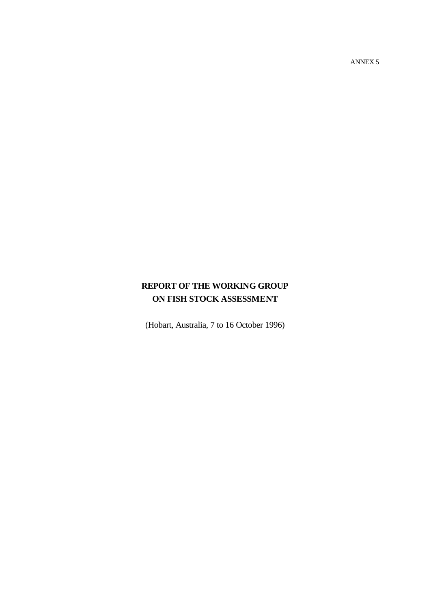ANNEX 5

# **REPORT OF THE WORKING GROUP ON FISH STOCK ASSESSMENT**

(Hobart, Australia, 7 to 16 October 1996)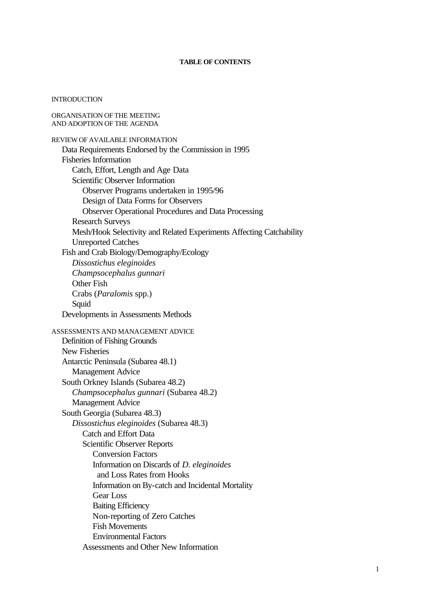### **TABLE OF CONTENTS**

#### **INTRODUCTION**

ORGANISATION OF THE MEETING AND ADOPTION OF THE AGENDA REVIEW OF AVAILABLE INFORMATION Data Requirements Endorsed by the Commission in 1995 Fisheries Information Catch, Effort, Length and Age Data Scientific Observer Information Observer Programs undertaken in 1995/96 Design of Data Forms for Observers Observer Operational Procedures and Data Processing Research Surveys Mesh/Hook Selectivity and Related Experiments Affecting Catchability Unreported Catches Fish and Crab Biology/Demography/Ecology *Dissostichus eleginoides Champsocephalus gunnari* Other Fish Crabs (*Paralomis* spp.) Squid Developments in Assessments Methods ASSESSMENTS AND MANAGEMENT ADVICE Definition of Fishing Grounds New Fisheries Antarctic Peninsula (Subarea 48.1) Management Advice South Orkney Islands (Subarea 48.2) *Champsocephalus gunnari* (Subarea 48.2) Management Advice South Georgia (Subarea 48.3) *Dissostichus eleginoides* (Subarea 48.3) Catch and Effort Data Scientific Observer Reports Conversion Factors Information on Discards of *D. eleginoides* and Loss Rates from Hooks Information on By-catch and Incidental Mortality Gear Loss Baiting Efficiency Non-reporting of Zero Catches Fish Movements Environmental Factors Assessments and Other New Information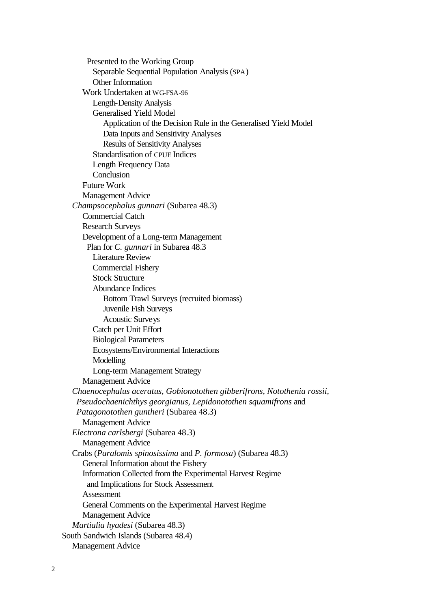Presented to the Working Group Separable Sequential Population Analysis (SPA) Other Information Work Undertaken at WG-FSA-96 Length-Density Analysis Generalised Yield Model Application of the Decision Rule in the Generalised Yield Model Data Inputs and Sensitivity Analyses Results of Sensitivity Analyses Standardisation of CPUE Indices Length Frequency Data **Conclusion** Future Work Management Advice *Champsocephalus gunnari* (Subarea 48.3) Commercial Catch Research Surveys Development of a Long-term Management Plan for *C. gunnari* in Subarea 48.3 Literature Review Commercial Fishery Stock Structure Abundance Indices Bottom Trawl Surveys (recruited biomass) Juvenile Fish Surveys Acoustic Surveys Catch per Unit Effort Biological Parameters Ecosystems/Environmental Interactions Modelling Long-term Management Strategy Management Advice *Chaenocephalus aceratus, Gobionotothen gibberifrons, Notothenia rossii, Pseudochaenichthys georgianus, Lepidonotothen squamifrons* and *Patagonotothen guntheri* (Subarea 48.3) Management Advice *Electrona carlsbergi* (Subarea 48.3) Management Advice Crabs (*Paralomis spinosissima* and *P. formosa*) (Subarea 48.3) General Information about the Fishery Information Collected from the Experimental Harvest Regime and Implications for Stock Assessment Assessment General Comments on the Experimental Harvest Regime Management Advice *Martialia hyadesi* (Subarea 48.3) South Sandwich Islands (Subarea 48.4) Management Advice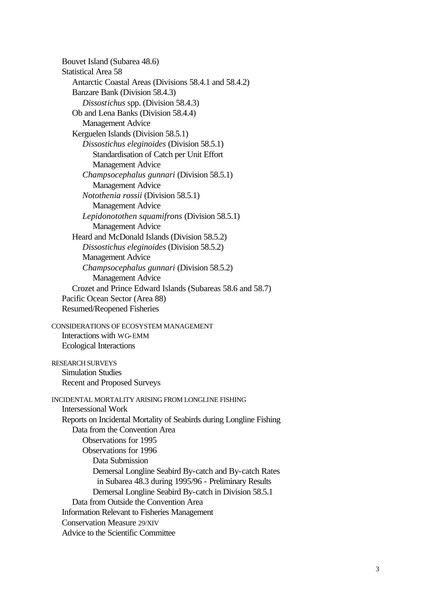Bouvet Island (Subarea 48.6) Statistical Area 58 Antarctic Coastal Areas (Divisions 58.4.1 and 58.4.2) Banzare Bank (Division 58.4.3) *Dissostichus* spp. (Division 58.4.3) Ob and Lena Banks (Division 58.4.4) Management Advice Kerguelen Islands (Division 58.5.1) *Dissostichus eleginoides* (Division 58.5.1) Standardisation of Catch per Unit Effort Management Advice *Champsocephalus gunnari* (Division 58.5.1) Management Advice *Notothenia rossii* (Division 58.5.1) Management Advice *Lepidonotothen squamifrons* (Division 58.5.1) Management Advice Heard and McDonald Islands (Division 58.5.2) *Dissostichus eleginoides* (Division 58.5.2) Management Advice *Champsocephalus gunnari* (Division 58.5.2) Management Advice Crozet and Prince Edward Islands (Subareas 58.6 and 58.7) Pacific Ocean Sector (Area 88) Resumed/Reopened Fisheries

CONSIDERATIONS OF ECOSYSTEM MANAGEMENT Interactions with WG-EMM Ecological Interactions

RESEARCH SURVEYS Simulation Studies Recent and Proposed Surveys

INCIDENTAL MORTALITY ARISING FROM LONGLINE FISHING Intersessional Work Reports on Incidental Mortality of Seabirds during Longline Fishing Data from the Convention Area Observations for 1995 Observations for 1996 Data Submission Demersal Longline Seabird By-catch and By-catch Rates in Subarea 48.3 during 1995/96 - Preliminary Results Demersal Longline Seabird By-catch in Division 58.5.1 Data from Outside the Convention Area Information Relevant to Fisheries Management Conservation Measure 29/XIV Advice to the Scientific Committee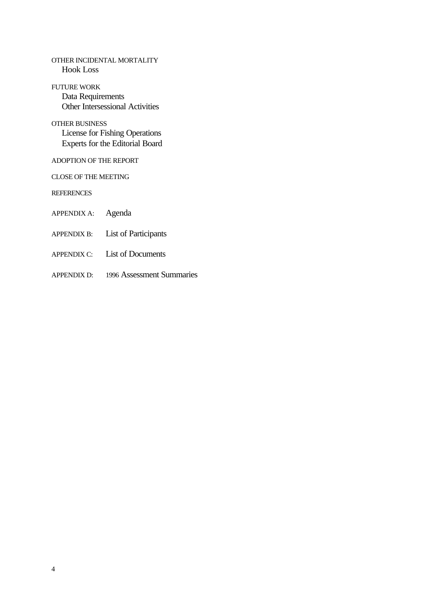OTHER INCIDENTAL MORTALITY Hook Loss

FUTURE WORK Data Requirements Other Intersessional Activities

OTHER BUSINESS License for Fishing Operations Experts for the Editorial Board

ADOPTION OF THE REPORT

CLOSE OF THE MEETING

**REFERENCES** 

APPENDIX A: Agenda

- APPENDIX B: List of Participants
- APPENDIX C: List of Documents
- APPENDIX D: 1996 Assessment Summaries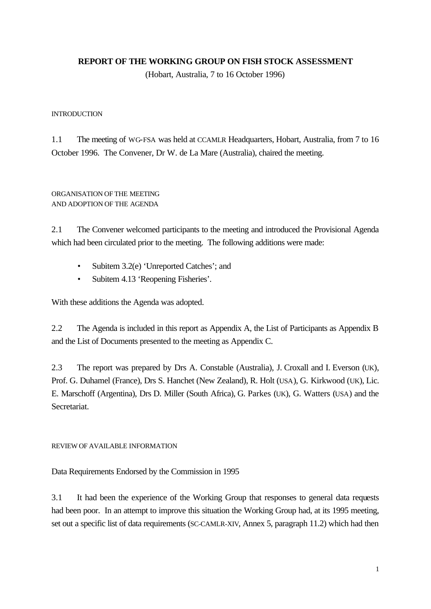# **REPORT OF THE WORKING GROUP ON FISH STOCK ASSESSMENT**

(Hobart, Australia, 7 to 16 October 1996)

### **INTRODUCTION**

1.1 The meeting of WG-FSA was held at CCAMLR Headquarters, Hobart, Australia, from 7 to 16 October 1996. The Convener, Dr W. de La Mare (Australia), chaired the meeting.

# ORGANISATION OF THE MEETING AND ADOPTION OF THE AGENDA

2.1 The Convener welcomed participants to the meeting and introduced the Provisional Agenda which had been circulated prior to the meeting. The following additions were made:

- Subitem 3.2(e) 'Unreported Catches'; and
- Subitem 4.13 'Reopening Fisheries'.

With these additions the Agenda was adopted.

2.2 The Agenda is included in this report as Appendix A, the List of Participants as Appendix B and the List of Documents presented to the meeting as Appendix C.

2.3 The report was prepared by Drs A. Constable (Australia), J. Croxall and I. Everson (UK), Prof. G. Duhamel (France), Drs S. Hanchet (New Zealand), R. Holt (USA), G. Kirkwood (UK), Lic. E. Marschoff (Argentina), Drs D. Miller (South Africa), G. Parkes (UK), G. Watters (USA) and the Secretariat.

# REVIEW OF AVAILABLE INFORMATION

Data Requirements Endorsed by the Commission in 1995

3.1 It had been the experience of the Working Group that responses to general data requests had been poor. In an attempt to improve this situation the Working Group had, at its 1995 meeting, set out a specific list of data requirements (SC-CAMLR-XIV, Annex 5, paragraph 11.2) which had then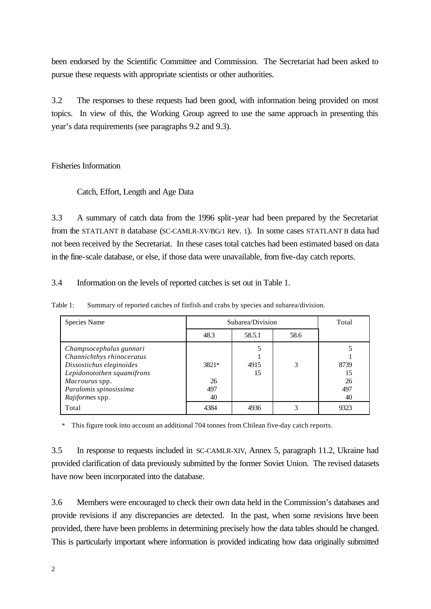been endorsed by the Scientific Committee and Commission. The Secretariat had been asked to pursue these requests with appropriate scientists or other authorities.

3.2 The responses to these requests had been good, with information being provided on most topics. In view of this, the Working Group agreed to use the same approach in presenting this year's data requirements (see paragraphs 9.2 and 9.3).

# Fisheries Information

### Catch, Effort, Length and Age Data

3.3 A summary of catch data from the 1996 split-year had been prepared by the Secretariat from the STATLANT B database (SC-CAMLR-XV/BG/1 Rev. 1). In some cases STATLANT B data had not been received by the Secretariat. In these cases total catches had been estimated based on data in the fine-scale database, or else, if those data were unavailable, from five-day catch reports.

3.4 Information on the levels of reported catches is set out in Table 1.

Table 1: Summary of reported catches of finfish and crabs by species and subarea/division.

| Species Name                                                                                                                                                                  | Subarea/Division         |            |      | Total                         |
|-------------------------------------------------------------------------------------------------------------------------------------------------------------------------------|--------------------------|------------|------|-------------------------------|
|                                                                                                                                                                               | 48.3                     | 58.5.1     | 58.6 |                               |
| Champsocephalus gunnari<br>Channichthys rhinoceratus<br>Dissostichus eleginoides<br>Lepidonotothen squamifrons<br>Macrourus spp.<br>Paralomis spinosissima<br>Rajiformes spp. | 3821*<br>26<br>497<br>40 | 4915<br>15 | 3    | 8739<br>15<br>26<br>497<br>40 |
| Total                                                                                                                                                                         | 4384                     | 4936       |      | 9323                          |

\* This figure took into account an additional 704 tonnes from Chilean five-day catch reports.

3.5 In response to requests included in SC-CAMLR-XIV, Annex 5, paragraph 11.2, Ukraine had provided clarification of data previously submitted by the former Soviet Union. The revised datasets have now been incorporated into the database.

3.6 Members were encouraged to check their own data held in the Commission's databases and provide revisions if any discrepancies are detected. In the past, when some revisions have been provided, there have been problems in determining precisely how the data tables should be changed. This is particularly important where information is provided indicating how data originally submitted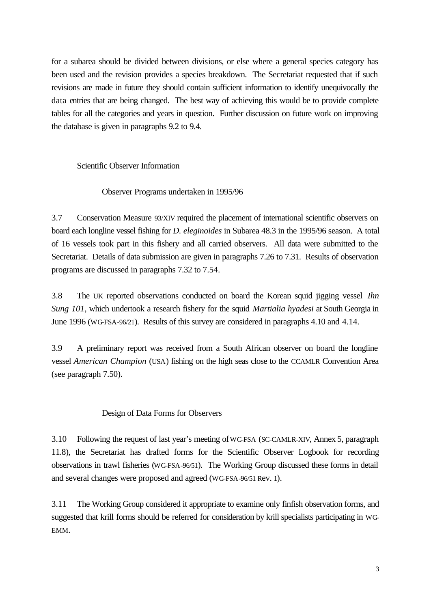for a subarea should be divided between divisions, or else where a general species category has been used and the revision provides a species breakdown. The Secretariat requested that if such revisions are made in future they should contain sufficient information to identify unequivocally the data entries that are being changed. The best way of achieving this would be to provide complete tables for all the categories and years in question. Further discussion on future work on improving the database is given in paragraphs 9.2 to 9.4.

# Scientific Observer Information

### Observer Programs undertaken in 1995/96

3.7 Conservation Measure 93/XIV required the placement of international scientific observers on board each longline vessel fishing for *D. eleginoides* in Subarea 48.3 in the 1995/96 season. A total of 16 vessels took part in this fishery and all carried observers. All data were submitted to the Secretariat. Details of data submission are given in paragraphs 7.26 to 7.31. Results of observation programs are discussed in paragraphs 7.32 to 7.54.

3.8 The UK reported observations conducted on board the Korean squid jigging vessel *Ihn Sung 101*, which undertook a research fishery for the squid *Martialia hyadesi* at South Georgia in June 1996 (WG-FSA-96/21). Results of this survey are considered in paragraphs 4.10 and 4.14.

3.9 A preliminary report was received from a South African observer on board the longline vessel *American Champion* (USA) fishing on the high seas close to the CCAMLR Convention Area (see paragraph 7.50).

### Design of Data Forms for Observers

3.10 Following the request of last year's meeting of WG-FSA (SC-CAMLR-XIV, Annex 5, paragraph 11.8), the Secretariat has drafted forms for the Scientific Observer Logbook for recording observations in trawl fisheries (WG-FSA-96/51). The Working Group discussed these forms in detail and several changes were proposed and agreed (WG-FSA-96/51 Rev. 1).

3.11 The Working Group considered it appropriate to examine only finfish observation forms, and suggested that krill forms should be referred for consideration by krill specialists participating in WG-EMM.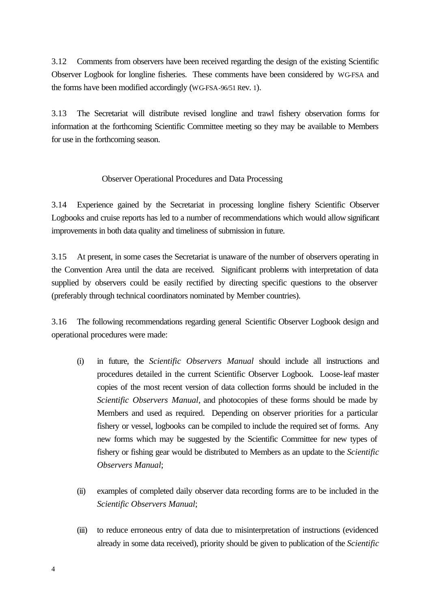3.12 Comments from observers have been received regarding the design of the existing Scientific Observer Logbook for longline fisheries. These comments have been considered by WG-FSA and the forms have been modified accordingly (WG-FSA-96/51 Rev. 1).

3.13 The Secretariat will distribute revised longline and trawl fishery observation forms for information at the forthcoming Scientific Committee meeting so they may be available to Members for use in the forthcoming season.

# Observer Operational Procedures and Data Processing

3.14 Experience gained by the Secretariat in processing longline fishery Scientific Observer Logbooks and cruise reports has led to a number of recommendations which would allow significant improvements in both data quality and timeliness of submission in future.

3.15 At present, in some cases the Secretariat is unaware of the number of observers operating in the Convention Area until the data are received. Significant problems with interpretation of data supplied by observers could be easily rectified by directing specific questions to the observer (preferably through technical coordinators nominated by Member countries).

3.16 The following recommendations regarding general Scientific Observer Logbook design and operational procedures were made:

- (i) in future, the *Scientific Observers Manual* should include all instructions and procedures detailed in the current Scientific Observer Logbook. Loose-leaf master copies of the most recent version of data collection forms should be included in the *Scientific Observers Manual*, and photocopies of these forms should be made by Members and used as required. Depending on observer priorities for a particular fishery or vessel, logbooks can be compiled to include the required set of forms. Any new forms which may be suggested by the Scientific Committee for new types of fishery or fishing gear would be distributed to Members as an update to the *Scientific Observers Manual*;
- (ii) examples of completed daily observer data recording forms are to be included in the *Scientific Observers Manual*;
- (iii) to reduce erroneous entry of data due to misinterpretation of instructions (evidenced already in some data received), priority should be given to publication of the *Scientific*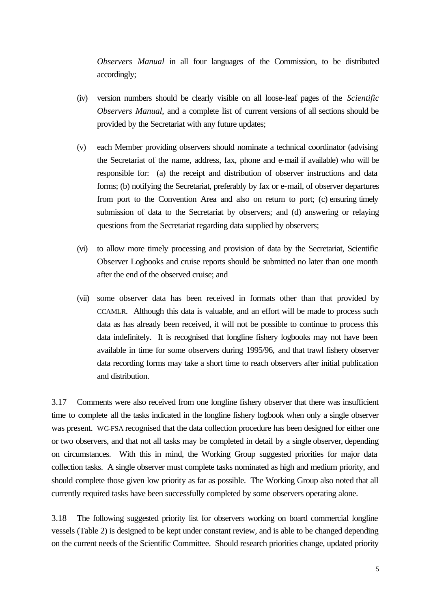*Observers Manual* in all four languages of the Commission, to be distributed accordingly;

- (iv) version numbers should be clearly visible on all loose-leaf pages of the *Scientific Observers Manual*, and a complete list of current versions of all sections should be provided by the Secretariat with any future updates;
- (v) each Member providing observers should nominate a technical coordinator (advising the Secretariat of the name, address, fax, phone and e-mail if available) who will be responsible for: (a) the receipt and distribution of observer instructions and data forms; (b) notifying the Secretariat, preferably by fax or e-mail, of observer departures from port to the Convention Area and also on return to port; (c) ensuring timely submission of data to the Secretariat by observers; and (d) answering or relaying questions from the Secretariat regarding data supplied by observers;
- (vi) to allow more timely processing and provision of data by the Secretariat, Scientific Observer Logbooks and cruise reports should be submitted no later than one month after the end of the observed cruise; and
- (vii) some observer data has been received in formats other than that provided by CCAMLR. Although this data is valuable, and an effort will be made to process such data as has already been received, it will not be possible to continue to process this data indefinitely. It is recognised that longline fishery logbooks may not have been available in time for some observers during 1995/96, and that trawl fishery observer data recording forms may take a short time to reach observers after initial publication and distribution.

3.17 Comments were also received from one longline fishery observer that there was insufficient time to complete all the tasks indicated in the longline fishery logbook when only a single observer was present. WG-FSA recognised that the data collection procedure has been designed for either one or two observers, and that not all tasks may be completed in detail by a single observer, depending on circumstances. With this in mind, the Working Group suggested priorities for major data collection tasks. A single observer must complete tasks nominated as high and medium priority, and should complete those given low priority as far as possible. The Working Group also noted that all currently required tasks have been successfully completed by some observers operating alone.

3.18 The following suggested priority list for observers working on board commercial longline vessels (Table 2) is designed to be kept under constant review, and is able to be changed depending on the current needs of the Scientific Committee. Should research priorities change, updated priority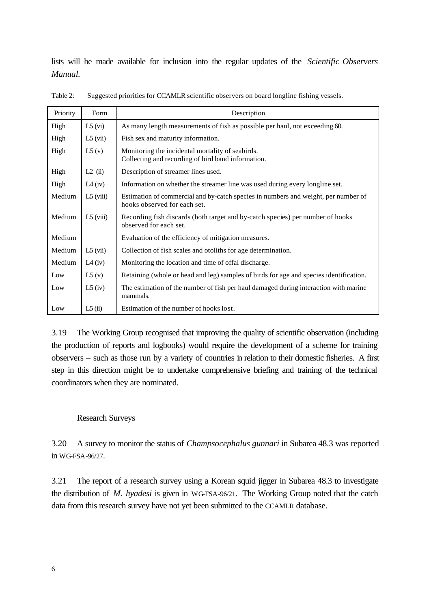lists will be made available for inclusion into the regular updates of the *Scientific Observers Manual.*

| Priority | Form                  | Description                                                                                                        |
|----------|-----------------------|--------------------------------------------------------------------------------------------------------------------|
| High     | $L5$ (vi)             | As many length measurements of fish as possible per haul, not exceeding 60.                                        |
| High     | $L5$ (vii)            | Fish sex and maturity information.                                                                                 |
| High     | L5(v)                 | Monitoring the incidental mortality of seabirds.<br>Collecting and recording of bird band information.             |
| High     | $L2$ (ii)             | Description of streamer lines used.                                                                                |
| High     | L <sub>4</sub> $(iv)$ | Information on whether the streamer line was used during every longline set.                                       |
| Medium   | $L5$ (viii)           | Estimation of commercial and by-catch species in numbers and weight, per number of<br>hooks observed for each set. |
| Medium   | $L5$ (viii)           | Recording fish discards (both target and by-catch species) per number of hooks<br>observed for each set.           |
| Medium   |                       | Evaluation of the efficiency of mitigation measures.                                                               |
| Medium   | $L5$ (vii)            | Collection of fish scales and otoliths for age determination.                                                      |
| Medium   | L <sub>4</sub> $(iv)$ | Monitoring the location and time of offal discharge.                                                               |
| Low      | L5(v)                 | Retaining (whole or head and leg) samples of birds for age and species identification.                             |
| Low      | $L5$ (iv)             | The estimation of the number of fish per haul damaged during interaction with marine<br>mammals.                   |
| Low      | L5(ii)                | Estimation of the number of hooks lost.                                                                            |

Table 2: Suggested priorities for CCAMLR scientific observers on board longline fishing vessels.

3.19 The Working Group recognised that improving the quality of scientific observation (including the production of reports and logbooks) would require the development of a scheme for training observers – such as those run by a variety of countries in relation to their domestic fisheries. A first step in this direction might be to undertake comprehensive briefing and training of the technical coordinators when they are nominated.

### Research Surveys

3.20 A survey to monitor the status of *Champsocephalus gunnari* in Subarea 48.3 was reported in WG-FSA-96/27.

3.21 The report of a research survey using a Korean squid jigger in Subarea 48.3 to investigate the distribution of *M. hyadesi* is given in WG-FSA-96/21. The Working Group noted that the catch data from this research survey have not yet been submitted to the CCAMLR database.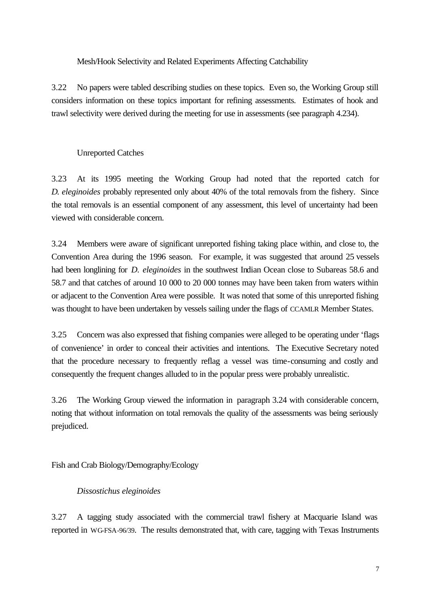Mesh/Hook Selectivity and Related Experiments Affecting Catchability

3.22 No papers were tabled describing studies on these topics. Even so, the Working Group still considers information on these topics important for refining assessments. Estimates of hook and trawl selectivity were derived during the meeting for use in assessments (see paragraph 4.234).

# Unreported Catches

3.23 At its 1995 meeting the Working Group had noted that the reported catch for *D. eleginoides* probably represented only about 40% of the total removals from the fishery. Since the total removals is an essential component of any assessment, this level of uncertainty had been viewed with considerable concern.

3.24 Members were aware of significant unreported fishing taking place within, and close to, the Convention Area during the 1996 season. For example, it was suggested that around 25 vessels had been longlining for *D. eleginoides* in the southwest Indian Ocean close to Subareas 58.6 and 58.7 and that catches of around 10 000 to 20 000 tonnes may have been taken from waters within or adjacent to the Convention Area were possible. It was noted that some of this unreported fishing was thought to have been undertaken by vessels sailing under the flags of CCAMLR Member States.

3.25 Concern was also expressed that fishing companies were alleged to be operating under 'flags of convenience' in order to conceal their activities and intentions. The Executive Secretary noted that the procedure necessary to frequently reflag a vessel was time-consuming and costly and consequently the frequent changes alluded to in the popular press were probably unrealistic.

3.26 The Working Group viewed the information in paragraph 3.24 with considerable concern, noting that without information on total removals the quality of the assessments was being seriously prejudiced.

Fish and Crab Biology/Demography/Ecology

# *Dissostichus eleginoides*

3.27 A tagging study associated with the commercial trawl fishery at Macquarie Island was reported in WG-FSA-96/39. The results demonstrated that, with care, tagging with Texas Instruments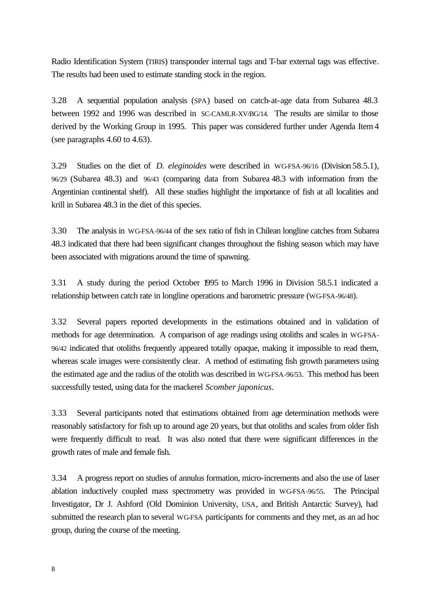Radio Identification System (TIRIS) transponder internal tags and T-bar external tags was effective. The results had been used to estimate standing stock in the region.

3.28 A sequential population analysis (SPA) based on catch-at-age data from Subarea 48.3 between 1992 and 1996 was described in SC-CAMLR-XV/BG/14. The results are similar to those derived by the Working Group in 1995. This paper was considered further under Agenda Item 4 (see paragraphs 4.60 to 4.63).

3.29 Studies on the diet of *D. eleginoides* were described in WG-FSA-96/16 (Division 58.5.1), 96/29 (Subarea 48.3) and 96/43 (comparing data from Subarea 48.3 with information from the Argentinian continental shelf). All these studies highlight the importance of fish at all localities and krill in Subarea 48.3 in the diet of this species.

3.30 The analysis in WG-FSA-96/44 of the sex ratio of fish in Chilean longline catches from Subarea 48.3 indicated that there had been significant changes throughout the fishing season which may have been associated with migrations around the time of spawning.

3.31 A study during the period October 1995 to March 1996 in Division 58.5.1 indicated a relationship between catch rate in longline operations and barometric pressure (WG-FSA-96/48).

3.32 Several papers reported developments in the estimations obtained and in validation of methods for age determination. A comparison of age readings using otoliths and scales in WG-FSA-96/42 indicated that otoliths frequently appeared totally opaque, making it impossible to read them, whereas scale images were consistently clear. A method of estimating fish growth parameters using the estimated age and the radius of the otolith was described in WG-FSA-96/53. This method has been successfully tested, using data for the mackerel *Scomber japonicus*.

3.33 Several participants noted that estimations obtained from age determination methods were reasonably satisfactory for fish up to around age 20 years, but that otoliths and scales from older fish were frequently difficult to read. It was also noted that there were significant differences in the growth rates of male and female fish.

3.34 A progress report on studies of annulus formation, micro-increments and also the use of laser ablation inductively coupled mass spectrometry was provided in WG-FSA-96/55. The Principal Investigator, Dr J. Ashford (Old Dominion University, USA, and British Antarctic Survey), had submitted the research plan to several WG-FSA participants for comments and they met, as an ad hoc group, during the course of the meeting.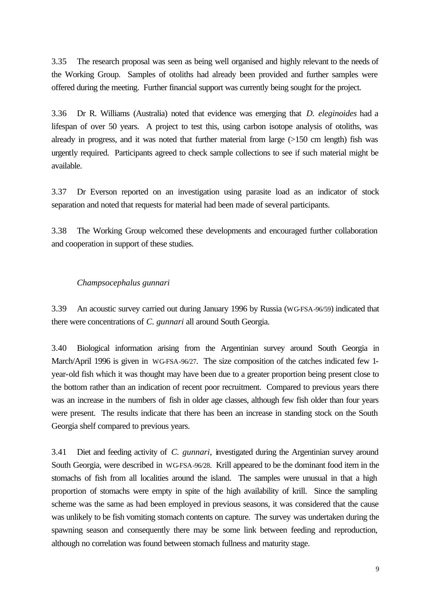3.35 The research proposal was seen as being well organised and highly relevant to the needs of the Working Group. Samples of otoliths had already been provided and further samples were offered during the meeting. Further financial support was currently being sought for the project.

3.36 Dr R. Williams (Australia) noted that evidence was emerging that *D. eleginoides* had a lifespan of over 50 years. A project to test this, using carbon isotope analysis of otoliths, was already in progress, and it was noted that further material from large (>150 cm length) fish was urgently required. Participants agreed to check sample collections to see if such material might be available.

3.37 Dr Everson reported on an investigation using parasite load as an indicator of stock separation and noted that requests for material had been made of several participants.

3.38 The Working Group welcomed these developments and encouraged further collaboration and cooperation in support of these studies.

### *Champsocephalus gunnari*

3.39 An acoustic survey carried out during January 1996 by Russia (WG-FSA-96/59) indicated that there were concentrations of *C. gunnari* all around South Georgia.

3.40 Biological information arising from the Argentinian survey around South Georgia in March/April 1996 is given in WG-FSA-96/27. The size composition of the catches indicated few 1 year-old fish which it was thought may have been due to a greater proportion being present close to the bottom rather than an indication of recent poor recruitment. Compared to previous years there was an increase in the numbers of fish in older age classes, although few fish older than four years were present. The results indicate that there has been an increase in standing stock on the South Georgia shelf compared to previous years.

3.41 Diet and feeding activity of *C. gunnari*, investigated during the Argentinian survey around South Georgia, were described in WG-FSA-96/28. Krill appeared to be the dominant food item in the stomachs of fish from all localities around the island. The samples were unusual in that a high proportion of stomachs were empty in spite of the high availability of krill. Since the sampling scheme was the same as had been employed in previous seasons, it was considered that the cause was unlikely to be fish vomiting stomach contents on capture. The survey was undertaken during the spawning season and consequently there may be some link between feeding and reproduction, although no correlation was found between stomach fullness and maturity stage.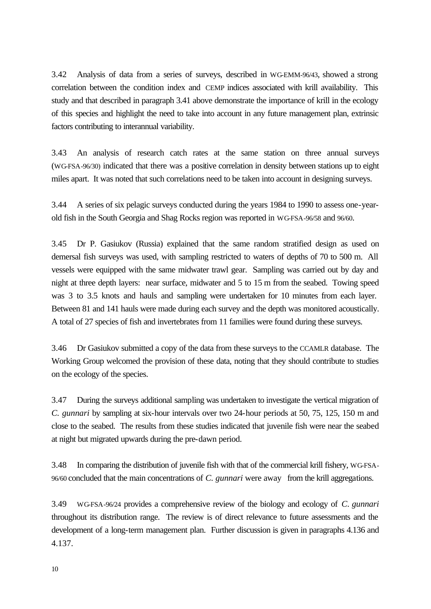3.42 Analysis of data from a series of surveys, described in WG-EMM-96/43, showed a strong correlation between the condition index and CEMP indices associated with krill availability. This study and that described in paragraph 3.41 above demonstrate the importance of krill in the ecology of this species and highlight the need to take into account in any future management plan, extrinsic factors contributing to interannual variability.

3.43 An analysis of research catch rates at the same station on three annual surveys (WG-FSA-96/30) indicated that there was a positive correlation in density between stations up to eight miles apart. It was noted that such correlations need to be taken into account in designing surveys.

3.44 A series of six pelagic surveys conducted during the years 1984 to 1990 to assess one-yearold fish in the South Georgia and Shag Rocks region was reported in WG-FSA-96/58 and 96/60.

3.45 Dr P. Gasiukov (Russia) explained that the same random stratified design as used on demersal fish surveys was used, with sampling restricted to waters of depths of 70 to 500 m. All vessels were equipped with the same midwater trawl gear. Sampling was carried out by day and night at three depth layers: near surface, midwater and 5 to 15 m from the seabed. Towing speed was 3 to 3.5 knots and hauls and sampling were undertaken for 10 minutes from each layer. Between 81 and 141 hauls were made during each survey and the depth was monitored acoustically. A total of 27 species of fish and invertebrates from 11 families were found during these surveys.

3.46 Dr Gasiukov submitted a copy of the data from these surveys to the CCAMLR database. The Working Group welcomed the provision of these data, noting that they should contribute to studies on the ecology of the species.

3.47 During the surveys additional sampling was undertaken to investigate the vertical migration of *C. gunnari* by sampling at six-hour intervals over two 24-hour periods at 50, 75, 125, 150 m and close to the seabed. The results from these studies indicated that juvenile fish were near the seabed at night but migrated upwards during the pre-dawn period.

3.48 In comparing the distribution of juvenile fish with that of the commercial krill fishery, WG-FSA-96/60 concluded that the main concentrations of *C. gunnari* were away from the krill aggregations.

3.49 WG-FSA-96/24 provides a comprehensive review of the biology and ecology of *C. gunnari* throughout its distribution range. The review is of direct relevance to future assessments and the development of a long-term management plan. Further discussion is given in paragraphs 4.136 and 4.137.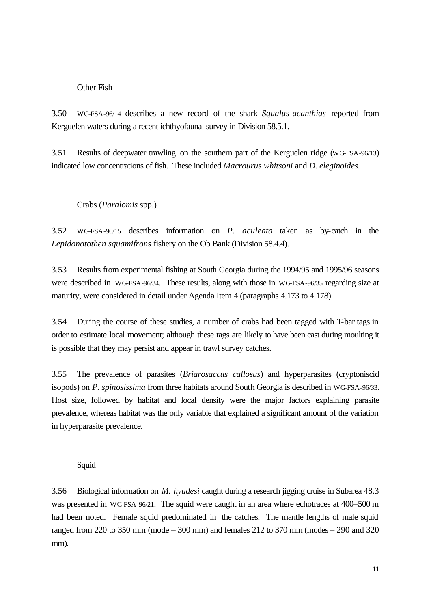# Other Fish

3.50 WG-FSA-96/14 describes a new record of the shark *Squalus acanthias* reported from Kerguelen waters during a recent ichthyofaunal survey in Division 58.5.1.

3.51 Results of deepwater trawling on the southern part of the Kerguelen ridge (WG-FSA-96/13) indicated low concentrations of fish. These included *Macrourus whitsoni* and *D. eleginoides*.

# Crabs (*Paralomis* spp.)

3.52 WG-FSA-96/15 describes information on *P. aculeata* taken as by-catch in the *Lepidonotothen squamifrons* fishery on the Ob Bank (Division 58.4.4).

3.53 Results from experimental fishing at South Georgia during the 1994/95 and 1995/96 seasons were described in WG-FSA-96/34. These results, along with those in WG-FSA-96/35 regarding size at maturity, were considered in detail under Agenda Item 4 (paragraphs 4.173 to 4.178).

3.54 During the course of these studies, a number of crabs had been tagged with T-bar tags in order to estimate local movement; although these tags are likely to have been cast during moulting it is possible that they may persist and appear in trawl survey catches.

3.55 The prevalence of parasites (*Briarosaccus callosus*) and hyperparasites (cryptoniscid isopods) on *P. spinosissima* from three habitats around South Georgia is described in WG-FSA-96/33. Host size, followed by habitat and local density were the major factors explaining parasite prevalence, whereas habitat was the only variable that explained a significant amount of the variation in hyperparasite prevalence.

# Squid

3.56 Biological information on *M. hyadesi* caught during a research jigging cruise in Subarea 48.3 was presented in WG-FSA-96/21. The squid were caught in an area where echotraces at 400–500 m had been noted. Female squid predominated in the catches. The mantle lengths of male squid ranged from 220 to 350 mm (mode – 300 mm) and females 212 to 370 mm (modes – 290 and 320 mm).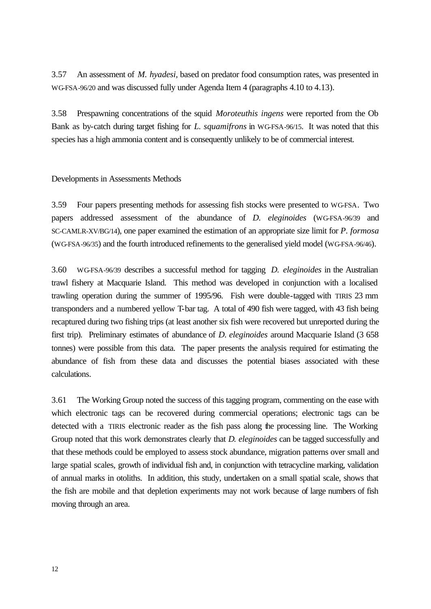3.57 An assessment of *M. hyadesi,* based on predator food consumption rates, was presented in WG-FSA-96/20 and was discussed fully under Agenda Item 4 (paragraphs 4.10 to 4.13).

3.58 Prespawning concentrations of the squid *Moroteuthis ingens* were reported from the Ob Bank as by-catch during target fishing for *L. squamifrons* in WG-FSA-96/15. It was noted that this species has a high ammonia content and is consequently unlikely to be of commercial interest.

### Developments in Assessments Methods

3.59 Four papers presenting methods for assessing fish stocks were presented to WG-FSA. Two papers addressed assessment of the abundance of *D. eleginoides* (WG-FSA-96/39 and SC-CAMLR-XV/BG/14), one paper examined the estimation of an appropriate size limit for *P. formosa* (WG-FSA-96/35) and the fourth introduced refinements to the generalised yield model (WG-FSA-96/46).

3.60 WG-FSA-96/39 describes a successful method for tagging *D. eleginoides* in the Australian trawl fishery at Macquarie Island. This method was developed in conjunction with a localised trawling operation during the summer of 1995/96. Fish were double-tagged with TIRIS 23 mm transponders and a numbered yellow T-bar tag. A total of 490 fish were tagged, with 43 fish being recaptured during two fishing trips (at least another six fish were recovered but unreported during the first trip). Preliminary estimates of abundance of *D. eleginoides* around Macquarie Island (3 658 tonnes) were possible from this data. The paper presents the analysis required for estimating the abundance of fish from these data and discusses the potential biases associated with these calculations.

3.61 The Working Group noted the success of this tagging program, commenting on the ease with which electronic tags can be recovered during commercial operations; electronic tags can be detected with a TIRIS electronic reader as the fish pass along the processing line. The Working Group noted that this work demonstrates clearly that *D. eleginoides* can be tagged successfully and that these methods could be employed to assess stock abundance, migration patterns over small and large spatial scales, growth of individual fish and, in conjunction with tetracycline marking, validation of annual marks in otoliths. In addition, this study, undertaken on a small spatial scale, shows that the fish are mobile and that depletion experiments may not work because of large numbers of fish moving through an area.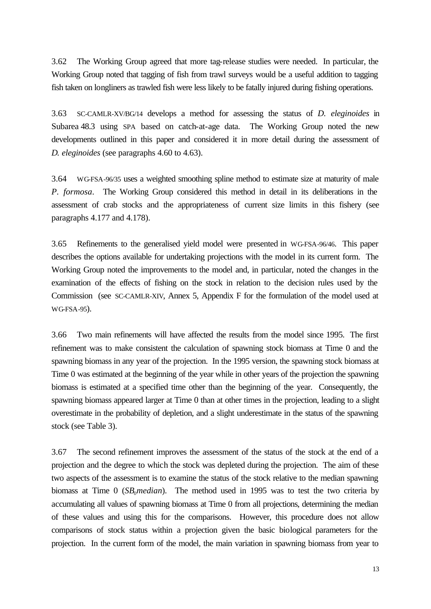3.62 The Working Group agreed that more tag-release studies were needed. In particular, the Working Group noted that tagging of fish from trawl surveys would be a useful addition to tagging fish taken on longliners as trawled fish were less likely to be fatally injured during fishing operations.

3.63 SC-CAMLR-XV/BG/14 develops a method for assessing the status of *D. eleginoides* in Subarea 48.3 using SPA based on catch-at-age data. The Working Group noted the new developments outlined in this paper and considered it in more detail during the assessment of *D. eleginoides* (see paragraphs 4.60 to 4.63).

3.64 WG-FSA-96/35 uses a weighted smoothing spline method to estimate size at maturity of male *P. formosa*. The Working Group considered this method in detail in its deliberations in the assessment of crab stocks and the appropriateness of current size limits in this fishery (see paragraphs 4.177 and 4.178).

3.65 Refinements to the generalised yield model were presented in WG-FSA-96/46. This paper describes the options available for undertaking projections with the model in its current form. The Working Group noted the improvements to the model and, in particular, noted the changes in the examination of the effects of fishing on the stock in relation to the decision rules used by the Commission (see SC-CAMLR-XIV, Annex 5, Appendix F for the formulation of the model used at WG-FSA-95).

3.66 Two main refinements will have affected the results from the model since 1995. The first refinement was to make consistent the calculation of spawning stock biomass at Time 0 and the spawning biomass in any year of the projection. In the 1995 version, the spawning stock biomass at Time 0 was estimated at the beginning of the year while in other years of the projection the spawning biomass is estimated at a specified time other than the beginning of the year. Consequently, the spawning biomass appeared larger at Time 0 than at other times in the projection, leading to a slight overestimate in the probability of depletion, and a slight underestimate in the status of the spawning stock (see Table 3).

3.67 The second refinement improves the assessment of the status of the stock at the end of a projection and the degree to which the stock was depleted during the projection. The aim of these two aspects of the assessment is to examine the status of the stock relative to the median spawning biomass at Time 0 (*SB0median*). The method used in 1995 was to test the two criteria by accumulating all values of spawning biomass at Time 0 from all projections, determining the median of these values and using this for the comparisons. However, this procedure does not allow comparisons of stock status within a projection given the basic biological parameters for the projection. In the current form of the model, the main variation in spawning biomass from year to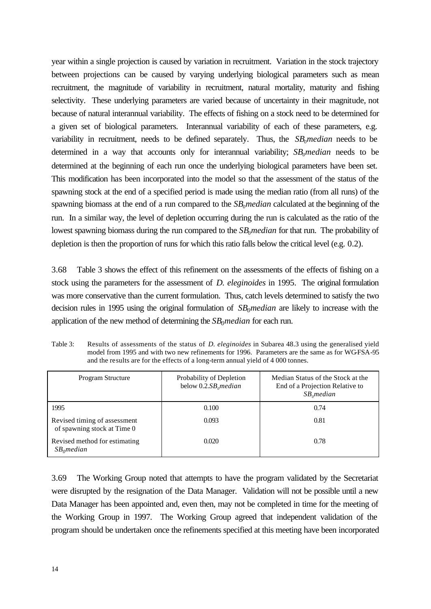year within a single projection is caused by variation in recruitment. Variation in the stock trajectory between projections can be caused by varying underlying biological parameters such as mean recruitment, the magnitude of variability in recruitment, natural mortality, maturity and fishing selectivity. These underlying parameters are varied because of uncertainty in their magnitude, not because of natural interannual variability. The effects of fishing on a stock need to be determined for a given set of biological parameters. Interannual variability of each of these parameters, e.g. variability in recruitment, needs to be defined separately. Thus, the  $SB_0$ *median* needs to be determined in a way that accounts only for interannual variability; *SB*<sub>0</sub>*median* needs to be determined at the beginning of each run once the underlying biological parameters have been set. This modification has been incorporated into the model so that the assessment of the status of the spawning stock at the end of a specified period is made using the median ratio (from all runs) of the spawning biomass at the end of a run compared to the *SB*<sub>0</sub>*median* calculated at the beginning of the run. In a similar way, the level of depletion occurring during the run is calculated as the ratio of the lowest spawning biomass during the run compared to the *SB<sub>0</sub> median* for that run. The probability of depletion is then the proportion of runs for which this ratio falls below the critical level (e.g. 0.2).

3.68 Table 3 shows the effect of this refinement on the assessments of the effects of fishing on a stock using the parameters for the assessment of *D. eleginoides* in 1995. The original formulation was more conservative than the current formulation. Thus, catch levels determined to satisfy the two decision rules in 1995 using the original formulation of *SB0median* are likely to increase with the application of the new method of determining the *SB0median* for each run.

Table 3: Results of assessments of the status of *D. eleginoides* in Subarea 48.3 using the generalised yield model from 1995 and with two new refinements for 1996. Parameters are the same as for WG-FSA-95 and the results are for the effects of a long-term annual yield of 4 000 tonnes.

| Program Structure                                           | Probability of Depletion<br>below $0.2.SB$ <sub>o</sub> median | Median Status of the Stock at the<br>End of a Projection Relative to<br>$SB$ <sub>o</sub> median |
|-------------------------------------------------------------|----------------------------------------------------------------|--------------------------------------------------------------------------------------------------|
| 1995                                                        | 0.100                                                          | 0.74                                                                                             |
| Revised timing of assessment<br>of spawning stock at Time 0 | 0.093                                                          | 0.81                                                                                             |
| Revised method for estimating<br>$SB_0$ median              | 0.020                                                          | 0.78                                                                                             |

3.69 The Working Group noted that attempts to have the program validated by the Secretariat were disrupted by the resignation of the Data Manager. Validation will not be possible until a new Data Manager has been appointed and, even then, may not be completed in time for the meeting of the Working Group in 1997. The Working Group agreed that independent validation of the program should be undertaken once the refinements specified at this meeting have been incorporated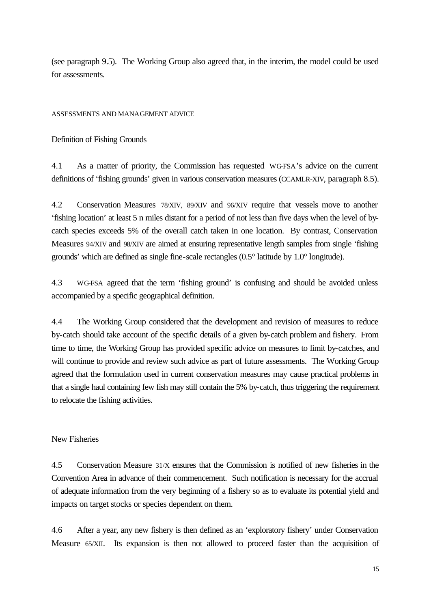(see paragraph 9.5). The Working Group also agreed that, in the interim, the model could be used for assessments.

ASSESSMENTS AND MANAGEMENT ADVICE

Definition of Fishing Grounds

4.1 As a matter of priority, the Commission has requested WG-FSA's advice on the current definitions of 'fishing grounds' given in various conservation measures (CCAMLR-XIV, paragraph 8.5).

4.2 Conservation Measures 78/XIV, 89/XIV and 96/XIV require that vessels move to another 'fishing location' at least 5 n miles distant for a period of not less than five days when the level of bycatch species exceeds 5% of the overall catch taken in one location. By contrast, Conservation Measures 94/XIV and 98/XIV are aimed at ensuring representative length samples from single 'fishing grounds' which are defined as single fine-scale rectangles (0.5° latitude by 1.0° longitude).

4.3 WG-FSA agreed that the term 'fishing ground' is confusing and should be avoided unless accompanied by a specific geographical definition.

4.4 The Working Group considered that the development and revision of measures to reduce by-catch should take account of the specific details of a given by-catch problem and fishery. From time to time, the Working Group has provided specific advice on measures to limit by-catches, and will continue to provide and review such advice as part of future assessments. The Working Group agreed that the formulation used in current conservation measures may cause practical problems in that a single haul containing few fish may still contain the 5% by-catch, thus triggering the requirement to relocate the fishing activities.

New Fisheries

4.5 Conservation Measure 31/X ensures that the Commission is notified of new fisheries in the Convention Area in advance of their commencement. Such notification is necessary for the accrual of adequate information from the very beginning of a fishery so as to evaluate its potential yield and impacts on target stocks or species dependent on them.

4.6 After a year, any new fishery is then defined as an 'exploratory fishery' under Conservation Measure 65/XII. Its expansion is then not allowed to proceed faster than the acquisition of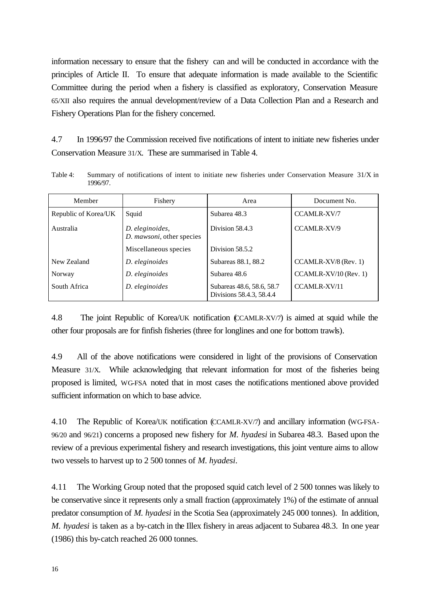information necessary to ensure that the fishery can and will be conducted in accordance with the principles of Article II. To ensure that adequate information is made available to the Scientific Committee during the period when a fishery is classified as exploratory, Conservation Measure 65/XII also requires the annual development/review of a Data Collection Plan and a Research and Fishery Operations Plan for the fishery concerned.

4.7 In 1996/97 the Commission received five notifications of intent to initiate new fisheries under Conservation Measure 31/X. These are summarised in Table 4.

Table 4: Summary of notifications of intent to initiate new fisheries under Conservation Measure 31/X in 1996/97.

| Member               | Fishery                                      | Area                                                  | Document No.            |
|----------------------|----------------------------------------------|-------------------------------------------------------|-------------------------|
| Republic of Korea/UK | Squid                                        | Subarea 48.3                                          | <b>CCAMLR-XV/7</b>      |
| Australia            | D. eleginoides,<br>D. mawsoni, other species | Division 58.4.3                                       | CCAMLR-XV/9             |
|                      | Miscellaneous species                        | Division 58.5.2                                       |                         |
| New Zealand          | D. eleginoides                               | Subareas 88.1, 88.2                                   | $CCAMLR-XV/8$ (Rev. 1)  |
| Norway               | D. eleginoides                               | Subarea 48.6                                          | $CCAMLR-XV/10$ (Rev. 1) |
| South Africa         | D. eleginoides                               | Subareas 48.6, 58.6, 58.7<br>Divisions 58.4.3, 58.4.4 | <b>CCAMLR-XV/11</b>     |

4.8 The joint Republic of Korea/UK notification (CCAMLR-XV/7) is aimed at squid while the other four proposals are for finfish fisheries (three for longlines and one for bottom trawls).

4.9 All of the above notifications were considered in light of the provisions of Conservation Measure 31/X. While acknowledging that relevant information for most of the fisheries being proposed is limited, WG-FSA noted that in most cases the notifications mentioned above provided sufficient information on which to base advice.

4.10 The Republic of Korea/UK notification (CCAMLR-XV/7) and ancillary information (WG-FSA-96/20 and 96/21) concerns a proposed new fishery for *M. hyadesi* in Subarea 48.3. Based upon the review of a previous experimental fishery and research investigations, this joint venture aims to allow two vessels to harvest up to 2 500 tonnes of *M. hyadesi*.

4.11 The Working Group noted that the proposed squid catch level of 2 500 tonnes was likely to be conservative since it represents only a small fraction (approximately 1%) of the estimate of annual predator consumption of *M. hyadesi* in the Scotia Sea (approximately 245 000 tonnes). In addition, *M. hyadesi* is taken as a by-catch in the Illex fishery in areas adjacent to Subarea 48.3. In one year (1986) this by-catch reached 26 000 tonnes.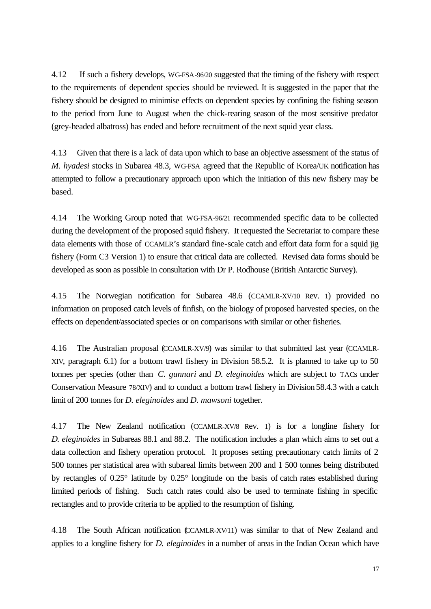4.12 If such a fishery develops, WG-FSA-96/20 suggested that the timing of the fishery with respect to the requirements of dependent species should be reviewed. It is suggested in the paper that the fishery should be designed to minimise effects on dependent species by confining the fishing season to the period from June to August when the chick-rearing season of the most sensitive predator (grey-headed albatross) has ended and before recruitment of the next squid year class.

4.13 Given that there is a lack of data upon which to base an objective assessment of the status of *M. hyadesi* stocks in Subarea 48.3, WG-FSA agreed that the Republic of Korea/UK notification has attempted to follow a precautionary approach upon which the initiation of this new fishery may be based.

4.14 The Working Group noted that WG-FSA-96/21 recommended specific data to be collected during the development of the proposed squid fishery. It requested the Secretariat to compare these data elements with those of CCAMLR's standard fine-scale catch and effort data form for a squid jig fishery (Form C3 Version 1) to ensure that critical data are collected. Revised data forms should be developed as soon as possible in consultation with Dr P. Rodhouse (British Antarctic Survey).

4.15 The Norwegian notification for Subarea 48.6 (CCAMLR-XV/10 Rev. 1) provided no information on proposed catch levels of finfish, on the biology of proposed harvested species, on the effects on dependent/associated species or on comparisons with similar or other fisheries.

4.16 The Australian proposal (CCAMLR-XV/9) was similar to that submitted last year (CCAMLR-XIV, paragraph 6.1) for a bottom trawl fishery in Division 58.5.2. It is planned to take up to 50 tonnes per species (other than *C. gunnari* and *D. eleginoides* which are subject to TACs under Conservation Measure 78/XIV) and to conduct a bottom trawl fishery in Division 58.4.3 with a catch limit of 200 tonnes for *D. eleginoides* and *D. mawsoni* together.

4.17 The New Zealand notification (CCAMLR-XV/8 Rev. 1) is for a longline fishery for *D. eleginoides* in Subareas 88.1 and 88.2. The notification includes a plan which aims to set out a data collection and fishery operation protocol. It proposes setting precautionary catch limits of 2 500 tonnes per statistical area with subareal limits between 200 and 1 500 tonnes being distributed by rectangles of 0.25° latitude by 0.25° longitude on the basis of catch rates established during limited periods of fishing. Such catch rates could also be used to terminate fishing in specific rectangles and to provide criteria to be applied to the resumption of fishing.

4.18 The South African notification (CCAMLR-XV/11) was similar to that of New Zealand and applies to a longline fishery for *D. eleginoides* in a number of areas in the Indian Ocean which have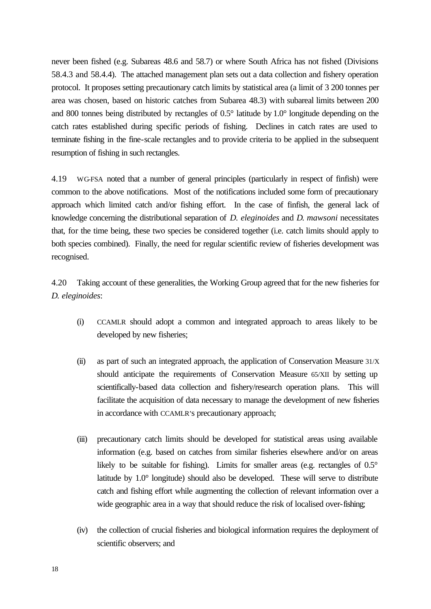never been fished (e.g. Subareas 48.6 and 58.7) or where South Africa has not fished (Divisions 58.4.3 and 58.4.4). The attached management plan sets out a data collection and fishery operation protocol. It proposes setting precautionary catch limits by statistical area (a limit of 3 200 tonnes per area was chosen, based on historic catches from Subarea 48.3) with subareal limits between 200 and 800 tonnes being distributed by rectangles of 0.5° latitude by 1.0° longitude depending on the catch rates established during specific periods of fishing. Declines in catch rates are used to terminate fishing in the fine-scale rectangles and to provide criteria to be applied in the subsequent resumption of fishing in such rectangles.

4.19 WG-FSA noted that a number of general principles (particularly in respect of finfish) were common to the above notifications. Most of the notifications included some form of precautionary approach which limited catch and/or fishing effort. In the case of finfish, the general lack of knowledge concerning the distributional separation of *D. eleginoides* and *D. mawsoni* necessitates that, for the time being, these two species be considered together (i.e. catch limits should apply to both species combined). Finally, the need for regular scientific review of fisheries development was recognised.

4.20 Taking account of these generalities, the Working Group agreed that for the new fisheries for *D. eleginoides*:

- (i) CCAMLR should adopt a common and integrated approach to areas likely to be developed by new fisheries;
- (ii) as part of such an integrated approach, the application of Conservation Measure 31/X should anticipate the requirements of Conservation Measure 65/XII by setting up scientifically-based data collection and fishery/research operation plans. This will facilitate the acquisition of data necessary to manage the development of new fisheries in accordance with CCAMLR's precautionary approach;
- (iii) precautionary catch limits should be developed for statistical areas using available information (e.g. based on catches from similar fisheries elsewhere and/or on areas likely to be suitable for fishing). Limits for smaller areas (e.g. rectangles of  $0.5^{\circ}$ ) latitude by 1.0° longitude) should also be developed. These will serve to distribute catch and fishing effort while augmenting the collection of relevant information over a wide geographic area in a way that should reduce the risk of localised over-fishing;
- (iv) the collection of crucial fisheries and biological information requires the deployment of scientific observers; and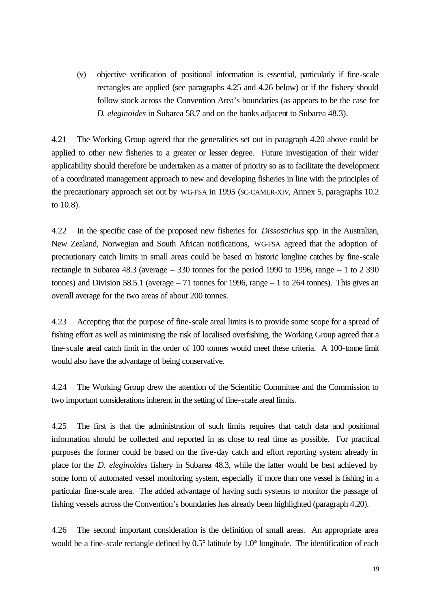(v) objective verification of positional information is essential, particularly if fine-scale rectangles are applied (see paragraphs 4.25 and 4.26 below) or if the fishery should follow stock across the Convention Area's boundaries (as appears to be the case for *D. eleginoides* in Subarea 58.7 and on the banks adjacent to Subarea 48.3).

4.21 The Working Group agreed that the generalities set out in paragraph 4.20 above could be applied to other new fisheries to a greater or lesser degree. Future investigation of their wider applicability should therefore be undertaken as a matter of priority so as to facilitate the development of a coordinated management approach to new and developing fisheries in line with the principles of the precautionary approach set out by WG-FSA in 1995 (SC-CAMLR-XIV, Annex 5, paragraphs 10.2 to 10.8).

4.22 In the specific case of the proposed new fisheries for *Dissostichus* spp. in the Australian, New Zealand, Norwegian and South African notifications, WG-FSA agreed that the adoption of precautionary catch limits in small areas could be based on historic longline catches by fine-scale rectangle in Subarea 48.3 (average  $-330$  tonnes for the period 1990 to 1996, range  $-1$  to 2 390 tonnes) and Division 58.5.1 (average – 71 tonnes for 1996, range – 1 to 264 tonnes). This gives an overall average for the two areas of about 200 tonnes.

4.23 Accepting that the purpose of fine-scale areal limits is to provide some scope for a spread of fishing effort as well as minimising the risk of localised overfishing, the Working Group agreed that a fine-scale areal catch limit in the order of 100 tonnes would meet these criteria. A 100-tonne limit would also have the advantage of being conservative.

4.24 The Working Group drew the attention of the Scientific Committee and the Commission to two important considerations inherent in the setting of fine-scale areal limits.

4.25 The first is that the administration of such limits requires that catch data and positional information should be collected and reported in as close to real time as possible. For practical purposes the former could be based on the five-day catch and effort reporting system already in place for the *D. eleginoides* fishery in Subarea 48.3, while the latter would be best achieved by some form of automated vessel monitoring system, especially if more than one vessel is fishing in a particular fine-scale area. The added advantage of having such systems to monitor the passage of fishing vessels across the Convention's boundaries has already been highlighted (paragraph 4.20).

4.26 The second important consideration is the definition of small areas. An appropriate area would be a fine-scale rectangle defined by 0.5° latitude by 1.0° longitude. The identification of each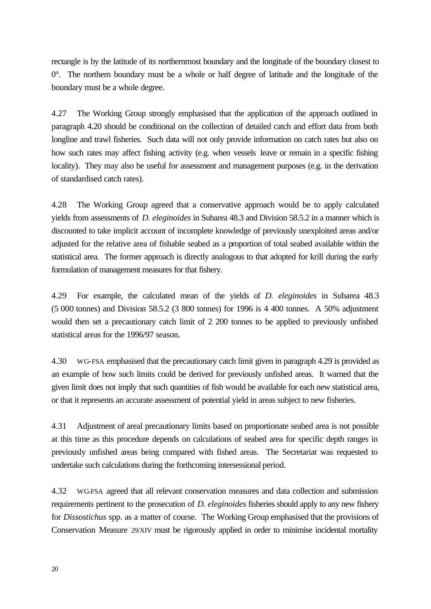rectangle is by the latitude of its northernmost boundary and the longitude of the boundary closest to 0°. The northern boundary must be a whole or half degree of latitude and the longitude of the boundary must be a whole degree.

4.27 The Working Group strongly emphasised that the application of the approach outlined in paragraph 4.20 should be conditional on the collection of detailed catch and effort data from both longline and trawl fisheries. Such data will not only provide information on catch rates but also on how such rates may affect fishing activity (e.g. when vessels leave or remain in a specific fishing locality). They may also be useful for assessment and management purposes (e.g. in the derivation of standardised catch rates).

4.28 The Working Group agreed that a conservative approach would be to apply calculated yields from assessments of *D. eleginoides* in Subarea 48.3 and Division 58.5.2 in a manner which is discounted to take implicit account of incomplete knowledge of previously unexploited areas and/or adjusted for the relative area of fishable seabed as a proportion of total seabed available within the statistical area. The former approach is directly analogous to that adopted for krill during the early formulation of management measures for that fishery.

4.29 For example, the calculated mean of the yields of *D. eleginoides* in Subarea 48.3 (5 000 tonnes) and Division 58.5.2 (3 800 tonnes) for 1996 is 4 400 tonnes. A 50% adjustment would then set a precautionary catch limit of 2 200 tonnes to be applied to previously unfished statistical areas for the 1996/97 season.

4.30 WG-FSA emphasised that the precautionary catch limit given in paragraph 4.29 is provided as an example of how such limits could be derived for previously unfished areas. It warned that the given limit does not imply that such quantities of fish would be available for each new statistical area, or that it represents an accurate assessment of potential yield in areas subject to new fisheries.

4.31 Adjustment of areal precautionary limits based on proportionate seabed area is not possible at this time as this procedure depends on calculations of seabed area for specific depth ranges in previously unfished areas being compared with fished areas. The Secretariat was requested to undertake such calculations during the forthcoming intersessional period.

4.32 WG-FSA agreed that all relevant conservation measures and data collection and submission requirements pertinent to the prosecution of *D. eleginoides* fisheries should apply to any new fishery for *Dissostichus* spp. as a matter of course. The Working Group emphasised that the provisions of Conservation Measure 29/XIV must be rigorously applied in order to minimise incidental mortality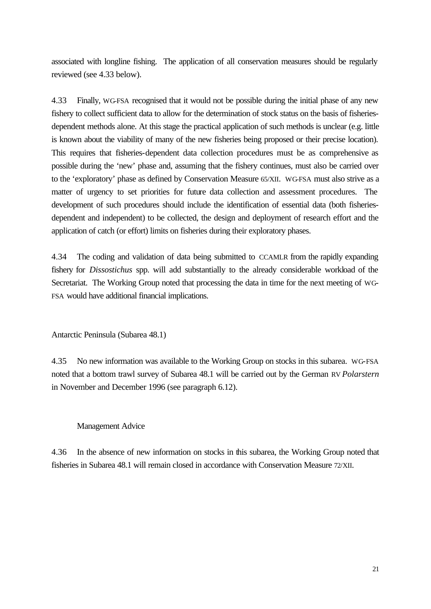associated with longline fishing. The application of all conservation measures should be regularly reviewed (see 4.33 below).

4.33 Finally, WG-FSA recognised that it would not be possible during the initial phase of any new fishery to collect sufficient data to allow for the determination of stock status on the basis of fisheriesdependent methods alone. At this stage the practical application of such methods is unclear (e.g. little is known about the viability of many of the new fisheries being proposed or their precise location). This requires that fisheries-dependent data collection procedures must be as comprehensive as possible during the 'new' phase and, assuming that the fishery continues, must also be carried over to the 'exploratory' phase as defined by Conservation Measure 65/XII. WG-FSA must also strive as a matter of urgency to set priorities for future data collection and assessment procedures. The development of such procedures should include the identification of essential data (both fisheriesdependent and independent) to be collected, the design and deployment of research effort and the application of catch (or effort) limits on fisheries during their exploratory phases.

4.34 The coding and validation of data being submitted to CCAMLR from the rapidly expanding fishery for *Dissostichus* spp. will add substantially to the already considerable workload of the Secretariat. The Working Group noted that processing the data in time for the next meeting of WG-FSA would have additional financial implications.

Antarctic Peninsula (Subarea 48.1)

4.35 No new information was available to the Working Group on stocks in this subarea. WG-FSA noted that a bottom trawl survey of Subarea 48.1 will be carried out by the German RV *Polarstern* in November and December 1996 (see paragraph 6.12).

# Management Advice

4.36 In the absence of new information on stocks in this subarea, the Working Group noted that fisheries in Subarea 48.1 will remain closed in accordance with Conservation Measure 72/XII.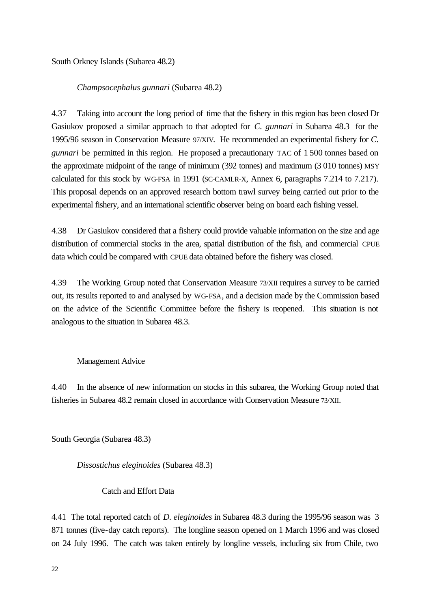South Orkney Islands (Subarea 48.2)

*Champsocephalus gunnari* (Subarea 48.2)

4.37 Taking into account the long period of time that the fishery in this region has been closed Dr Gasiukov proposed a similar approach to that adopted for *C. gunnari* in Subarea 48.3 for the 1995/96 season in Conservation Measure 97/XIV. He recommended an experimental fishery for *C. gunnari* be permitted in this region. He proposed a precautionary TAC of 1 500 tonnes based on the approximate midpoint of the range of minimum (392 tonnes) and maximum (3 010 tonnes) MSY calculated for this stock by WG-FSA in 1991 (SC-CAMLR-X, Annex 6, paragraphs 7.214 to 7.217). This proposal depends on an approved research bottom trawl survey being carried out prior to the experimental fishery, and an international scientific observer being on board each fishing vessel.

4.38 Dr Gasiukov considered that a fishery could provide valuable information on the size and age distribution of commercial stocks in the area, spatial distribution of the fish, and commercial CPUE data which could be compared with CPUE data obtained before the fishery was closed.

4.39 The Working Group noted that Conservation Measure 73/XII requires a survey to be carried out, its results reported to and analysed by WG-FSA, and a decision made by the Commission based on the advice of the Scientific Committee before the fishery is reopened. This situation is not analogous to the situation in Subarea 48.3.

Management Advice

4.40 In the absence of new information on stocks in this subarea, the Working Group noted that fisheries in Subarea 48.2 remain closed in accordance with Conservation Measure 73/XII.

South Georgia (Subarea 48.3)

*Dissostichus eleginoides* (Subarea 48.3)

Catch and Effort Data

4.41 The total reported catch of *D. eleginoides* in Subarea 48.3 during the 1995/96 season was 3 871 tonnes (five-day catch reports). The longline season opened on 1 March 1996 and was closed on 24 July 1996. The catch was taken entirely by longline vessels, including six from Chile, two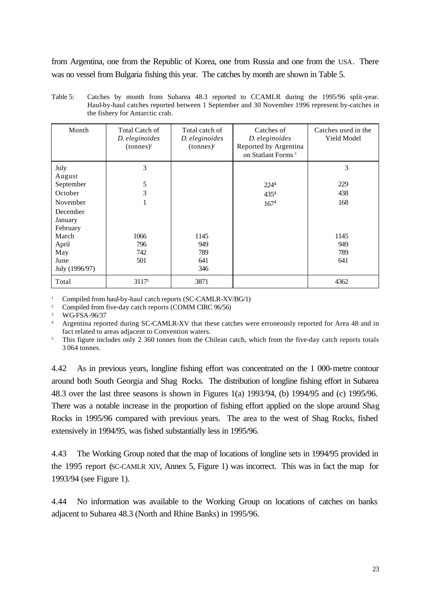from Argentina, one from the Republic of Korea, one from Russia and one from the USA. There was no vessel from Bulgaria fishing this year. The catches by month are shown in Table 5.

| Month                           | <b>Total Catch of</b><br>D. eleginoides<br>$(tonnes)^1$ | Total catch of<br>D. eleginoides<br>$(tonnes)^2$ | Catches of<br>D. eleginoides<br>Reported by Argentina<br>on Statlant Forms <sup>3</sup> | Catches used in the<br><b>Yield Model</b> |
|---------------------------------|---------------------------------------------------------|--------------------------------------------------|-----------------------------------------------------------------------------------------|-------------------------------------------|
| July<br>August                  | 3                                                       |                                                  |                                                                                         | 3                                         |
| September                       | 5                                                       |                                                  | 224 <sup>4</sup>                                                                        | 229                                       |
| October                         | 3                                                       |                                                  | 4354                                                                                    | 438                                       |
| November                        | 1                                                       |                                                  | 167 <sup>4</sup>                                                                        | 168                                       |
| December<br>January<br>February |                                                         |                                                  |                                                                                         |                                           |
| March                           | 1066                                                    | 1145                                             |                                                                                         | 1145                                      |
| April                           | 796                                                     | 949                                              |                                                                                         | 949                                       |
| May                             | 742                                                     | 789                                              |                                                                                         | 789                                       |
| June<br>July (1996/97)          | 501                                                     | 641<br>346                                       |                                                                                         | 641                                       |
| Total                           | 31175                                                   | 3871                                             |                                                                                         | 4362                                      |

Table 5: Catches by month from Subarea 48.3 reported to CCAMLR during the 1995/96 split-year. Haul-by-haul catches reported between 1 September and 30 November 1996 represent by-catches in the fishery for Antarctic crab.

Compiled from haul-by-haul catch reports (SC-CAMLR-XV/BG/1)

<sup>2</sup> Compiled from five-day catch reports (COMM CIRC 96/56)

<sup>3</sup> WG-FSA-96/37

<sup>4</sup> Argentina reported during SC-CAMLR-XV that these catches were erroneously reported for Area 48 and in fact related to areas adjacent to Convention waters.

<sup>5</sup> This figure includes only 2 360 tonnes from the Chilean catch, which from the five-day catch reports totals 3 064 tonnes.

4.42 As in previous years, longline fishing effort was concentrated on the 1 000-metre contour around both South Georgia and Shag Rocks. The distribution of longline fishing effort in Subarea 48.3 over the last three seasons is shown in Figures 1(a) 1993/94, (b) 1994/95 and (c) 1995/96. There was a notable increase in the proportion of fishing effort applied on the slope around Shag Rocks in 1995/96 compared with previous years. The area to the west of Shag Rocks, fished extensively in 1994/95, was fished substantially less in 1995/96.

4.43 The Working Group noted that the map of locations of longline sets in 1994/95 provided in the 1995 report (SC-CAMLR XIV, Annex 5, Figure 1) was incorrect. This was in fact the map for 1993/94 (see Figure 1).

4.44 No information was available to the Working Group on locations of catches on banks adjacent to Subarea 48.3 (North and Rhine Banks) in 1995/96.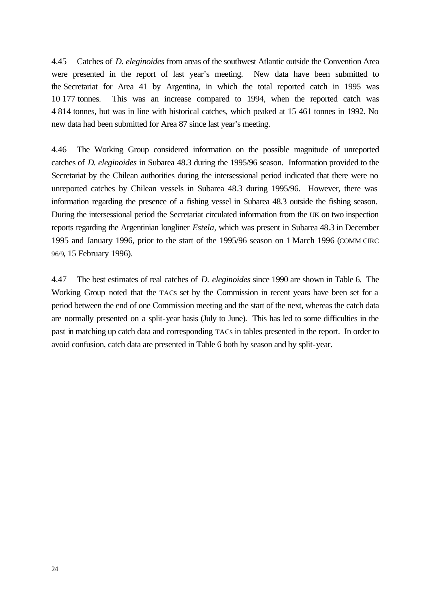4.45 Catches of *D. eleginoides* from areas of the southwest Atlantic outside the Convention Area were presented in the report of last year's meeting. New data have been submitted to the Secretariat for Area 41 by Argentina, in which the total reported catch in 1995 was 10 177 tonnes. This was an increase compared to 1994, when the reported catch was 4 814 tonnes, but was in line with historical catches, which peaked at 15 461 tonnes in 1992. No new data had been submitted for Area 87 since last year's meeting.

4.46 The Working Group considered information on the possible magnitude of unreported catches of *D. eleginoides* in Subarea 48.3 during the 1995/96 season. Information provided to the Secretariat by the Chilean authorities during the intersessional period indicated that there were no unreported catches by Chilean vessels in Subarea 48.3 during 1995/96. However, there was information regarding the presence of a fishing vessel in Subarea 48.3 outside the fishing season. During the intersessional period the Secretariat circulated information from the UK on two inspection reports regarding the Argentinian longliner *Estela*, which was present in Subarea 48.3 in December 1995 and January 1996, prior to the start of the 1995/96 season on 1 March 1996 (COMM CIRC 96/9, 15 February 1996).

4.47 The best estimates of real catches of *D. eleginoides* since 1990 are shown in Table 6. The Working Group noted that the TACs set by the Commission in recent years have been set for a period between the end of one Commission meeting and the start of the next, whereas the catch data are normally presented on a split-year basis (July to June). This has led to some difficulties in the past in matching up catch data and corresponding TACs in tables presented in the report. In order to avoid confusion, catch data are presented in Table 6 both by season and by split-year.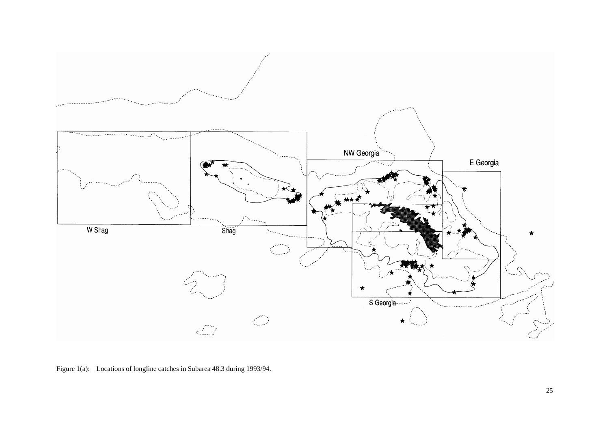

Figure 1(a): Locations of longline catches in Subarea 48.3 during 1993/94.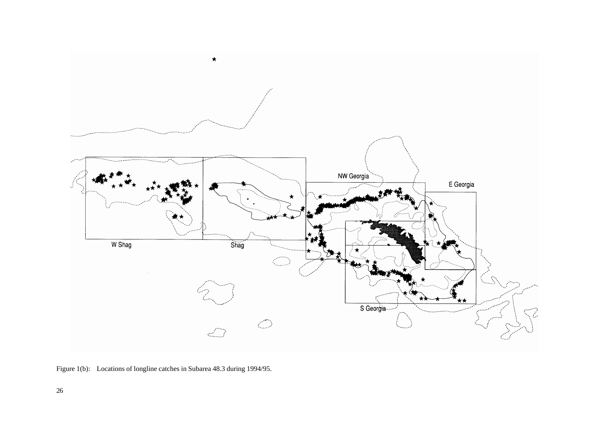

Figure 1(b): Locations of longline catches in Subarea 48.3 during 1994/95.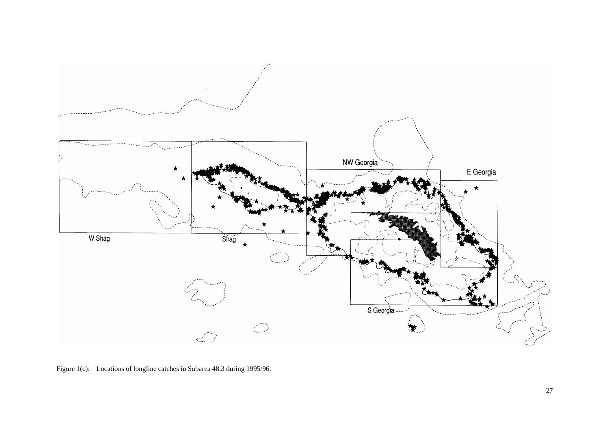

Figure 1(c): Locations of longline catches in Subarea 48.3 during 1995/96.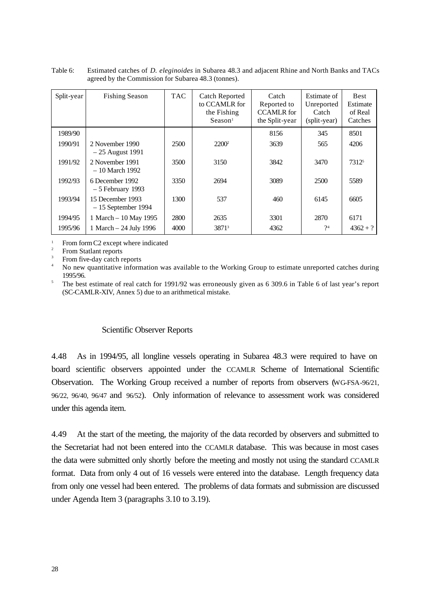| Split-year | <b>Fishing Season</b>                    | <b>TAC</b> | <b>Catch Reported</b><br>to CCAMLR for<br>the Fishing<br>Searon <sup>1</sup> | Catch<br>Reported to<br><b>CCAMLR</b> for<br>the Split-year | Estimate of<br>Unreported<br>Catch<br>(split-year) | <b>Best</b><br>Estimate<br>of Real<br>Catches |
|------------|------------------------------------------|------------|------------------------------------------------------------------------------|-------------------------------------------------------------|----------------------------------------------------|-----------------------------------------------|
| 1989/90    |                                          |            |                                                                              | 8156                                                        | 345                                                | 8501                                          |
| 1990/91    | 2 November 1990<br>$-25$ August 1991     | 2500       | $2200^2$                                                                     | 3639                                                        | 565                                                | 4206                                          |
| 1991/92    | 2 November 1991<br>- 10 March 1992       | 3500       | 3150                                                                         | 3842                                                        | 3470                                               | 73125                                         |
| 1992/93    | 6 December 1992<br>$-5$ February 1993    | 3350       | 2694                                                                         | 3089                                                        | 2500                                               | 5589                                          |
| 1993/94    | 15 December 1993<br>$-15$ September 1994 | 1300       | 537                                                                          | 460                                                         | 6145                                               | 6605                                          |
| 1994/95    | 1 March - 10 May 1995                    | 2800       | 2635                                                                         | 3301                                                        | 2870                                               | 6171                                          |
| 1995/96    | 1 March – 24 July 1996                   | 4000       | 3871 <sup>3</sup>                                                            | 4362                                                        | 2 <sup>4</sup>                                     | $4362 + ?$                                    |

Table 6: Estimated catches of *D. eleginoides* in Subarea 48.3 and adjacent Rhine and North Banks and TACs agreed by the Commission for Subarea 48.3 (tonnes).

<sup>1</sup> From form C2 except where indicated

2 From Statlant reports

3 From five-day catch reports

<sup>4</sup> No new quantitative information was available to the Working Group to estimate unreported catches during 1995/96.

5 The best estimate of real catch for 1991/92 was erroneously given as 6 309.6 in Table 6 of last year's report (SC-CAMLR-XIV, Annex 5) due to an arithmetical mistake.

# Scientific Observer Reports

4.48 As in 1994/95, all longline vessels operating in Subarea 48.3 were required to have on board scientific observers appointed under the CCAMLR Scheme of International Scientific Observation. The Working Group received a number of reports from observers (WG-FSA-96/21, 96/22, 96/40, 96/47 and 96/52). Only information of relevance to assessment work was considered under this agenda item.

4.49 At the start of the meeting, the majority of the data recorded by observers and submitted to the Secretariat had not been entered into the CCAMLR database. This was because in most cases the data were submitted only shortly before the meeting and mostly not using the standard CCAMLR format. Data from only 4 out of 16 vessels were entered into the database. Length frequency data from only one vessel had been entered. The problems of data formats and submission are discussed under Agenda Item 3 (paragraphs 3.10 to 3.19).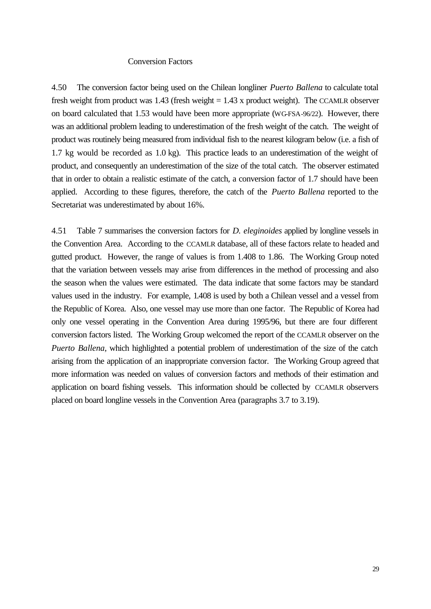### Conversion Factors

4.50 The conversion factor being used on the Chilean longliner *Puerto Ballena* to calculate total fresh weight from product was  $1.43$  (fresh weight  $= 1.43$  x product weight). The CCAMLR observer on board calculated that 1.53 would have been more appropriate (WG-FSA-96/22). However, there was an additional problem leading to underestimation of the fresh weight of the catch. The weight of product was routinely being measured from individual fish to the nearest kilogram below (i.e. a fish of 1.7 kg would be recorded as 1.0 kg). This practice leads to an underestimation of the weight of product, and consequently an underestimation of the size of the total catch. The observer estimated that in order to obtain a realistic estimate of the catch, a conversion factor of 1.7 should have been applied. According to these figures, therefore, the catch of the *Puerto Ballena* reported to the Secretariat was underestimated by about 16%.

4.51 Table 7 summarises the conversion factors for *D. eleginoides* applied by longline vessels in the Convention Area. According to the CCAMLR database, all of these factors relate to headed and gutted product. However, the range of values is from 1.408 to 1.86. The Working Group noted that the variation between vessels may arise from differences in the method of processing and also the season when the values were estimated. The data indicate that some factors may be standard values used in the industry. For example, 1.408 is used by both a Chilean vessel and a vessel from the Republic of Korea. Also, one vessel may use more than one factor. The Republic of Korea had only one vessel operating in the Convention Area during 1995/96, but there are four different conversion factors listed. The Working Group welcomed the report of the CCAMLR observer on the *Puerto Ballena*, which highlighted a potential problem of underestimation of the size of the catch arising from the application of an inappropriate conversion factor. The Working Group agreed that more information was needed on values of conversion factors and methods of their estimation and application on board fishing vessels. This information should be collected by CCAMLR observers placed on board longline vessels in the Convention Area (paragraphs 3.7 to 3.19).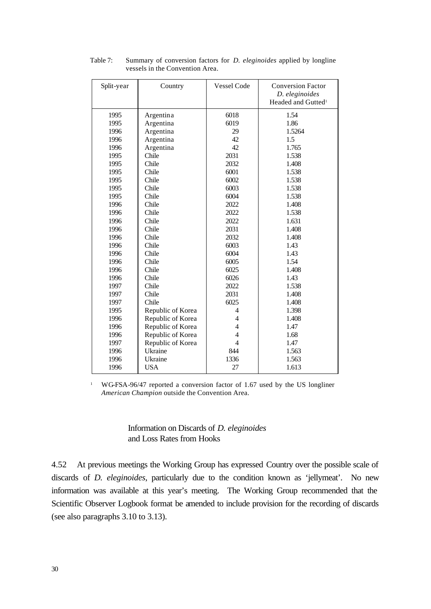| Split-year | Country           | Vessel Code    | <b>Conversion Factor</b><br>D. eleginoides<br>Headed and Gutted <sup>1</sup> |
|------------|-------------------|----------------|------------------------------------------------------------------------------|
| 1995       | Argentina         | 6018           | 1.54                                                                         |
| 1995       | Argentina         | 6019           | 1.86                                                                         |
| 1996       | Argentina         | 29             | 1.5264                                                                       |
| 1996       | Argentina         | 42             | 1.5                                                                          |
| 1996       | Argentina         | 42             | 1.765                                                                        |
| 1995       | Chile             | 2031           | 1.538                                                                        |
| 1995       | Chile             | 2032           | 1.408                                                                        |
| 1995       | Chile             | 6001           | 1.538                                                                        |
| 1995       | Chile             | 6002           | 1.538                                                                        |
| 1995       | Chile             | 6003           | 1.538                                                                        |
| 1995       | Chile             | 6004           | 1.538                                                                        |
| 1996       | Chile             | 2022           | 1.408                                                                        |
| 1996       | Chile             | 2022           | 1.538                                                                        |
| 1996       | Chile             | 2022           | 1.631                                                                        |
| 1996       | Chile             | 2031           | 1.408                                                                        |
| 1996       | Chile             | 2032           | 1.408                                                                        |
| 1996       | Chile             | 6003           | 1.43                                                                         |
| 1996       | Chile             | 6004           | 1.43                                                                         |
| 1996       | Chile             | 6005           | 1.54                                                                         |
| 1996       | Chile             | 6025           | 1.408                                                                        |
| 1996       | Chile             | 6026           | 1.43                                                                         |
| 1997       | Chile             | 2022           | 1.538                                                                        |
| 1997       | Chile             | 2031           | 1.408                                                                        |
| 1997       | Chile             | 6025           | 1.408                                                                        |
| 1995       | Republic of Korea | 4              | 1.398                                                                        |
| 1996       | Republic of Korea | 4              | 1.408                                                                        |
| 1996       | Republic of Korea | 4              | 1.47                                                                         |
| 1996       | Republic of Korea | $\overline{4}$ | 1.68                                                                         |
| 1997       | Republic of Korea | $\overline{4}$ | 1.47                                                                         |
| 1996       | Ukraine           | 844            | 1.563                                                                        |
| 1996       | Ukraine           | 1336           | 1.563                                                                        |
| 1996       | <b>USA</b>        | 27             | 1.613                                                                        |

Table 7: Summary of conversion factors for *D. eleginoides* applied by longline vessels in the Convention Area.

<sup>1</sup> WG-FSA-96/47 reported a conversion factor of 1.67 used by the US longliner *American Champion* outside the Convention Area.

> Information on Discards of *D. eleginoides* and Loss Rates from Hooks

4.52 At previous meetings the Working Group has expressed Country over the possible scale of discards of *D. eleginoides*, particularly due to the condition known as 'jellymeat'. No new information was available at this year's meeting. The Working Group recommended that the Scientific Observer Logbook format be amended to include provision for the recording of discards (see also paragraphs 3.10 to 3.13).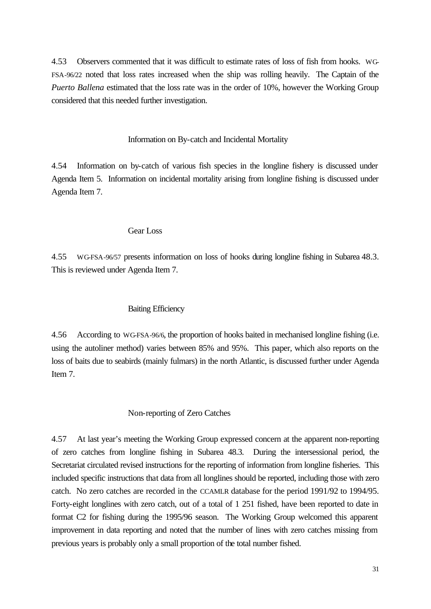4.53 Observers commented that it was difficult to estimate rates of loss of fish from hooks. WG-FSA-96/22 noted that loss rates increased when the ship was rolling heavily. The Captain of the *Puerto Ballena* estimated that the loss rate was in the order of 10%, however the Working Group considered that this needed further investigation.

### Information on By-catch and Incidental Mortality

4.54 Information on by-catch of various fish species in the longline fishery is discussed under Agenda Item 5. Information on incidental mortality arising from longline fishing is discussed under Agenda Item 7.

### Gear Loss

4.55 WG-FSA-96/57 presents information on loss of hooks during longline fishing in Subarea 48.3. This is reviewed under Agenda Item 7.

### Baiting Efficiency

4.56 According to WG-FSA-96/6, the proportion of hooks baited in mechanised longline fishing (i.e. using the autoliner method) varies between 85% and 95%. This paper, which also reports on the loss of baits due to seabirds (mainly fulmars) in the north Atlantic, is discussed further under Agenda Item 7.

# Non-reporting of Zero Catches

4.57 At last year's meeting the Working Group expressed concern at the apparent non-reporting of zero catches from longline fishing in Subarea 48.3. During the intersessional period, the Secretariat circulated revised instructions for the reporting of information from longline fisheries. This included specific instructions that data from all longlines should be reported, including those with zero catch. No zero catches are recorded in the CCAMLR database for the period 1991/92 to 1994/95. Forty-eight longlines with zero catch, out of a total of 1 251 fished, have been reported to date in format C2 for fishing during the 1995/96 season. The Working Group welcomed this apparent improvement in data reporting and noted that the number of lines with zero catches missing from previous years is probably only a small proportion of the total number fished.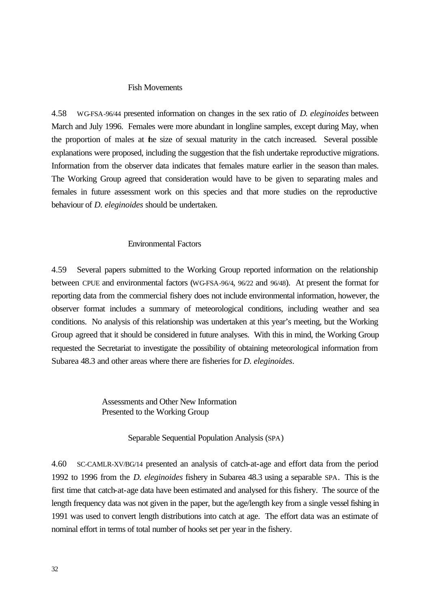#### Fish Movements

4.58 WG-FSA-96/44 presented information on changes in the sex ratio of *D. eleginoides* between March and July 1996. Females were more abundant in longline samples, except during May, when the proportion of males at the size of sexual maturity in the catch increased. Several possible explanations were proposed, including the suggestion that the fish undertake reproductive migrations. Information from the observer data indicates that females mature earlier in the season than males. The Working Group agreed that consideration would have to be given to separating males and females in future assessment work on this species and that more studies on the reproductive behaviour of *D. eleginoides* should be undertaken.

#### Environmental Factors

4.59 Several papers submitted to the Working Group reported information on the relationship between CPUE and environmental factors (WG-FSA-96/4, 96/22 and 96/48). At present the format for reporting data from the commercial fishery does not include environmental information, however, the observer format includes a summary of meteorological conditions, including weather and sea conditions. No analysis of this relationship was undertaken at this year's meeting, but the Working Group agreed that it should be considered in future analyses. With this in mind, the Working Group requested the Secretariat to investigate the possibility of obtaining meteorological information from Subarea 48.3 and other areas where there are fisheries for *D. eleginoides*.

> Assessments and Other New Information Presented to the Working Group

> > Separable Sequential Population Analysis (SPA)

4.60 SC-CAMLR-XV/BG/14 presented an analysis of catch-at-age and effort data from the period 1992 to 1996 from the *D. eleginoides* fishery in Subarea 48.3 using a separable SPA. This is the first time that catch-at-age data have been estimated and analysed for this fishery. The source of the length frequency data was not given in the paper, but the age/length key from a single vessel fishing in 1991 was used to convert length distributions into catch at age. The effort data was an estimate of nominal effort in terms of total number of hooks set per year in the fishery.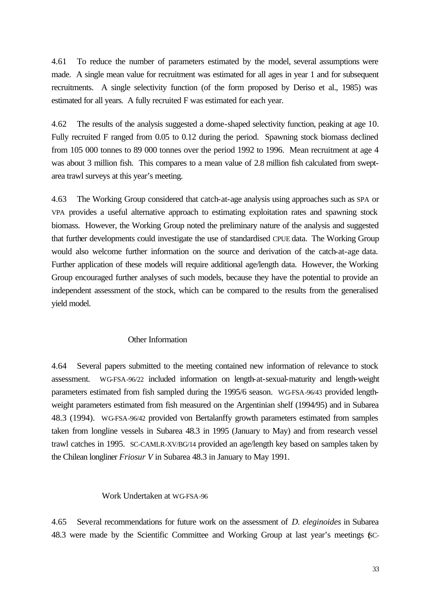4.61 To reduce the number of parameters estimated by the model, several assumptions were made. A single mean value for recruitment was estimated for all ages in year 1 and for subsequent recruitments. A single selectivity function (of the form proposed by Deriso et al., 1985) was estimated for all years. A fully recruited F was estimated for each year.

4.62 The results of the analysis suggested a dome-shaped selectivity function, peaking at age 10. Fully recruited F ranged from 0.05 to 0.12 during the period. Spawning stock biomass declined from 105 000 tonnes to 89 000 tonnes over the period 1992 to 1996. Mean recruitment at age 4 was about 3 million fish. This compares to a mean value of 2.8 million fish calculated from sweptarea trawl surveys at this year's meeting.

4.63 The Working Group considered that catch-at-age analysis using approaches such as SPA or VPA provides a useful alternative approach to estimating exploitation rates and spawning stock biomass. However, the Working Group noted the preliminary nature of the analysis and suggested that further developments could investigate the use of standardised CPUE data. The Working Group would also welcome further information on the source and derivation of the catch-at-age data. Further application of these models will require additional age/length data. However, the Working Group encouraged further analyses of such models, because they have the potential to provide an independent assessment of the stock, which can be compared to the results from the generalised yield model.

#### Other Information

4.64 Several papers submitted to the meeting contained new information of relevance to stock assessment. WG-FSA-96/22 included information on length-at-sexual-maturity and length-weight parameters estimated from fish sampled during the 1995/6 season. WG-FSA-96/43 provided lengthweight parameters estimated from fish measured on the Argentinian shelf (1994/95) and in Subarea 48.3 (1994). WG-FSA-96/42 provided von Bertalanffy growth parameters estimated from samples taken from longline vessels in Subarea 48.3 in 1995 (January to May) and from research vessel trawl catches in 1995. SC-CAMLR-XV/BG/14 provided an age/length key based on samples taken by the Chilean longliner *Friosur V* in Subarea 48.3 in January to May 1991.

## Work Undertaken at WG-FSA-96

4.65 Several recommendations for future work on the assessment of *D. eleginoides* in Subarea 48.3 were made by the Scientific Committee and Working Group at last year's meetings (SC-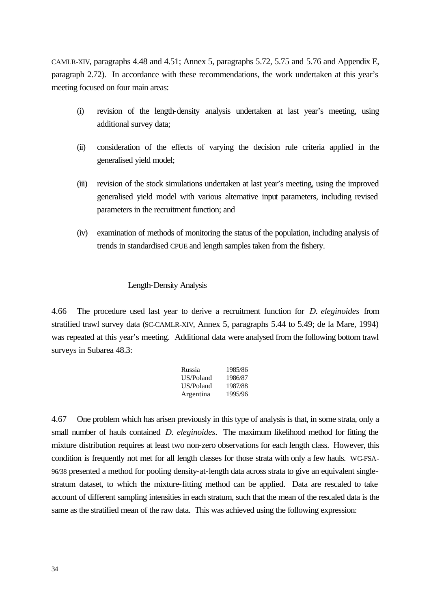CAMLR-XIV, paragraphs 4.48 and 4.51; Annex 5, paragraphs 5.72, 5.75 and 5.76 and Appendix E, paragraph 2.72). In accordance with these recommendations, the work undertaken at this year's meeting focused on four main areas:

- (i) revision of the length-density analysis undertaken at last year's meeting, using additional survey data;
- (ii) consideration of the effects of varying the decision rule criteria applied in the generalised yield model;
- (iii) revision of the stock simulations undertaken at last year's meeting, using the improved generalised yield model with various alternative input parameters, including revised parameters in the recruitment function; and
- (iv) examination of methods of monitoring the status of the population, including analysis of trends in standardised CPUE and length samples taken from the fishery.

### Length-Density Analysis

4.66 The procedure used last year to derive a recruitment function for *D. eleginoides* from stratified trawl survey data (SC-CAMLR-XIV, Annex 5, paragraphs 5.44 to 5.49; de la Mare, 1994) was repeated at this year's meeting. Additional data were analysed from the following bottom trawl surveys in Subarea 48.3:

| Russia    | 1985/86 |
|-----------|---------|
| US/Poland | 1986/87 |
| US/Poland | 1987/88 |
| Argentina | 1995/96 |

4.67 One problem which has arisen previously in this type of analysis is that, in some strata, only a small number of hauls contained *D. eleginoides*. The maximum likelihood method for fitting the mixture distribution requires at least two non-zero observations for each length class. However, this condition is frequently not met for all length classes for those strata with only a few hauls. WG-FSA-96/38 presented a method for pooling density-at-length data across strata to give an equivalent singlestratum dataset, to which the mixture-fitting method can be applied. Data are rescaled to take account of different sampling intensities in each stratum, such that the mean of the rescaled data is the same as the stratified mean of the raw data. This was achieved using the following expression: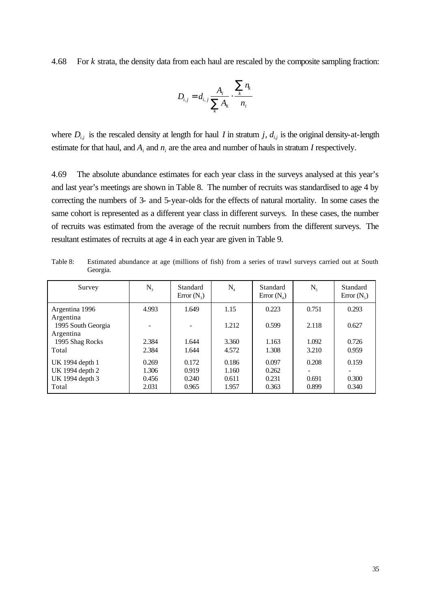4.68 For *k* strata, the density data from each haul are rescaled by the composite sampling fraction:

$$
D_{i,j} = d_{i,j} \frac{A_i}{\sum_k A_k} \cdot \frac{\sum_k n_k}{n_i}
$$

where  $D_{i,j}$  is the rescaled density at length for haul *I* in stratum *j*,  $d_{i,j}$  is the original density-at-length estimate for that haul, and  $A_i$  and  $n_i$  are the area and number of hauls in stratum *I* respectively.

4.69 The absolute abundance estimates for each year class in the surveys analysed at this year's and last year's meetings are shown in Table 8. The number of recruits was standardised to age 4 by correcting the numbers of 3- and 5-year-olds for the effects of natural mortality. In some cases the same cohort is represented as a different year class in different surveys. In these cases, the number of recruits was estimated from the average of the recruit numbers from the different surveys. The resultant estimates of recruits at age 4 in each year are given in Table 9.

| Survey                          | $N_{3}$ | Standard<br>$Error(N_2)$ | $N_{4}$ | Standard<br>Error $(N_4)$ | $N_{\varsigma}$ | Standard<br>Error $(N_s)$ |
|---------------------------------|---------|--------------------------|---------|---------------------------|-----------------|---------------------------|
| Argentina 1996<br>Argentina     | 4.993   | 1.649                    | 1.15    | 0.223                     | 0.751           | 0.293                     |
| 1995 South Georgia<br>Argentina |         | $\overline{\phantom{a}}$ | 1.212   | 0.599                     | 2.118           | 0.627                     |
| 1995 Shag Rocks                 | 2.384   | 1.644                    | 3.360   | 1.163                     | 1.092           | 0.726                     |
| Total                           | 2.384   | 1.644                    | 4.572   | 1.308                     | 3.210           | 0.959                     |
| UK 1994 depth 1                 | 0.269   | 0.172                    | 0.186   | 0.097                     | 0.208           | 0.159                     |
| UK 1994 depth 2                 | 1.306   | 0.919                    | 1.160   | 0.262                     |                 |                           |
| UK 1994 depth 3                 | 0.456   | 0.240                    | 0.611   | 0.231                     | 0.691           | 0.300                     |
| Total                           | 2.031   | 0.965                    | 1.957   | 0.363                     | 0.899           | 0.340                     |

Table 8: Estimated abundance at age (millions of fish) from a series of trawl surveys carried out at South Georgia.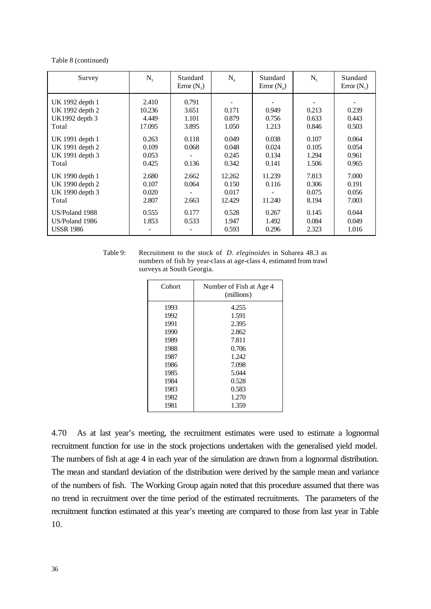#### Table 8 (continued)

| Survey                                                         | $N_{3}$                            | Standard<br>Error $(N_3)$        | $N_{4}$                            | Standard<br>Error $(N_4)$        | $N_{\rm s}$                      | Standard<br>Error $(N_5)$        |
|----------------------------------------------------------------|------------------------------------|----------------------------------|------------------------------------|----------------------------------|----------------------------------|----------------------------------|
| UK 1992 depth 1<br>UK 1992 depth 2<br>UK1992 depth 3<br>Total  | 2.410<br>10.236<br>4.449<br>17.095 | 0.791<br>3.651<br>1.101<br>3.895 | 0.171<br>0.879<br>1.050            | 0.949<br>0.756<br>1.213          | 0.213<br>0.633<br>0.846          | 0.239<br>0.443<br>0.503          |
| UK 1991 depth 1<br>UK 1991 depth 2<br>UK 1991 depth 3<br>Total | 0.263<br>0.109<br>0.053<br>0.425   | 0.118<br>0.068<br>0.136          | 0.049<br>0.048<br>0.245<br>0.342   | 0.038<br>0.024<br>0.134<br>0.141 | 0.107<br>0.105<br>1.294<br>1.506 | 0.064<br>0.054<br>0.961<br>0.965 |
| UK 1990 depth 1<br>UK 1990 depth 2<br>UK 1990 depth 3<br>Total | 2.680<br>0.107<br>0.020<br>2.807   | 2.662<br>0.064<br>2.663          | 12.262<br>0.150<br>0.017<br>12.429 | 11.239<br>0.116<br>11.240        | 7.813<br>0.306<br>0.075<br>8.194 | 7.000<br>0.191<br>0.056<br>7.003 |
| US/Poland 1988<br>US/Poland 1986<br><b>USSR 1986</b>           | 0.555<br>1.853                     | 0.177<br>0.533                   | 0.528<br>1.947<br>0.593            | 0.267<br>1.492<br>0.296          | 0.145<br>0.084<br>2.323          | 0.044<br>0.049<br>1.016          |

Table 9: Recruitment to the stock of *D. eleginoides* in Subarea 48.3 as numbers of fish by year-class at age-class 4, estimated from trawl surveys at South Georgia.

| Cohort | Number of Fish at Age 4<br>(millions) |
|--------|---------------------------------------|
| 1993   | 4.255                                 |
| 1992   | 1.591                                 |
| 1991   | 2.395                                 |
| 1990   | 2.862                                 |
| 1989   | 7.811                                 |
| 1988   | 0.706                                 |
| 1987   | 1.242                                 |
| 1986   | 7.098                                 |
| 1985   | 5.044                                 |
| 1984   | 0.528                                 |
| 1983   | 0.583                                 |
| 1982   | 1.270                                 |
| 1981   | 1.359                                 |

4.70 As at last year's meeting, the recruitment estimates were used to estimate a lognormal recruitment function for use in the stock projections undertaken with the generalised yield model. The numbers of fish at age 4 in each year of the simulation are drawn from a lognormal distribution. The mean and standard deviation of the distribution were derived by the sample mean and variance of the numbers of fish. The Working Group again noted that this procedure assumed that there was no trend in recruitment over the time period of the estimated recruitments. The parameters of the recruitment function estimated at this year's meeting are compared to those from last year in Table 10.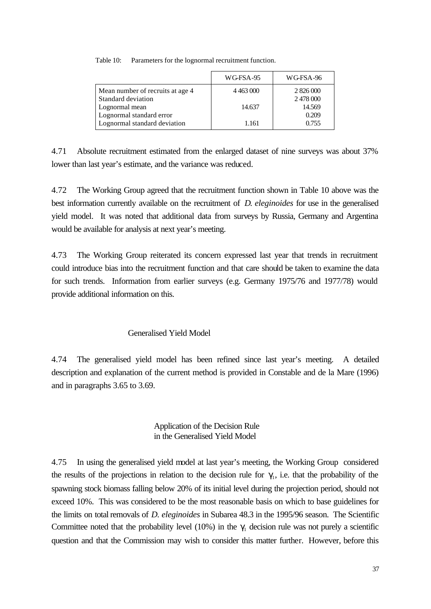|                                  | WG-FSA-95     | WG-FSA-96 |
|----------------------------------|---------------|-----------|
| Mean number of recruits at age 4 | 4 4 6 3 0 0 0 | 2 826 000 |
| Standard deviation               |               | 2478000   |
| Lognormal mean                   | 14.637        | 14.569    |
| Lognormal standard error         |               | 0.209     |
| Lognormal standard deviation     | 1.161         | 0.755     |

Table 10: Parameters for the lognormal recruitment function.

4.71 Absolute recruitment estimated from the enlarged dataset of nine surveys was about 37% lower than last year's estimate, and the variance was reduced.

4.72 The Working Group agreed that the recruitment function shown in Table 10 above was the best information currently available on the recruitment of *D. eleginoides* for use in the generalised yield model. It was noted that additional data from surveys by Russia, Germany and Argentina would be available for analysis at next year's meeting.

4.73 The Working Group reiterated its concern expressed last year that trends in recruitment could introduce bias into the recruitment function and that care should be taken to examine the data for such trends. Information from earlier surveys (e.g. Germany 1975/76 and 1977/78) would provide additional information on this.

# Generalised Yield Model

4.74 The generalised yield model has been refined since last year's meeting. A detailed description and explanation of the current method is provided in Constable and de la Mare (1996) and in paragraphs 3.65 to 3.69.

# Application of the Decision Rule in the Generalised Yield Model

4.75 In using the generalised yield model at last year's meeting, the Working Group considered the results of the projections in relation to the decision rule for  $\gamma_1$ , i.e. that the probability of the spawning stock biomass falling below 20% of its initial level during the projection period, should not exceed 10%. This was considered to be the most reasonable basis on which to base guidelines for the limits on total removals of *D. eleginoides* in Subarea 48.3 in the 1995/96 season. The Scientific Committee noted that the probability level (10%) in the  $\gamma_1$  decision rule was not purely a scientific question and that the Commission may wish to consider this matter further. However, before this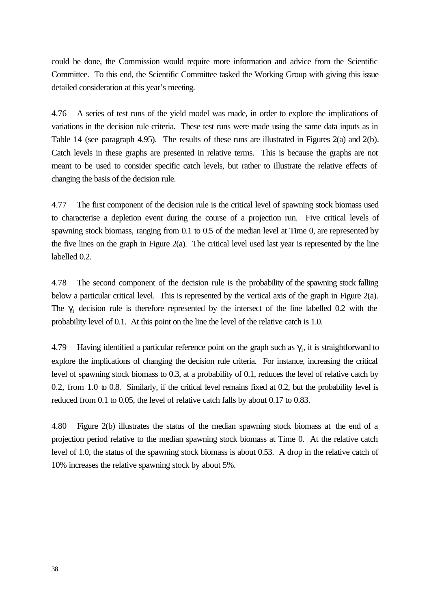could be done, the Commission would require more information and advice from the Scientific Committee. To this end, the Scientific Committee tasked the Working Group with giving this issue detailed consideration at this year's meeting.

4.76 A series of test runs of the yield model was made, in order to explore the implications of variations in the decision rule criteria. These test runs were made using the same data inputs as in Table 14 (see paragraph 4.95). The results of these runs are illustrated in Figures 2(a) and 2(b). Catch levels in these graphs are presented in relative terms. This is because the graphs are not meant to be used to consider specific catch levels, but rather to illustrate the relative effects of changing the basis of the decision rule.

4.77 The first component of the decision rule is the critical level of spawning stock biomass used to characterise a depletion event during the course of a projection run. Five critical levels of spawning stock biomass, ranging from 0.1 to 0.5 of the median level at Time 0, are represented by the five lines on the graph in Figure 2(a). The critical level used last year is represented by the line labelled 0.2.

4.78 The second component of the decision rule is the probability of the spawning stock falling below a particular critical level. This is represented by the vertical axis of the graph in Figure 2(a). The  $\gamma_1$  decision rule is therefore represented by the intersect of the line labelled 0.2 with the probability level of 0.1. At this point on the line the level of the relative catch is 1.0.

4.79 Having identified a particular reference point on the graph such as  $\gamma_1$ , it is straightforward to explore the implications of changing the decision rule criteria. For instance, increasing the critical level of spawning stock biomass to 0.3, at a probability of 0.1, reduces the level of relative catch by 0.2, from 1.0 to 0.8. Similarly, if the critical level remains fixed at 0.2, but the probability level is reduced from 0.1 to 0.05, the level of relative catch falls by about 0.17 to 0.83.

4.80 Figure 2(b) illustrates the status of the median spawning stock biomass at the end of a projection period relative to the median spawning stock biomass at Time 0. At the relative catch level of 1.0, the status of the spawning stock biomass is about 0.53. A drop in the relative catch of 10% increases the relative spawning stock by about 5%.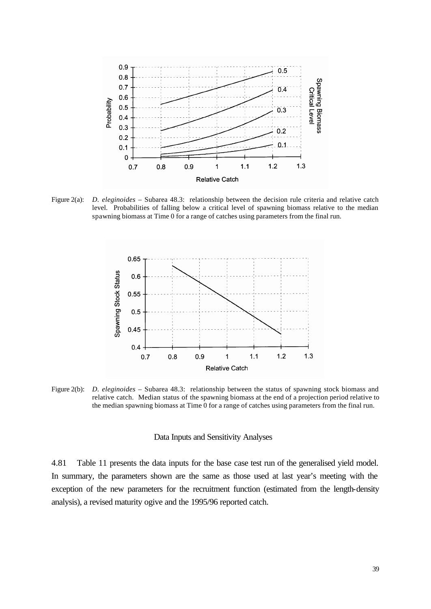

Figure 2(a): *D. eleginoides* – Subarea 48.3: relationship between the decision rule criteria and relative catch level. Probabilities of falling below a critical level of spawning biomass relative to the median spawning biomass at Time 0 for a range of catches using parameters from the final run.



Figure 2(b): *D. eleginoides* – Subarea 48.3: relationship between the status of spawning stock biomass and relative catch. Median status of the spawning biomass at the end of a projection period relative to the median spawning biomass at Time 0 for a range of catches using parameters from the final run.

#### Data Inputs and Sensitivity Analyses

4.81 Table 11 presents the data inputs for the base case test run of the generalised yield model. In summary, the parameters shown are the same as those used at last year's meeting with the exception of the new parameters for the recruitment function (estimated from the length-density analysis), a revised maturity ogive and the 1995/96 reported catch.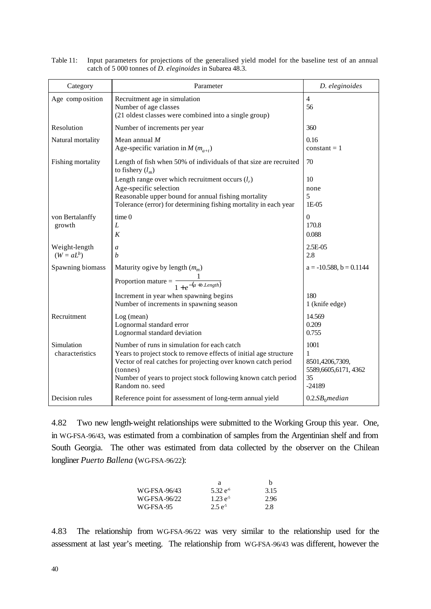| Category                      | Parameter                                                                                                                                                                                                                                                                         | D. eleginoides                                                        |
|-------------------------------|-----------------------------------------------------------------------------------------------------------------------------------------------------------------------------------------------------------------------------------------------------------------------------------|-----------------------------------------------------------------------|
| Age composition               | Recruitment age in simulation<br>Number of age classes<br>(21 oldest classes were combined into a single group)                                                                                                                                                                   | $\overline{4}$<br>56                                                  |
| Resolution                    | Number of increments per year                                                                                                                                                                                                                                                     | 360                                                                   |
| Natural mortality             | Mean annual $M$<br>Age-specific variation in M $(m_{a+t})$                                                                                                                                                                                                                        | 0.16<br>$constant = 1$                                                |
| Fishing mortality             | Length of fish when 50% of individuals of that size are recruited<br>to fishery $(l_m)$                                                                                                                                                                                           | 70                                                                    |
|                               | Length range over which recruitment occurs $(l_r)$<br>Age-specific selection<br>Reasonable upper bound for annual fishing mortality<br>Tolerance (error) for determining fishing mortality in each year                                                                           | 10<br>none<br>5<br>$1E-05$                                            |
| von Bertalanffy<br>growth     | time 0<br>L<br>K                                                                                                                                                                                                                                                                  | $\boldsymbol{0}$<br>170.8<br>0.088                                    |
| Weight-length<br>$(W = aL^b)$ | $\mathfrak a$<br>h                                                                                                                                                                                                                                                                | 2.5E-05<br>2.8                                                        |
| Spawning biomass              | Maturity ogive by length $(m_m)$                                                                                                                                                                                                                                                  | $a = -10.588$ , $b = 0.1144$                                          |
|                               | Proportion mature = $\frac{1}{1+e^{-(a+b \text{ Length})}}$                                                                                                                                                                                                                       |                                                                       |
|                               | Increment in year when spawning begins<br>Number of increments in spawning season                                                                                                                                                                                                 | 180<br>1 (knife edge)                                                 |
| Recruitment                   | Log (mean)<br>Lognormal standard error<br>Lognormal standard deviation                                                                                                                                                                                                            | 14.569<br>0.209<br>0.755                                              |
| Simulation<br>characteristics | Number of runs in simulation for each catch<br>Years to project stock to remove effects of initial age structure<br>Vector of real catches for projecting over known catch period<br>(tonnes)<br>Number of years to project stock following known catch period<br>Random no. seed | 1001<br>1<br>8501,4206,7309,<br>5589,6605,6171,4362<br>35<br>$-24189$ |
| Decision rules                | Reference point for assessment of long-term annual yield                                                                                                                                                                                                                          | $0.2.SB_0$ median                                                     |

Table 11: Input parameters for projections of the generalised yield model for the baseline test of an annual catch of 5 000 tonnes of *D. eleginoides* in Subarea 48.3.

4.82 Two new length-weight relationships were submitted to the Working Group this year. One, in WG-FSA-96/43, was estimated from a combination of samples from the Argentinian shelf and from South Georgia. The other was estimated from data collected by the observer on the Chilean longliner *Puerto Ballena* (WG-FSA-96/22):

|              | а             | h    |
|--------------|---------------|------|
| WG-FSA-96/43 | $5.32 e^{-6}$ | 3.15 |
| WG-FSA-96/22 | $1.23 e^{-5}$ | 2.96 |
| WG-FSA-95    | $2.5e^{-5}$   | 2.8  |

4.83 The relationship from WG-FSA-96/22 was very similar to the relationship used for the assessment at last year's meeting. The relationship from WG-FSA-96/43 was different, however the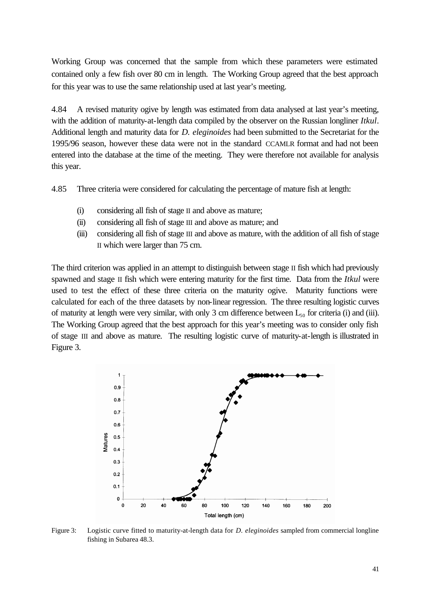Working Group was concerned that the sample from which these parameters were estimated contained only a few fish over 80 cm in length. The Working Group agreed that the best approach for this year was to use the same relationship used at last year's meeting.

4.84 A revised maturity ogive by length was estimated from data analysed at last year's meeting, with the addition of maturity-at-length data compiled by the observer on the Russian longliner *Itkul*. Additional length and maturity data for *D. eleginoides* had been submitted to the Secretariat for the 1995/96 season, however these data were not in the standard CCAMLR format and had not been entered into the database at the time of the meeting. They were therefore not available for analysis this year.

4.85 Three criteria were considered for calculating the percentage of mature fish at length:

- (i) considering all fish of stage II and above as mature;
- (ii) considering all fish of stage III and above as mature; and
- (iii) considering all fish of stage III and above as mature, with the addition of all fish of stage II which were larger than 75 cm.

The third criterion was applied in an attempt to distinguish between stage II fish which had previously spawned and stage II fish which were entering maturity for the first time. Data from the *Itkul* were used to test the effect of these three criteria on the maturity ogive. Maturity functions were calculated for each of the three datasets by non-linear regression. The three resulting logistic curves of maturity at length were very similar, with only 3 cm difference between  $L_{50}$  for criteria (i) and (iii). The Working Group agreed that the best approach for this year's meeting was to consider only fish of stage III and above as mature. The resulting logistic curve of maturity-at-length is illustrated in Figure 3.



Figure 3: Logistic curve fitted to maturity-at-length data for *D. eleginoides* sampled from commercial longline fishing in Subarea 48.3.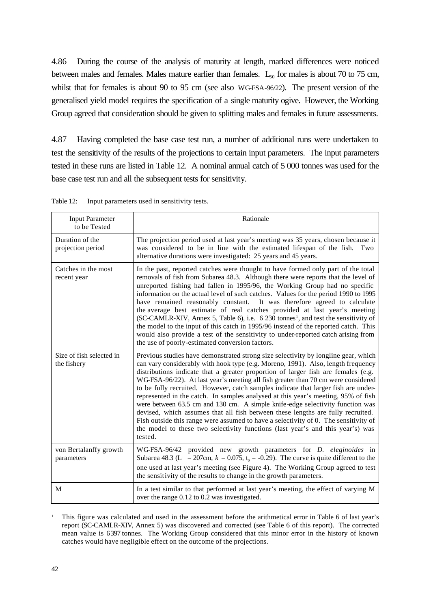4.86 During the course of the analysis of maturity at length, marked differences were noticed between males and females. Males mature earlier than females.  $L_{50}$  for males is about 70 to 75 cm, whilst that for females is about 90 to 95 cm (see also WG-FSA-96/22). The present version of the generalised yield model requires the specification of a single maturity ogive. However, the Working Group agreed that consideration should be given to splitting males and females in future assessments.

4.87 Having completed the base case test run, a number of additional runs were undertaken to test the sensitivity of the results of the projections to certain input parameters. The input parameters tested in these runs are listed in Table 12. A nominal annual catch of 5 000 tonnes was used for the base case test run and all the subsequent tests for sensitivity.

Input Parameter to be Tested Rationale Duration of the projection period The projection period used at last year's meeting was 35 years, chosen because it was considered to be in line with the estimated lifespan of the fish. Two alternative durations were investigated: 25 years and 45 years. Catches in the most recent year In the past, reported catches were thought to have formed only part of the total removals of fish from Subarea 48.3. Although there were reports that the level of unreported fishing had fallen in 1995/96, the Working Group had no specific information on the actual level of such catches. Values for the period 1990 to 1995 have remained reasonably constant. It was therefore agreed to calculate the average best estimate of real catches provided at last year's meeting (SC-CAMLR-XIV, Annex 5, Table 6), i.e. 6 230 tonnes<sup>1</sup>, and test the sensitivity of the model to the input of this catch in 1995/96 instead of the reported catch. This would also provide a test of the sensitivity to under-reported catch arising from the use of poorly-estimated conversion factors. Size of fish selected in the fishery Previous studies have demonstrated strong size selectivity by longline gear, which can vary considerably with hook type (e.g. Moreno, 1991). Also, length frequency distributions indicate that a greater proportion of larger fish are females (e.g. WG-FSA-96/22). At last year's meeting all fish greater than 70 cm were considered to be fully recruited. However, catch samples indicate that larger fish are underrepresented in the catch. In samples analysed at this year's meeting, 95% of fish were between 63.5 cm and 130 cm. A simple knife-edge selectivity function was devised, which assumes that all fish between these lengths are fully recruited. Fish outside this range were assumed to have a selectivity of 0. The sensitivity of the model to these two selectivity functions (last year's and this year's) was tested. von Bertalanffy growth parameters WG-FSA-96/42 provided new growth parameters for *D. eleginoides* in Subarea 48.3 (L = 207cm,  $k = 0.075$ ,  $t_0 = -0.29$ ). The curve is quite different to the one used at last year's meeting (see Figure 4). The Working Group agreed to test the sensitivity of the results to change in the growth parameters. M In a test similar to that performed at last year's meeting, the effect of varying M over the range 0.12 to 0.2 was investigated.

Table 12: Input parameters used in sensitivity tests.

<sup>1</sup> This figure was calculated and used in the assessment before the arithmetical error in Table 6 of last year's report (SC-CAMLR-XIV, Annex 5) was discovered and corrected (see Table 6 of this report). The corrected mean value is 6397 tonnes. The Working Group considered that this minor error in the history of known catches would have negligible effect on the outcome of the projections.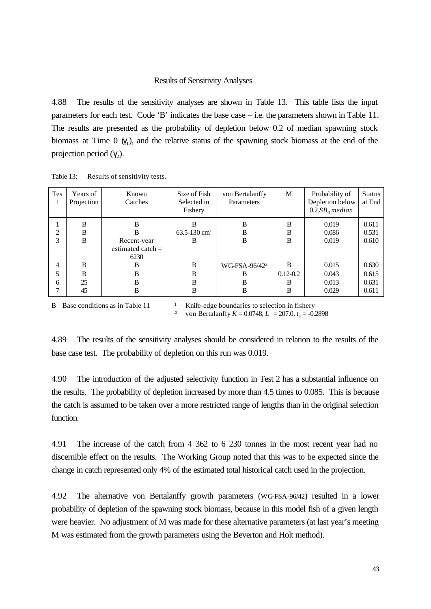#### Results of Sensitivity Analyses

4.88 The results of the sensitivity analyses are shown in Table 13. This table lists the input parameters for each test. Code 'B' indicates the base case – i.e. the parameters shown in Table 11. The results are presented as the probability of depletion below 0.2 of median spawning stock biomass at Time  $0 \, (\gamma_1)$ , and the relative status of the spawning stock biomass at the end of the projection period  $(γ<sub>2</sub>)$ .

| Tes<br>t | Years of<br>Projection | Known<br>Catches    | Size of Fish<br>Selected in<br>Fishery | von Bertalanffy<br>Parameters | M            | Probability of<br>Depletion below<br>$0.2.SB0$ median | <b>Status</b><br>at End |
|----------|------------------------|---------------------|----------------------------------------|-------------------------------|--------------|-------------------------------------------------------|-------------------------|
|          | B                      | B                   | B                                      | B                             | B            | 0.019                                                 | 0.611                   |
| ↑        | B                      | B                   | $63.5 - 130$ cm <sup>1</sup>           | B                             | B            | 0.086                                                 | 0.531                   |
| 3        | B                      | Recent-year         | B                                      | B                             | B            | 0.019                                                 | 0.610                   |
|          |                        | estimated catch $=$ |                                        |                               |              |                                                       |                         |
|          |                        | 6230                |                                        |                               |              |                                                       |                         |
| 4        | B                      | B                   | B                                      | WG-FSA-96/42 <sup>2</sup>     | B            | 0.015                                                 | 0.630                   |
| 5        | B                      | B                   | B                                      | B                             | $0.12 - 0.2$ | 0.043                                                 | 0.615                   |
| 6        | 25                     | B                   | B                                      | B                             | B            | 0.013                                                 | 0.631                   |
|          | 45                     | B                   | B                                      | B                             | B            | 0.029                                                 | 0.611                   |

Table 13: Results of sensitivity tests.

B Base conditions as in Table  $11$   $\qquad$  Knife-edge boundaries to selection in fishery <sup>2</sup> von Bertalanffy  $K = 0.0748, L = 207.0, t_0 = -0.2898$ 

4.89 The results of the sensitivity analyses should be considered in relation to the results of the base case test. The probability of depletion on this run was 0.019.

4.90 The introduction of the adjusted selectivity function in Test 2 has a substantial influence on the results. The probability of depletion increased by more than 4.5 times to 0.085. This is because the catch is assumed to be taken over a more restricted range of lengths than in the original selection function.

4.91 The increase of the catch from 4 362 to 6 230 tonnes in the most recent year had no discernible effect on the results. The Working Group noted that this was to be expected since the change in catch represented only 4% of the estimated total historical catch used in the projection.

4.92 The alternative von Bertalanffy growth parameters (WG-FSA-96/42) resulted in a lower probability of depletion of the spawning stock biomass, because in this model fish of a given length were heavier. No adjustment of M was made for these alternative parameters (at last year's meeting M was estimated from the growth parameters using the Beverton and Holt method).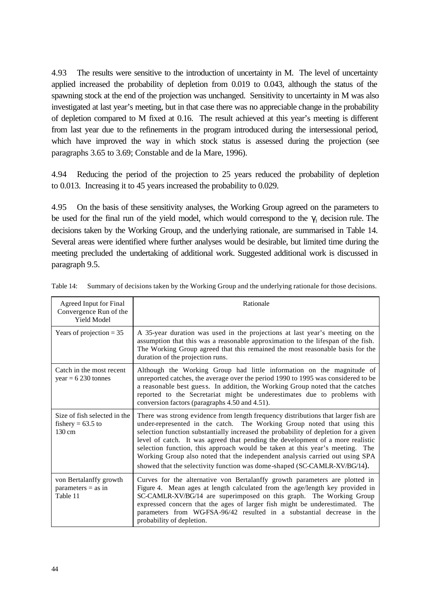4.93 The results were sensitive to the introduction of uncertainty in M. The level of uncertainty applied increased the probability of depletion from 0.019 to 0.043, although the status of the spawning stock at the end of the projection was unchanged. Sensitivity to uncertainty in M was also investigated at last year's meeting, but in that case there was no appreciable change in the probability of depletion compared to M fixed at 0.16. The result achieved at this year's meeting is different from last year due to the refinements in the program introduced during the intersessional period, which have improved the way in which stock status is assessed during the projection (see paragraphs 3.65 to 3.69; Constable and de la Mare, 1996).

4.94 Reducing the period of the projection to 25 years reduced the probability of depletion to 0.013. Increasing it to 45 years increased the probability to 0.029.

4.95 On the basis of these sensitivity analyses, the Working Group agreed on the parameters to be used for the final run of the yield model, which would correspond to the  $\gamma_1$  decision rule. The decisions taken by the Working Group, and the underlying rationale, are summarised in Table 14. Several areas were identified where further analyses would be desirable, but limited time during the meeting precluded the undertaking of additional work. Suggested additional work is discussed in paragraph 9.5.

| Agreed Input for Final<br>Convergence Run of the<br>Yield Model         | Rationale                                                                                                                                                                                                                                                                                                                                                                                                                                                                                                                                                                           |
|-------------------------------------------------------------------------|-------------------------------------------------------------------------------------------------------------------------------------------------------------------------------------------------------------------------------------------------------------------------------------------------------------------------------------------------------------------------------------------------------------------------------------------------------------------------------------------------------------------------------------------------------------------------------------|
| Years of projection $= 35$                                              | A 35-year duration was used in the projections at last year's meeting on the<br>assumption that this was a reasonable approximation to the lifespan of the fish.<br>The Working Group agreed that this remained the most reasonable basis for the<br>duration of the projection runs.                                                                                                                                                                                                                                                                                               |
| Catch in the most recent<br>$year = 6230$ tonnes                        | Although the Working Group had little information on the magnitude of<br>unreported catches, the average over the period 1990 to 1995 was considered to be<br>a reasonable best guess. In addition, the Working Group noted that the catches<br>reported to the Secretariat might be underestimates due to problems with<br>conversion factors (paragraphs 4.50 and 4.51).                                                                                                                                                                                                          |
| Size of fish selected in the<br>fishery = $63.5$ to<br>$130 \text{ cm}$ | There was strong evidence from length frequency distributions that larger fish are<br>under-represented in the catch. The Working Group noted that using this<br>selection function substantially increased the probability of depletion for a given<br>level of catch. It was agreed that pending the development of a more realistic<br>selection function, this approach would be taken at this year's meeting. The<br>Working Group also noted that the independent analysis carried out using SPA<br>showed that the selectivity function was dome-shaped (SC-CAMLR-XV/BG/14). |
| von Bertalanffy growth<br>$parameters = as in$<br>Table 11              | Curves for the alternative von Bertalanffy growth parameters are plotted in<br>Figure 4. Mean ages at length calculated from the age/length key provided in<br>SC-CAMLR-XV/BG/14 are superimposed on this graph. The Working Group<br>expressed concern that the ages of larger fish might be underestimated. The<br>parameters from WGFSA-96/42 resulted in a substantial decrease in the<br>probability of depletion.                                                                                                                                                             |

Table 14: Summary of decisions taken by the Working Group and the underlying rationale for those decisions.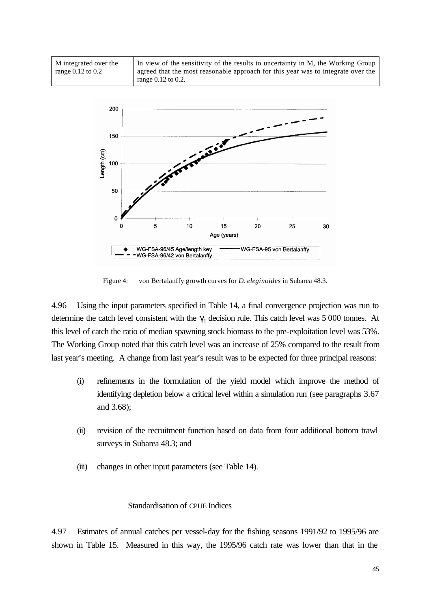| M integrated over the | In view of the sensitivity of the results to uncertainty in M, the Working Group |
|-----------------------|----------------------------------------------------------------------------------|
| range 0.12 to 0.2     | agreed that the most reasonable approach for this year was to integrate over the |
|                       | range $0.12$ to $0.2$ .                                                          |



Figure 4: von Bertalanffy growth curves for *D. eleginoides* in Subarea 48.3.

4.96 Using the input parameters specified in Table 14, a final convergence projection was run to determine the catch level consistent with the  $\gamma_1$  decision rule. This catch level was 5 000 tonnes. At this level of catch the ratio of median spawning stock biomass to the pre-exploitation level was 53%. The Working Group noted that this catch level was an increase of 25% compared to the result from last year's meeting. A change from last year's result was to be expected for three principal reasons:

- (i) refinements in the formulation of the yield model which improve the method of identifying depletion below a critical level within a simulation run (see paragraphs 3.67 and 3.68);
- (ii) revision of the recruitment function based on data from four additional bottom trawl surveys in Subarea 48.3; and
- (iii) changes in other input parameters (see Table 14).

### Standardisation of CPUE Indices

4.97 Estimates of annual catches per vessel-day for the fishing seasons 1991/92 to 1995/96 are shown in Table 15. Measured in this way, the 1995/96 catch rate was lower than that in the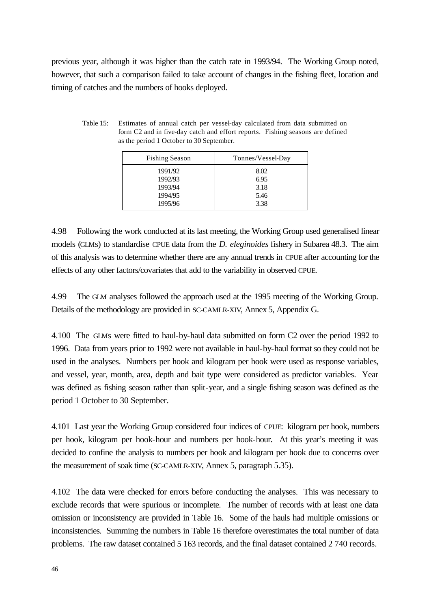previous year, although it was higher than the catch rate in 1993/94. The Working Group noted, however, that such a comparison failed to take account of changes in the fishing fleet, location and timing of catches and the numbers of hooks deployed.

| Table 15: | Estimates of annual catch per vessel-day calculated from data submitted on                |  |
|-----------|-------------------------------------------------------------------------------------------|--|
|           | form C <sub>2</sub> and in five-day catch and effort reports. Fishing seasons are defined |  |
|           | as the period 1 October to 30 September.                                                  |  |

| <b>Fishing Season</b> | Tonnes/Vessel-Day |
|-----------------------|-------------------|
| 1991/92               | 8.02              |
| 1992/93               | 6.95              |
| 1993/94               | 3.18              |
| 1994/95               | 5.46              |
| 1995/96               | 3.38              |

4.98 Following the work conducted at its last meeting, the Working Group used generalised linear models (GLMs) to standardise CPUE data from the *D. eleginoides* fishery in Subarea 48.3. The aim of this analysis was to determine whether there are any annual trends in CPUE after accounting for the effects of any other factors/covariates that add to the variability in observed CPUE.

4.99 The GLM analyses followed the approach used at the 1995 meeting of the Working Group. Details of the methodology are provided in SC-CAMLR-XIV, Annex 5, Appendix G.

4.100 The GLMs were fitted to haul-by-haul data submitted on form C2 over the period 1992 to 1996. Data from years prior to 1992 were not available in haul-by-haul format so they could not be used in the analyses. Numbers per hook and kilogram per hook were used as response variables, and vessel, year, month, area, depth and bait type were considered as predictor variables. Year was defined as fishing season rather than split-year, and a single fishing season was defined as the period 1 October to 30 September.

4.101 Last year the Working Group considered four indices of CPUE: kilogram per hook, numbers per hook, kilogram per hook-hour and numbers per hook-hour. At this year's meeting it was decided to confine the analysis to numbers per hook and kilogram per hook due to concerns over the measurement of soak time (SC-CAMLR-XIV, Annex 5, paragraph 5.35).

4.102 The data were checked for errors before conducting the analyses. This was necessary to exclude records that were spurious or incomplete. The number of records with at least one data omission or inconsistency are provided in Table 16. Some of the hauls had multiple omissions or inconsistencies. Summing the numbers in Table 16 therefore overestimates the total number of data problems. The raw dataset contained 5 163 records, and the final dataset contained 2 740 records.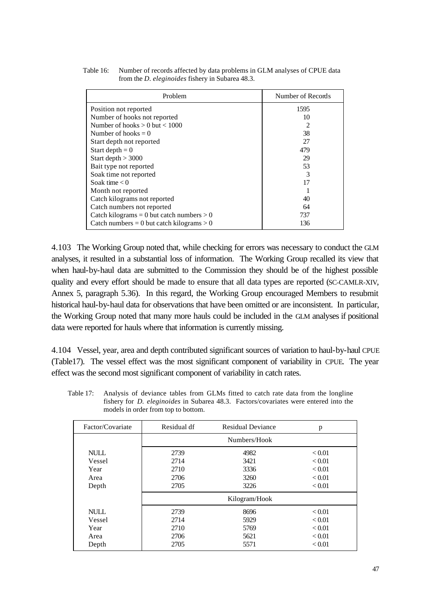| Problem                                     | Number of Records |  |  |
|---------------------------------------------|-------------------|--|--|
| Position not reported                       | 1595              |  |  |
| Number of hooks not reported                | 10                |  |  |
| Number of hooks $> 0$ but $< 1000$          |                   |  |  |
| Number of hooks $= 0$                       | 38                |  |  |
| Start depth not reported                    | 27                |  |  |
| Start depth $= 0$                           | 479               |  |  |
| Start depth $>$ 3000                        | 29                |  |  |
| Bait type not reported                      | 53                |  |  |
| Soak time not reported                      |                   |  |  |
| Soak time $< 0$                             |                   |  |  |
| Month not reported                          |                   |  |  |
| Catch kilograms not reported                | 40                |  |  |
| Catch numbers not reported                  | 64                |  |  |
| Catch kilograms = 0 but catch numbers $> 0$ | 737               |  |  |
| Catch numbers = 0 but catch kilograms > 0   | 136               |  |  |

Table 16: Number of records affected by data problems in GLM analyses of CPUE data from the *D. eleginoides* fishery in Subarea 48.3.

4.103 The Working Group noted that, while checking for errors was necessary to conduct the GLM analyses, it resulted in a substantial loss of information. The Working Group recalled its view that when haul-by-haul data are submitted to the Commission they should be of the highest possible quality and every effort should be made to ensure that all data types are reported (SC-CAMLR-XIV, Annex 5, paragraph 5.36). In this regard, the Working Group encouraged Members to resubmit historical haul-by-haul data for observations that have been omitted or are inconsistent. In particular, the Working Group noted that many more hauls could be included in the GLM analyses if positional data were reported for hauls where that information is currently missing.

4.104 Vessel, year, area and depth contributed significant sources of variation to haul-by-haul CPUE (Table17). The vessel effect was the most significant component of variability in CPUE. The year effect was the second most significant component of variability in catch rates.

| Factor/Covariate | Residual df<br><b>Residual Deviance</b> |      | p             |  |  |
|------------------|-----------------------------------------|------|---------------|--|--|
|                  | Numbers/Hook                            |      |               |  |  |
| <b>NULL</b>      | 2739                                    | 4982 | < 0.01        |  |  |
| Vessel           | 2714                                    | 3421 | < 0.01        |  |  |
| Year             | 2710                                    | 3336 | < 0.01        |  |  |
| Area             | 2706                                    | 3260 | ${}_{< 0.01}$ |  |  |
| Depth            | 2705<br>3226                            |      | < 0.01        |  |  |
|                  | Kilogram/Hook                           |      |               |  |  |
| <b>NULL</b>      | 2739                                    | 8696 | < 0.01        |  |  |
| Vessel           | 2714                                    | 5929 | < 0.01        |  |  |
| Year             | 2710                                    | 5769 | < 0.01        |  |  |
| Area             | 2706                                    | 5621 | < 0.01        |  |  |
| Depth            | 2705                                    | 5571 | < 0.01        |  |  |

Table 17: Analysis of deviance tables from GLMs fitted to catch rate data from the longline fishery for *D. eleginoides* in Subarea 48.3. Factors/covariates were entered into the models in order from top to bottom.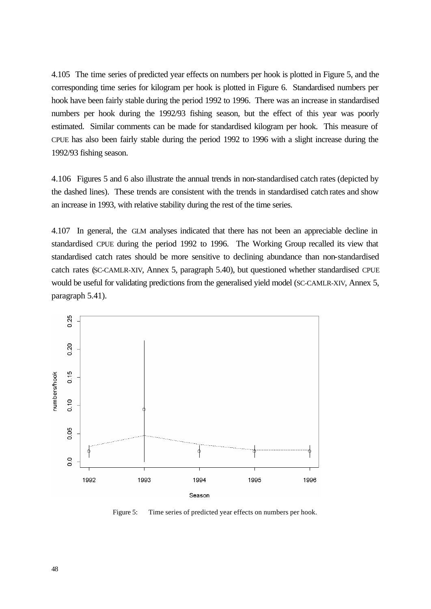4.105 The time series of predicted year effects on numbers per hook is plotted in Figure 5, and the corresponding time series for kilogram per hook is plotted in Figure 6. Standardised numbers per hook have been fairly stable during the period 1992 to 1996. There was an increase in standardised numbers per hook during the 1992/93 fishing season, but the effect of this year was poorly estimated. Similar comments can be made for standardised kilogram per hook. This measure of CPUE has also been fairly stable during the period 1992 to 1996 with a slight increase during the 1992/93 fishing season.

4.106 Figures 5 and 6 also illustrate the annual trends in non-standardised catch rates (depicted by the dashed lines). These trends are consistent with the trends in standardised catch rates and show an increase in 1993, with relative stability during the rest of the time series.

4.107 In general, the GLM analyses indicated that there has not been an appreciable decline in standardised CPUE during the period 1992 to 1996. The Working Group recalled its view that standardised catch rates should be more sensitive to declining abundance than non-standardised catch rates (SC-CAMLR-XIV, Annex 5, paragraph 5.40), but questioned whether standardised CPUE would be useful for validating predictions from the generalised yield model (SC-CAMLR-XIV, Annex 5, paragraph 5.41).



Figure 5: Time series of predicted year effects on numbers per hook.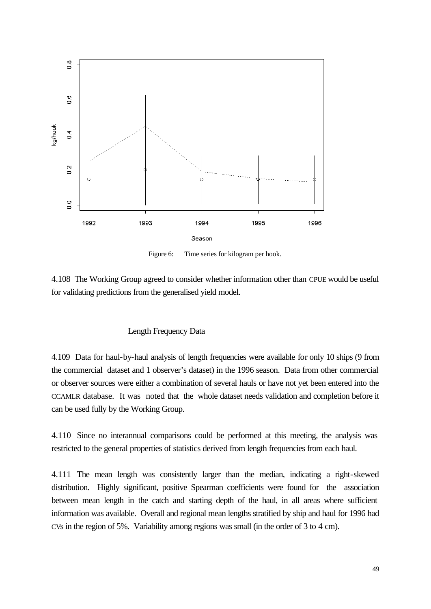

Figure 6: Time series for kilogram per hook.

4.108 The Working Group agreed to consider whether information other than CPUE would be useful for validating predictions from the generalised yield model.

### Length Frequency Data

4.109 Data for haul-by-haul analysis of length frequencies were available for only 10 ships (9 from the commercial dataset and 1 observer's dataset) in the 1996 season. Data from other commercial or observer sources were either a combination of several hauls or have not yet been entered into the CCAMLR database. It was noted that the whole dataset needs validation and completion before it can be used fully by the Working Group.

4.110 Since no interannual comparisons could be performed at this meeting, the analysis was restricted to the general properties of statistics derived from length frequencies from each haul.

4.111 The mean length was consistently larger than the median, indicating a right-skewed distribution. Highly significant, positive Spearman coefficients were found for the association between mean length in the catch and starting depth of the haul, in all areas where sufficient information was available. Overall and regional mean lengths stratified by ship and haul for 1996 had CVs in the region of 5%. Variability among regions was small (in the order of 3 to 4 cm).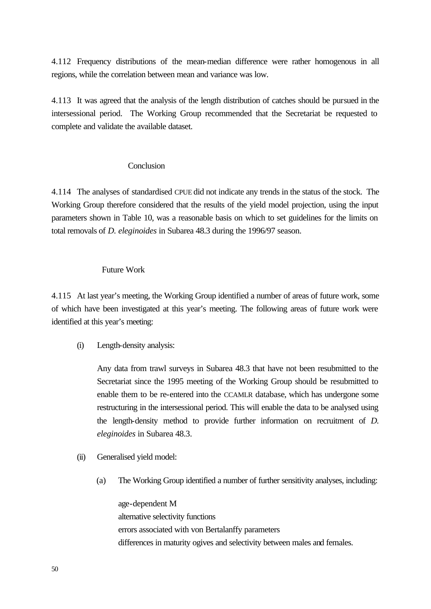4.112 Frequency distributions of the mean-median difference were rather homogenous in all regions, while the correlation between mean and variance was low.

4.113 It was agreed that the analysis of the length distribution of catches should be pursued in the intersessional period. The Working Group recommended that the Secretariat be requested to complete and validate the available dataset.

### **Conclusion**

4.114 The analyses of standardised CPUE did not indicate any trends in the status of the stock. The Working Group therefore considered that the results of the yield model projection, using the input parameters shown in Table 10, was a reasonable basis on which to set guidelines for the limits on total removals of *D. eleginoides* in Subarea 48.3 during the 1996/97 season.

#### Future Work

4.115 At last year's meeting, the Working Group identified a number of areas of future work, some of which have been investigated at this year's meeting. The following areas of future work were identified at this year's meeting:

(i) Length-density analysis:

Any data from trawl surveys in Subarea 48.3 that have not been resubmitted to the Secretariat since the 1995 meeting of the Working Group should be resubmitted to enable them to be re-entered into the CCAMLR database, which has undergone some restructuring in the intersessional period. This will enable the data to be analysed using the length-density method to provide further information on recruitment of *D. eleginoides* in Subarea 48.3.

- (ii) Generalised yield model:
	- (a) The Working Group identified a number of further sensitivity analyses, including:

age-dependent M alternative selectivity functions errors associated with von Bertalanffy parameters differences in maturity ogives and selectivity between males and females.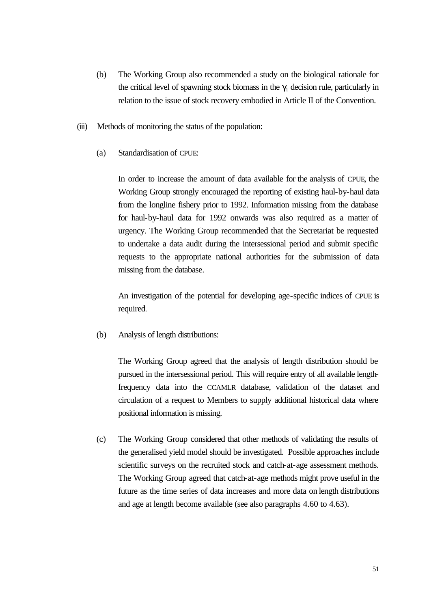- (b) The Working Group also recommended a study on the biological rationale for the critical level of spawning stock biomass in the  $\gamma_1$  decision rule, particularly in relation to the issue of stock recovery embodied in Article II of the Convention.
- (iii) Methods of monitoring the status of the population:
	- (a) Standardisation of CPUE:

In order to increase the amount of data available for the analysis of CPUE, the Working Group strongly encouraged the reporting of existing haul-by-haul data from the longline fishery prior to 1992. Information missing from the database for haul-by-haul data for 1992 onwards was also required as a matter of urgency. The Working Group recommended that the Secretariat be requested to undertake a data audit during the intersessional period and submit specific requests to the appropriate national authorities for the submission of data missing from the database.

An investigation of the potential for developing age-specific indices of CPUE is required.

(b) Analysis of length distributions:

The Working Group agreed that the analysis of length distribution should be pursued in the intersessional period. This will require entry of all available lengthfrequency data into the CCAMLR database, validation of the dataset and circulation of a request to Members to supply additional historical data where positional information is missing.

(c) The Working Group considered that other methods of validating the results of the generalised yield model should be investigated. Possible approaches include scientific surveys on the recruited stock and catch-at-age assessment methods. The Working Group agreed that catch-at-age methods might prove useful in the future as the time series of data increases and more data on length distributions and age at length become available (see also paragraphs 4.60 to 4.63).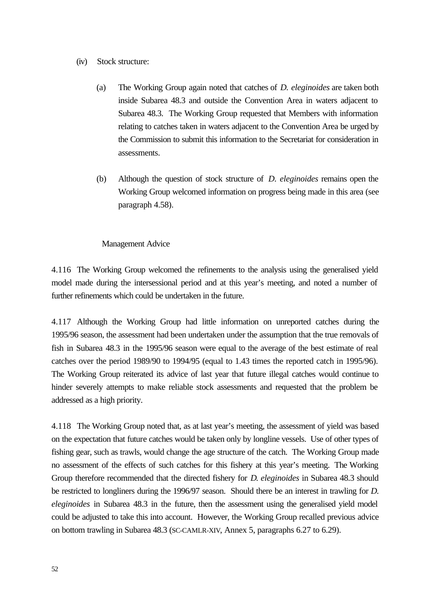- (iv) Stock structure:
	- (a) The Working Group again noted that catches of *D. eleginoides* are taken both inside Subarea 48.3 and outside the Convention Area in waters adjacent to Subarea 48.3. The Working Group requested that Members with information relating to catches taken in waters adjacent to the Convention Area be urged by the Commission to submit this information to the Secretariat for consideration in assessments.
	- (b) Although the question of stock structure of *D. eleginoides* remains open the Working Group welcomed information on progress being made in this area (see paragraph 4.58).

# Management Advice

4.116 The Working Group welcomed the refinements to the analysis using the generalised yield model made during the intersessional period and at this year's meeting, and noted a number of further refinements which could be undertaken in the future.

4.117 Although the Working Group had little information on unreported catches during the 1995/96 season, the assessment had been undertaken under the assumption that the true removals of fish in Subarea 48.3 in the 1995/96 season were equal to the average of the best estimate of real catches over the period 1989/90 to 1994/95 (equal to 1.43 times the reported catch in 1995/96). The Working Group reiterated its advice of last year that future illegal catches would continue to hinder severely attempts to make reliable stock assessments and requested that the problem be addressed as a high priority.

4.118 The Working Group noted that, as at last year's meeting, the assessment of yield was based on the expectation that future catches would be taken only by longline vessels. Use of other types of fishing gear, such as trawls, would change the age structure of the catch. The Working Group made no assessment of the effects of such catches for this fishery at this year's meeting. The Working Group therefore recommended that the directed fishery for *D. eleginoides* in Subarea 48.3 should be restricted to longliners during the 1996/97 season. Should there be an interest in trawling for *D. eleginoides* in Subarea 48.3 in the future, then the assessment using the generalised yield model could be adjusted to take this into account. However, the Working Group recalled previous advice on bottom trawling in Subarea 48.3 (SC-CAMLR-XIV, Annex 5, paragraphs 6.27 to 6.29).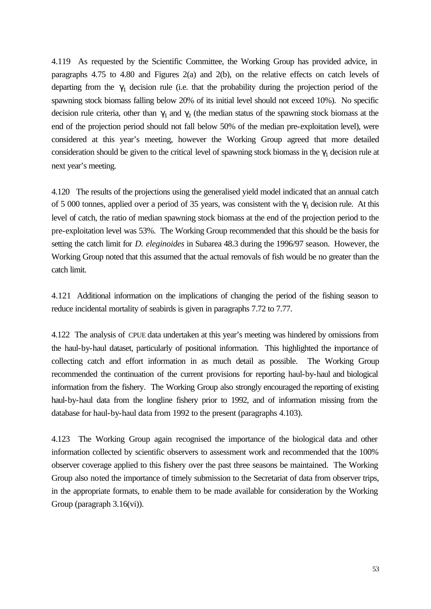4.119 As requested by the Scientific Committee, the Working Group has provided advice, in paragraphs 4.75 to 4.80 and Figures 2(a) and 2(b), on the relative effects on catch levels of departing from the  $\gamma_1$  decision rule (i.e. that the probability during the projection period of the spawning stock biomass falling below 20% of its initial level should not exceed 10%). No specific decision rule criteria, other than  $\gamma_1$  and  $\gamma_2$  (the median status of the spawning stock biomass at the end of the projection period should not fall below 50% of the median pre-exploitation level), were considered at this year's meeting, however the Working Group agreed that more detailed consideration should be given to the critical level of spawning stock biomass in the  $\gamma_1$  decision rule at next year's meeting.

4.120 The results of the projections using the generalised yield model indicated that an annual catch of 5 000 tonnes, applied over a period of 35 years, was consistent with the  $\gamma_1$  decision rule. At this level of catch, the ratio of median spawning stock biomass at the end of the projection period to the pre-exploitation level was 53%. The Working Group recommended that this should be the basis for setting the catch limit for *D. eleginoides* in Subarea 48.3 during the 1996/97 season. However, the Working Group noted that this assumed that the actual removals of fish would be no greater than the catch limit.

4.121 Additional information on the implications of changing the period of the fishing season to reduce incidental mortality of seabirds is given in paragraphs 7.72 to 7.77.

4.122 The analysis of CPUE data undertaken at this year's meeting was hindered by omissions from the haul-by-haul dataset, particularly of positional information. This highlighted the importance of collecting catch and effort information in as much detail as possible. The Working Group recommended the continuation of the current provisions for reporting haul-by-haul and biological information from the fishery. The Working Group also strongly encouraged the reporting of existing haul-by-haul data from the longline fishery prior to 1992, and of information missing from the database for haul-by-haul data from 1992 to the present (paragraphs 4.103).

4.123 The Working Group again recognised the importance of the biological data and other information collected by scientific observers to assessment work and recommended that the 100% observer coverage applied to this fishery over the past three seasons be maintained. The Working Group also noted the importance of timely submission to the Secretariat of data from observer trips, in the appropriate formats, to enable them to be made available for consideration by the Working Group (paragraph 3.16(vi)).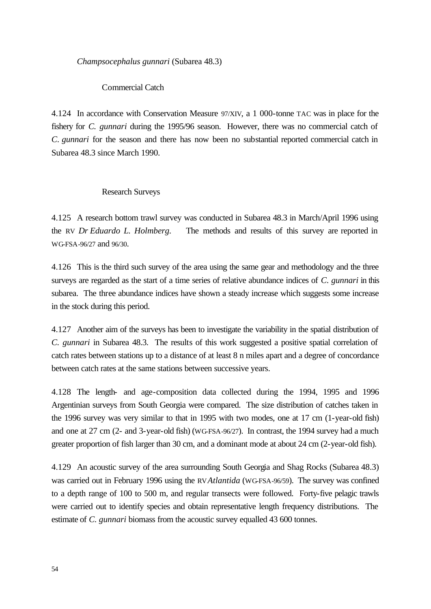*Champsocephalus gunnari* (Subarea 48.3)

Commercial Catch

4.124 In accordance with Conservation Measure 97/XIV, a 1 000-tonne TAC was in place for the fishery for *C. gunnari* during the 1995/96 season. However, there was no commercial catch of *C. gunnari* for the season and there has now been no substantial reported commercial catch in Subarea 48.3 since March 1990.

#### Research Surveys

4.125 A research bottom trawl survey was conducted in Subarea 48.3 in March/April 1996 using the RV *Dr Eduardo L. Holmberg.* The methods and results of this survey are reported in WG-FSA-96/27 and 96/30.

4.126 This is the third such survey of the area using the same gear and methodology and the three surveys are regarded as the start of a time series of relative abundance indices of *C. gunnari* in this subarea. The three abundance indices have shown a steady increase which suggests some increase in the stock during this period.

4.127 Another aim of the surveys has been to investigate the variability in the spatial distribution of *C. gunnari* in Subarea 48.3. The results of this work suggested a positive spatial correlation of catch rates between stations up to a distance of at least 8 n miles apart and a degree of concordance between catch rates at the same stations between successive years.

4.128 The length- and age-composition data collected during the 1994, 1995 and 1996 Argentinian surveys from South Georgia were compared. The size distribution of catches taken in the 1996 survey was very similar to that in 1995 with two modes, one at 17 cm (1-year-old fish) and one at 27 cm (2- and 3-year-old fish) (WG-FSA-96/27). In contrast, the 1994 survey had a much greater proportion of fish larger than 30 cm, and a dominant mode at about 24 cm (2-year-old fish).

4.129 An acoustic survey of the area surrounding South Georgia and Shag Rocks (Subarea 48.3) was carried out in February 1996 using the RV*Atlantida* (WG-FSA-96/59). The survey was confined to a depth range of 100 to 500 m, and regular transects were followed. Forty-five pelagic trawls were carried out to identify species and obtain representative length frequency distributions. The estimate of *C. gunnari* biomass from the acoustic survey equalled 43 600 tonnes.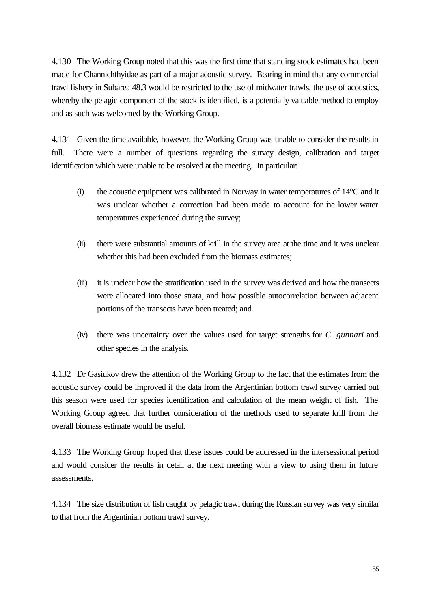4.130 The Working Group noted that this was the first time that standing stock estimates had been made for Channichthyidae as part of a major acoustic survey. Bearing in mind that any commercial trawl fishery in Subarea 48.3 would be restricted to the use of midwater trawls, the use of acoustics, whereby the pelagic component of the stock is identified, is a potentially valuable method to employ and as such was welcomed by the Working Group.

4.131 Given the time available, however, the Working Group was unable to consider the results in full. There were a number of questions regarding the survey design, calibration and target identification which were unable to be resolved at the meeting. In particular:

- (i) the acoustic equipment was calibrated in Norway in water temperatures of 14°C and it was unclear whether a correction had been made to account for the lower water temperatures experienced during the survey;
- (ii) there were substantial amounts of krill in the survey area at the time and it was unclear whether this had been excluded from the biomass estimates;
- (iii) it is unclear how the stratification used in the survey was derived and how the transects were allocated into those strata, and how possible autocorrelation between adjacent portions of the transects have been treated; and
- (iv) there was uncertainty over the values used for target strengths for *C. gunnari* and other species in the analysis.

4.132 Dr Gasiukov drew the attention of the Working Group to the fact that the estimates from the acoustic survey could be improved if the data from the Argentinian bottom trawl survey carried out this season were used for species identification and calculation of the mean weight of fish. The Working Group agreed that further consideration of the methods used to separate krill from the overall biomass estimate would be useful.

4.133 The Working Group hoped that these issues could be addressed in the intersessional period and would consider the results in detail at the next meeting with a view to using them in future assessments.

4.134 The size distribution of fish caught by pelagic trawl during the Russian survey was very similar to that from the Argentinian bottom trawl survey.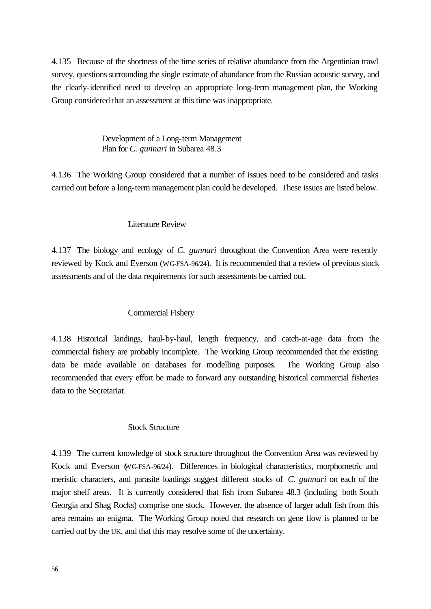4.135 Because of the shortness of the time series of relative abundance from the Argentinian trawl survey, questions surrounding the single estimate of abundance from the Russian acoustic survey, and the clearly-identified need to develop an appropriate long-term management plan, the Working Group considered that an assessment at this time was inappropriate.

> Development of a Long-term Management Plan for *C. gunnari* in Subarea 48.3

4.136 The Working Group considered that a number of issues need to be considered and tasks carried out before a long-term management plan could be developed. These issues are listed below.

## Literature Review

4.137 The biology and ecology of *C. gunnari* throughout the Convention Area were recently reviewed by Kock and Everson (WG-FSA-96/24). It is recommended that a review of previous stock assessments and of the data requirements for such assessments be carried out.

# Commercial Fishery

4.138 Historical landings, haul-by-haul, length frequency, and catch-at-age data from the commercial fishery are probably incomplete. The Working Group recommended that the existing data be made available on databases for modelling purposes. The Working Group also recommended that every effort be made to forward any outstanding historical commercial fisheries data to the Secretariat.

### Stock Structure

4.139 The current knowledge of stock structure throughout the Convention Area was reviewed by Kock and Everson (WG-FSA-96/24). Differences in biological characteristics, morphometric and meristic characters, and parasite loadings suggest different stocks of *C. gunnari* on each of the major shelf areas. It is currently considered that fish from Subarea 48.3 (including both South Georgia and Shag Rocks) comprise one stock. However, the absence of larger adult fish from this area remains an enigma. The Working Group noted that research on gene flow is planned to be carried out by the UK, and that this may resolve some of the uncertainty.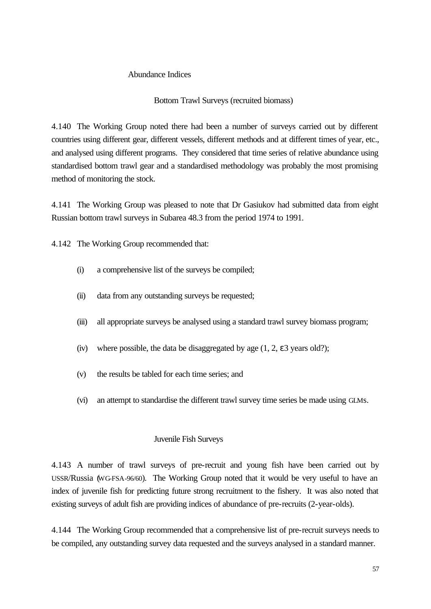## Abundance Indices

# Bottom Trawl Surveys (recruited biomass)

4.140 The Working Group noted there had been a number of surveys carried out by different countries using different gear, different vessels, different methods and at different times of year, etc., and analysed using different programs. They considered that time series of relative abundance using standardised bottom trawl gear and a standardised methodology was probably the most promising method of monitoring the stock.

4.141 The Working Group was pleased to note that Dr Gasiukov had submitted data from eight Russian bottom trawl surveys in Subarea 48.3 from the period 1974 to 1991.

4.142 The Working Group recommended that:

- (i) a comprehensive list of the surveys be compiled;
- (ii) data from any outstanding surveys be requested;
- (iii) all appropriate surveys be analysed using a standard trawl survey biomass program;
- (iv) where possible, the data be disaggregated by age  $(1, 2, \varepsilon 3$  years old?);
- (v) the results be tabled for each time series; and
- (vi) an attempt to standardise the different trawl survey time series be made using GLMs.

### Juvenile Fish Surveys

4.143 A number of trawl surveys of pre-recruit and young fish have been carried out by USSR/Russia (WG-FSA-96/60). The Working Group noted that it would be very useful to have an index of juvenile fish for predicting future strong recruitment to the fishery. It was also noted that existing surveys of adult fish are providing indices of abundance of pre-recruits (2-year-olds).

4.144 The Working Group recommended that a comprehensive list of pre-recruit surveys needs to be compiled, any outstanding survey data requested and the surveys analysed in a standard manner.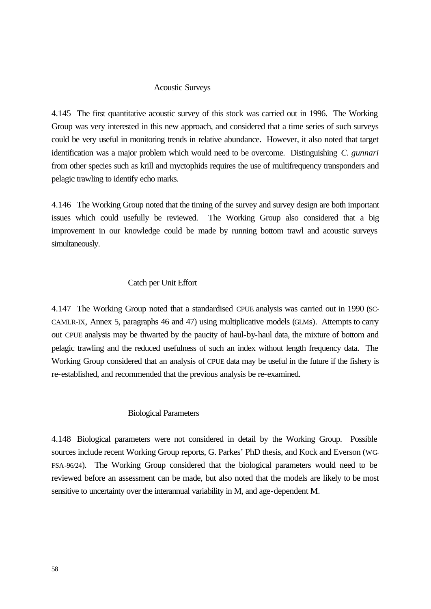#### Acoustic Surveys

4.145 The first quantitative acoustic survey of this stock was carried out in 1996. The Working Group was very interested in this new approach, and considered that a time series of such surveys could be very useful in monitoring trends in relative abundance. However, it also noted that target identification was a major problem which would need to be overcome. Distinguishing *C. gunnari*  from other species such as krill and myctophids requires the use of multifrequency transponders and pelagic trawling to identify echo marks.

4.146 The Working Group noted that the timing of the survey and survey design are both important issues which could usefully be reviewed. The Working Group also considered that a big improvement in our knowledge could be made by running bottom trawl and acoustic surveys simultaneously.

### Catch per Unit Effort

4.147 The Working Group noted that a standardised CPUE analysis was carried out in 1990 (SC-CAMLR-IX, Annex 5, paragraphs 46 and 47) using multiplicative models (GLMs). Attempts to carry out CPUE analysis may be thwarted by the paucity of haul-by-haul data, the mixture of bottom and pelagic trawling and the reduced usefulness of such an index without length frequency data. The Working Group considered that an analysis of CPUE data may be useful in the future if the fishery is re-established, and recommended that the previous analysis be re-examined.

#### Biological Parameters

4.148 Biological parameters were not considered in detail by the Working Group. Possible sources include recent Working Group reports, G. Parkes' PhD thesis, and Kock and Everson (WG-FSA-96/24). The Working Group considered that the biological parameters would need to be reviewed before an assessment can be made, but also noted that the models are likely to be most sensitive to uncertainty over the interannual variability in M, and age-dependent M.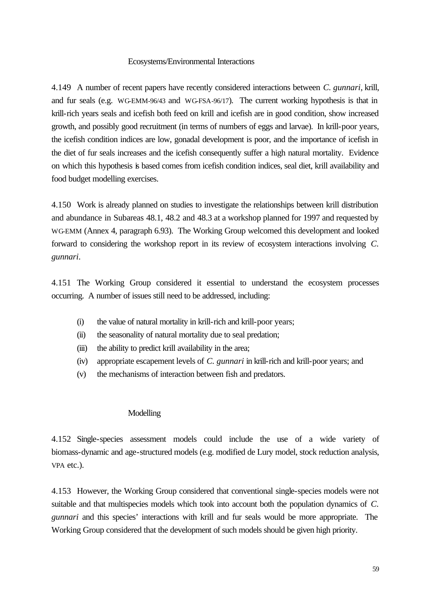#### Ecosystems/Environmental Interactions

4.149 A number of recent papers have recently considered interactions between *C. gunnari*, krill, and fur seals (e.g. WG-EMM-96/43 and WG-FSA-96/17). The current working hypothesis is that in krill-rich years seals and icefish both feed on krill and icefish are in good condition, show increased growth, and possibly good recruitment (in terms of numbers of eggs and larvae). In krill-poor years, the icefish condition indices are low, gonadal development is poor, and the importance of icefish in the diet of fur seals increases and the icefish consequently suffer a high natural mortality. Evidence on which this hypothesis is based comes from icefish condition indices, seal diet, krill availability and food budget modelling exercises.

4.150 Work is already planned on studies to investigate the relationships between krill distribution and abundance in Subareas 48.1, 48.2 and 48.3 at a workshop planned for 1997 and requested by WG-EMM (Annex 4, paragraph 6.93). The Working Group welcomed this development and looked forward to considering the workshop report in its review of ecosystem interactions involving *C. gunnari*.

4.151 The Working Group considered it essential to understand the ecosystem processes occurring. A number of issues still need to be addressed, including:

- (i) the value of natural mortality in krill-rich and krill-poor years;
- (ii) the seasonality of natural mortality due to seal predation;
- (iii) the ability to predict krill availability in the area;
- (iv) appropriate escapement levels of *C. gunnari* in krill-rich and krill-poor years; and
- (v) the mechanisms of interaction between fish and predators.

### Modelling

4.152 Single-species assessment models could include the use of a wide variety of biomass-dynamic and age-structured models (e.g. modified de Lury model, stock reduction analysis, VPA etc.).

4.153 However, the Working Group considered that conventional single-species models were not suitable and that multispecies models which took into account both the population dynamics of *C. gunnari* and this species' interactions with krill and fur seals would be more appropriate. The Working Group considered that the development of such models should be given high priority.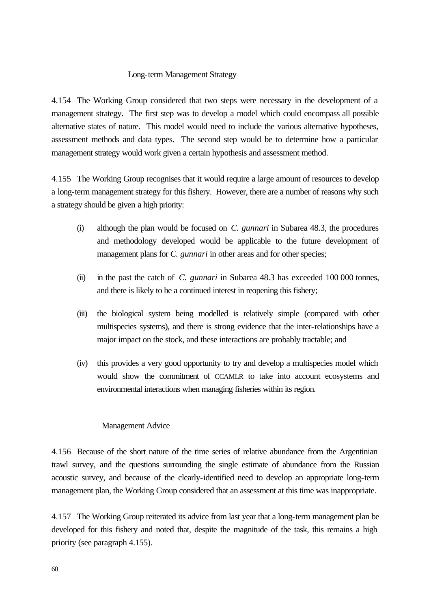## Long-term Management Strategy

4.154 The Working Group considered that two steps were necessary in the development of a management strategy. The first step was to develop a model which could encompass all possible alternative states of nature. This model would need to include the various alternative hypotheses, assessment methods and data types. The second step would be to determine how a particular management strategy would work given a certain hypothesis and assessment method.

4.155 The Working Group recognises that it would require a large amount of resources to develop a long-term management strategy for this fishery. However, there are a number of reasons why such a strategy should be given a high priority:

- (i) although the plan would be focused on *C. gunnari* in Subarea 48.3, the procedures and methodology developed would be applicable to the future development of management plans for *C. gunnari* in other areas and for other species;
- (ii) in the past the catch of *C. gunnari* in Subarea 48.3 has exceeded 100 000 tonnes, and there is likely to be a continued interest in reopening this fishery;
- (iii) the biological system being modelled is relatively simple (compared with other multispecies systems), and there is strong evidence that the inter-relationships have a major impact on the stock, and these interactions are probably tractable; and
- (iv) this provides a very good opportunity to try and develop a multispecies model which would show the commitment of CCAMLR to take into account ecosystems and environmental interactions when managing fisheries within its region.

# Management Advice

4.156 Because of the short nature of the time series of relative abundance from the Argentinian trawl survey, and the questions surrounding the single estimate of abundance from the Russian acoustic survey, and because of the clearly-identified need to develop an appropriate long-term management plan, the Working Group considered that an assessment at this time was inappropriate.

4.157 The Working Group reiterated its advice from last year that a long-term management plan be developed for this fishery and noted that, despite the magnitude of the task, this remains a high priority (see paragraph 4.155).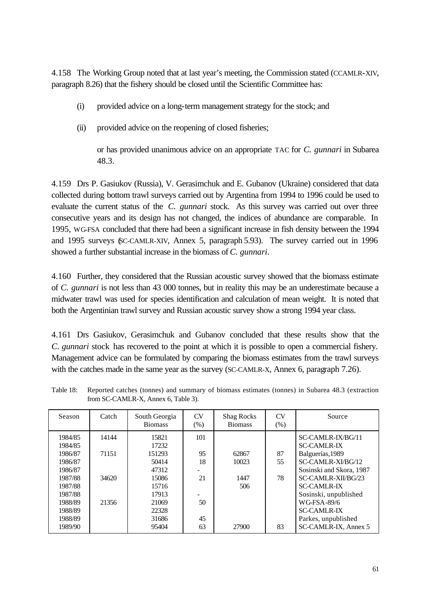4.158 The Working Group noted that at last year's meeting, the Commission stated (CCAMLR-XIV, paragraph 8.26) that the fishery should be closed until the Scientific Committee has:

- (i) provided advice on a long-term management strategy for the stock; and
- (ii) provided advice on the reopening of closed fisheries;

 or has provided unanimous advice on an appropriate TAC for *C. gunnari* in Subarea 48.3.

4.159 Drs P. Gasiukov (Russia), V. Gerasimchuk and E. Gubanov (Ukraine) considered that data collected during bottom trawl surveys carried out by Argentina from 1994 to 1996 could be used to evaluate the current status of the *C. gunnari* stock. As this survey was carried out over three consecutive years and its design has not changed, the indices of abundance are comparable. In 1995, WG-FSA concluded that there had been a significant increase in fish density between the 1994 and 1995 surveys (SC-CAMLR-XIV, Annex 5, paragraph 5.93). The survey carried out in 1996 showed a further substantial increase in the biomass of *C. gunnari*.

4.160 Further, they considered that the Russian acoustic survey showed that the biomass estimate of *C. gunnari* is not less than 43 000 tonnes, but in reality this may be an underestimate because a midwater trawl was used for species identification and calculation of mean weight. It is noted that both the Argentinian trawl survey and Russian acoustic survey show a strong 1994 year class.

4.161 Drs Gasiukov, Gerasimchuk and Gubanov concluded that these results show that the *C. gunnari* stock has recovered to the point at which it is possible to open a commercial fishery. Management advice can be formulated by comparing the biomass estimates from the trawl surveys with the catches made in the same year as the survey (SC-CAMLR-X, Annex 6, paragraph 7.26).

| Season                                                                                                                           | Catch                            | South Georgia<br><b>Biomass</b>                                                                           | CV<br>(% )                              | <b>Shag Rocks</b><br><b>Biomass</b>    | CV<br>(% )           | Source                                                                                                                                                                                                                                                                       |
|----------------------------------------------------------------------------------------------------------------------------------|----------------------------------|-----------------------------------------------------------------------------------------------------------|-----------------------------------------|----------------------------------------|----------------------|------------------------------------------------------------------------------------------------------------------------------------------------------------------------------------------------------------------------------------------------------------------------------|
| 1984/85<br>1984/85<br>1986/87<br>1986/87<br>1986/87<br>1987/88<br>1987/88<br>1987/88<br>1988/89<br>1988/89<br>1988/89<br>1989/90 | 14144<br>71151<br>34620<br>21356 | 15821<br>17232<br>151293<br>50414<br>47312<br>15086<br>15716<br>17913<br>21069<br>22328<br>31686<br>95404 | 101<br>95<br>18<br>21<br>50<br>45<br>63 | 62867<br>10023<br>1447<br>506<br>27900 | 87<br>55<br>78<br>83 | SC-CAMLR-IX/BG/11<br><b>SC-CAMLR-IX</b><br>Balguerías, 1989<br>SC-CAMLR-XI/BG/12<br>Sosinski and Skora, 1987<br>SC-CAMLR-XII/BG/23<br><b>SC-CAMLR-IX</b><br>Sosinski, unpublished<br><b>WG-FSA-89/6</b><br><b>SC-CAMLR-IX</b><br>Parkes, unpublished<br>SC-CAMLR-IX, Annex 5 |

Table 18: Reported catches (tonnes) and summary of biomass estimates (tonnes) in Subarea 48.3 (extraction from SC-CAMLR-X, Annex 6, Table 3).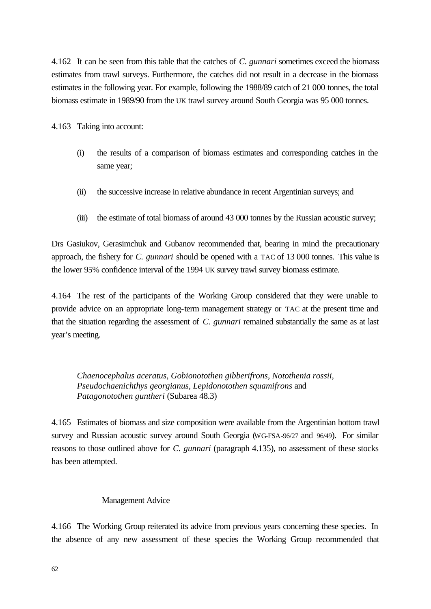4.162 It can be seen from this table that the catches of *C. gunnari* sometimes exceed the biomass estimates from trawl surveys. Furthermore, the catches did not result in a decrease in the biomass estimates in the following year. For example, following the 1988/89 catch of 21 000 tonnes, the total biomass estimate in 1989/90 from the UK trawl survey around South Georgia was 95 000 tonnes.

4.163 Taking into account:

- (i) the results of a comparison of biomass estimates and corresponding catches in the same year;
- (ii) the successive increase in relative abundance in recent Argentinian surveys; and
- (iii) the estimate of total biomass of around 43 000 tonnes by the Russian acoustic survey;

Drs Gasiukov, Gerasimchuk and Gubanov recommended that, bearing in mind the precautionary approach, the fishery for *C. gunnari* should be opened with a TAC of 13 000 tonnes. This value is the lower 95% confidence interval of the 1994 UK survey trawl survey biomass estimate.

4.164 The rest of the participants of the Working Group considered that they were unable to provide advice on an appropriate long-term management strategy or TAC at the present time and that the situation regarding the assessment of *C. gunnari* remained substantially the same as at last year's meeting.

*Chaenocephalus aceratus, Gobionotothen gibberifrons*, *Notothenia rossii, Pseudochaenichthys georgianus, Lepidonotothen squamifrons* and *Patagonotothen guntheri* (Subarea 48.3)

4.165 Estimates of biomass and size composition were available from the Argentinian bottom trawl survey and Russian acoustic survey around South Georgia (WG-FSA-96/27 and 96/49). For similar reasons to those outlined above for *C. gunnari* (paragraph 4.135), no assessment of these stocks has been attempted.

#### Management Advice

4.166 The Working Group reiterated its advice from previous years concerning these species. In the absence of any new assessment of these species the Working Group recommended that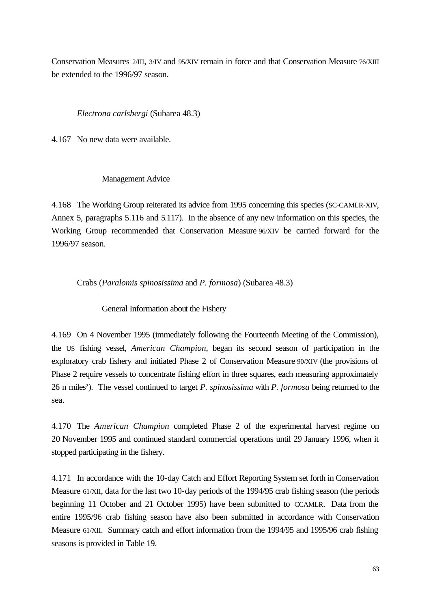Conservation Measures 2/III, 3/IV and 95/XIV remain in force and that Conservation Measure 76/XIII be extended to the 1996/97 season.

*Electrona carlsbergi* (Subarea 48.3)

4.167 No new data were available.

### Management Advice

4.168 The Working Group reiterated its advice from 1995 concerning this species (SC-CAMLR-XIV, Annex 5, paragraphs 5.116 and 5.117). In the absence of any new information on this species, the Working Group recommended that Conservation Measure 96/XIV be carried forward for the 1996/97 season.

Crabs (*Paralomis spinosissima* and *P. formosa*) (Subarea 48.3)

General Information about the Fishery

4.169 On 4 November 1995 (immediately following the Fourteenth Meeting of the Commission), the US fishing vessel, *American Champion*, began its second season of participation in the exploratory crab fishery and initiated Phase 2 of Conservation Measure 90/XIV (the provisions of Phase 2 require vessels to concentrate fishing effort in three squares, each measuring approximately 26 n miles<sup>2</sup> ). The vessel continued to target *P. spinosissima* with *P. formosa* being returned to the sea.

4.170 The *American Champion* completed Phase 2 of the experimental harvest regime on 20 November 1995 and continued standard commercial operations until 29 January 1996, when it stopped participating in the fishery.

4.171 In accordance with the 10-day Catch and Effort Reporting System set forth in Conservation Measure 61/XII, data for the last two 10-day periods of the 1994/95 crab fishing season (the periods beginning 11 October and 21 October 1995) have been submitted to CCAMLR. Data from the entire 1995/96 crab fishing season have also been submitted in accordance with Conservation Measure 61/XII. Summary catch and effort information from the 1994/95 and 1995/96 crab fishing seasons is provided in Table 19.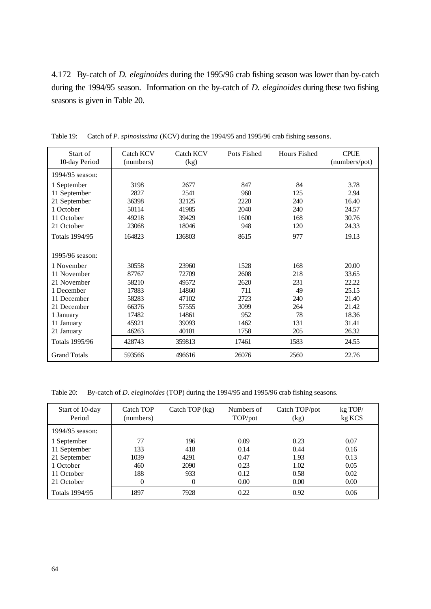4.172 By-catch of *D. eleginoides* during the 1995/96 crab fishing season was lower than by-catch during the 1994/95 season. Information on the by-catch of *D. eleginoides* during these two fishing seasons is given in Table 20.

| Start of<br>10-day Period | Catch KCV<br>(numbers) | Catch KCV<br>(kg) | Pots Fished | <b>Hours Fished</b> | <b>CPUE</b><br>(numbers/pot) |
|---------------------------|------------------------|-------------------|-------------|---------------------|------------------------------|
| 1994/95 season:           |                        |                   |             |                     |                              |
| 1 September               | 3198                   | 2677              | 847         | 84                  | 3.78                         |
| 11 September              | 2827                   | 2541              | 960         | 125                 | 2.94                         |
| 21 September              | 36398                  | 32125             | 2220        | 240                 | 16.40                        |
| 1 October                 | 50114                  | 41985             | 2040        | 240                 | 24.57                        |
| 11 October                | 49218                  | 39429             | 1600        | 168                 | 30.76                        |
| 21 October                | 23068                  | 18046             | 948         | 120                 | 24.33                        |
| Totals 1994/95            | 164823                 | 136803            | 8615        | 977                 | 19.13                        |
| 1995/96 season:           |                        |                   |             |                     |                              |
| 1 November                | 30558                  | 23960             | 1528        | 168                 | 20.00                        |
| 11 November               | 87767                  | 72709             | 2608        | 218                 | 33.65                        |
| 21 November               | 58210                  | 49572             | 2620        | 231                 | 22.22                        |
| 1 December                | 17883                  | 14860             | 711         | 49                  | 25.15                        |
| 11 December               | 58283                  | 47102             | 2723        | 240                 | 21.40                        |
| 21 December               | 66376                  | 57555             | 3099        | 264                 | 21.42                        |
| 1 January                 | 17482                  | 14861             | 952         | 78                  | 18.36                        |
| 11 January                | 45921                  | 39093             | 1462        | 131                 | 31.41                        |
| 21 January                | 46263                  | 40101             | 1758        | 205                 | 26.32                        |
| <b>Totals 1995/96</b>     | 428743                 | 359813            | 17461       | 1583                | 24.55                        |
| <b>Grand Totals</b>       | 593566                 | 496616            | 26076       | 2560                | 22.76                        |

Table 19: Catch of *P. spinosissima* (KCV) during the 1994/95 and 1995/96 crab fishing seasons.

Table 20: By-catch of *D. eleginoides* (TOP) during the 1994/95 and 1995/96 crab fishing seasons.

| Start of 10-day<br>Period | Catch TOP<br>(numbers) | Catch TOP $(kg)$ | Numbers of<br>TOP/pot | Catch TOP/pot<br>(kg) | kg TOP/<br>kg KCS |
|---------------------------|------------------------|------------------|-----------------------|-----------------------|-------------------|
| 1994/95 season:           |                        |                  |                       |                       |                   |
| 1 September               | 77                     | 196              | 0.09                  | 0.23                  | 0.07              |
| 11 September              | 133                    | 418              | 0.14                  | 0.44                  | 0.16              |
| 21 September              | 1039                   | 4291             | 0.47                  | 1.93                  | 0.13              |
| 1 October                 | 460                    | 2090             | 0.23                  | 1.02                  | 0.05              |
| 11 October                | 188                    | 933              | 0.12                  | 0.58                  | 0.02              |
| 21 October                |                        | 0                | 0.00                  | 0.00                  | 0.00              |
| Totals 1994/95            | 1897                   | 7928             | 0.22                  | 0.92                  | 0.06              |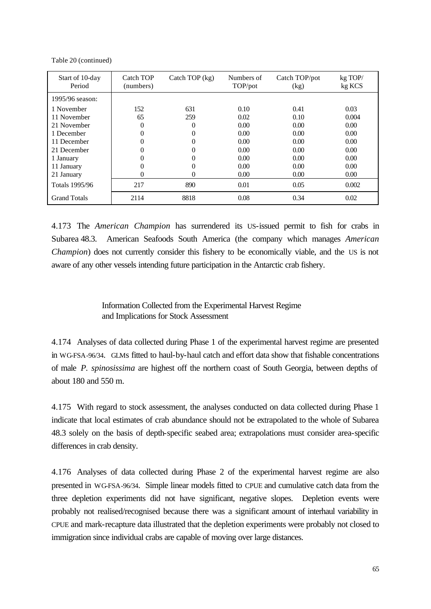Table 20 (continued)

| Start of 10-day<br>Period | Catch TOP<br>(numbers) | Catch TOP $(kg)$ | Numbers of<br>TOP/pot | Catch TOP/pot<br>(kg) | kg TOP/<br>kg KCS |
|---------------------------|------------------------|------------------|-----------------------|-----------------------|-------------------|
| 1995/96 season:           |                        |                  |                       |                       |                   |
| 1 November                | 152                    | 631              | 0.10                  | 0.41                  | 0.03              |
| 11 November               | 65                     | 259              | 0.02                  | 0.10                  | 0.004             |
| 21 November               | 0                      | 0                | 0.00                  | 0.00                  | 0.00 <sub>1</sub> |
| 1 December                |                        | 0                | 0.00                  | 0.00 <sub>1</sub>     | 0.00              |
| 11 December               |                        | 0                | 0.00                  | 0.00 <sub>1</sub>     | 0.00              |
| 21 December               | 0                      | 0                | 0.00                  | 0.00 <sub>1</sub>     | 0.00              |
| 1 January                 |                        | 0                | 0.00                  | 0.00 <sub>1</sub>     | 0.00 <sub>1</sub> |
| 11 January                |                        | 0                | 0.00                  | 0.00 <sub>1</sub>     | 0.00              |
| 21 January                | 0                      | 0                | 0.00                  | 0.00 <sub>1</sub>     | 0.00              |
| <b>Totals 1995/96</b>     | 217                    | 890              | 0.01                  | 0.05                  | 0.002             |
| <b>Grand Totals</b>       | 2114                   | 8818             | 0.08                  | 0.34                  | 0.02              |

4.173 The *American Champion* has surrendered its US-issued permit to fish for crabs in Subarea 48.3. American Seafoods South America (the company which manages *American Champion*) does not currently consider this fishery to be economically viable, and the US is not aware of any other vessels intending future participation in the Antarctic crab fishery.

> Information Collected from the Experimental Harvest Regime and Implications for Stock Assessment

4.174 Analyses of data collected during Phase 1 of the experimental harvest regime are presented in WG-FSA-96/34. GLMs fitted to haul-by-haul catch and effort data show that fishable concentrations of male *P. spinosissima* are highest off the northern coast of South Georgia, between depths of about 180 and 550 m.

4.175 With regard to stock assessment, the analyses conducted on data collected during Phase 1 indicate that local estimates of crab abundance should not be extrapolated to the whole of Subarea 48.3 solely on the basis of depth-specific seabed area; extrapolations must consider area-specific differences in crab density.

4.176 Analyses of data collected during Phase 2 of the experimental harvest regime are also presented in WG-FSA-96/34. Simple linear models fitted to CPUE and cumulative catch data from the three depletion experiments did not have significant, negative slopes. Depletion events were probably not realised/recognised because there was a significant amount of interhaul variability in CPUE and mark-recapture data illustrated that the depletion experiments were probably not closed to immigration since individual crabs are capable of moving over large distances.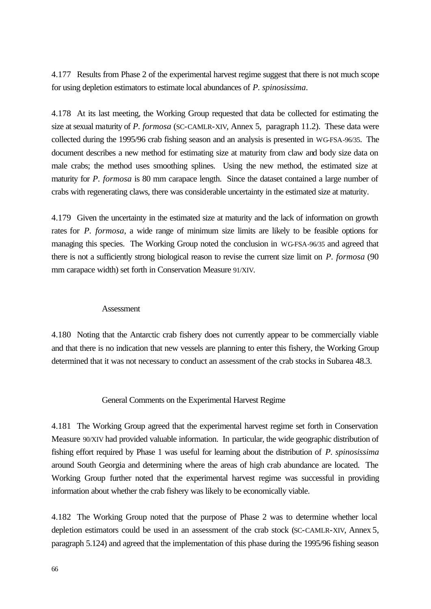4.177 Results from Phase 2 of the experimental harvest regime suggest that there is not much scope for using depletion estimators to estimate local abundances of *P. spinosissima*.

4.178 At its last meeting, the Working Group requested that data be collected for estimating the size at sexual maturity of *P. formosa* (SC-CAMLR-XIV, Annex 5, paragraph 11.2). These data were collected during the 1995/96 crab fishing season and an analysis is presented in WG-FSA-96/35. The document describes a new method for estimating size at maturity from claw and body size data on male crabs; the method uses smoothing splines. Using the new method, the estimated size at maturity for *P. formosa* is 80 mm carapace length. Since the dataset contained a large number of crabs with regenerating claws, there was considerable uncertainty in the estimated size at maturity.

4.179 Given the uncertainty in the estimated size at maturity and the lack of information on growth rates for *P. formosa*, a wide range of minimum size limits are likely to be feasible options for managing this species. The Working Group noted the conclusion in WG-FSA-96/35 and agreed that there is not a sufficiently strong biological reason to revise the current size limit on *P. formosa* (90 mm carapace width) set forth in Conservation Measure 91/XIV.

### Assessment

4.180 Noting that the Antarctic crab fishery does not currently appear to be commercially viable and that there is no indication that new vessels are planning to enter this fishery, the Working Group determined that it was not necessary to conduct an assessment of the crab stocks in Subarea 48.3.

#### General Comments on the Experimental Harvest Regime

4.181 The Working Group agreed that the experimental harvest regime set forth in Conservation Measure 90/XIV had provided valuable information. In particular, the wide geographic distribution of fishing effort required by Phase 1 was useful for learning about the distribution of *P. spinosissima* around South Georgia and determining where the areas of high crab abundance are located. The Working Group further noted that the experimental harvest regime was successful in providing information about whether the crab fishery was likely to be economically viable.

4.182 The Working Group noted that the purpose of Phase 2 was to determine whether local depletion estimators could be used in an assessment of the crab stock (SC-CAMLR-XIV, Annex 5, paragraph 5.124) and agreed that the implementation of this phase during the 1995/96 fishing season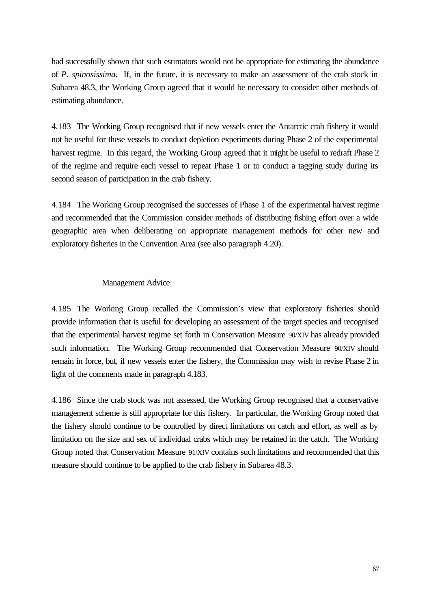had successfully shown that such estimators would not be appropriate for estimating the abundance of *P. spinosissima*. If, in the future, it is necessary to make an assessment of the crab stock in Subarea 48.3, the Working Group agreed that it would be necessary to consider other methods of estimating abundance.

4.183 The Working Group recognised that if new vessels enter the Antarctic crab fishery it would not be useful for these vessels to conduct depletion experiments during Phase 2 of the experimental harvest regime. In this regard, the Working Group agreed that it might be useful to redraft Phase 2 of the regime and require each vessel to repeat Phase 1 or to conduct a tagging study during its second season of participation in the crab fishery.

4.184 The Working Group recognised the successes of Phase 1 of the experimental harvest regime and recommended that the Commission consider methods of distributing fishing effort over a wide geographic area when deliberating on appropriate management methods for other new and exploratory fisheries in the Convention Area (see also paragraph 4.20).

### Management Advice

4.185 The Working Group recalled the Commission's view that exploratory fisheries should provide information that is useful for developing an assessment of the target species and recognised that the experimental harvest regime set forth in Conservation Measure 90/XIV has already provided such information. The Working Group recommended that Conservation Measure 90/XIV should remain in force, but, if new vessels enter the fishery, the Commission may wish to revise Phase 2 in light of the comments made in paragraph 4.183.

4.186 Since the crab stock was not assessed, the Working Group recognised that a conservative management scheme is still appropriate for this fishery. In particular, the Working Group noted that the fishery should continue to be controlled by direct limitations on catch and effort, as well as by limitation on the size and sex of individual crabs which may be retained in the catch. The Working Group noted that Conservation Measure 91/XIV contains such limitations and recommended that this measure should continue to be applied to the crab fishery in Subarea 48.3.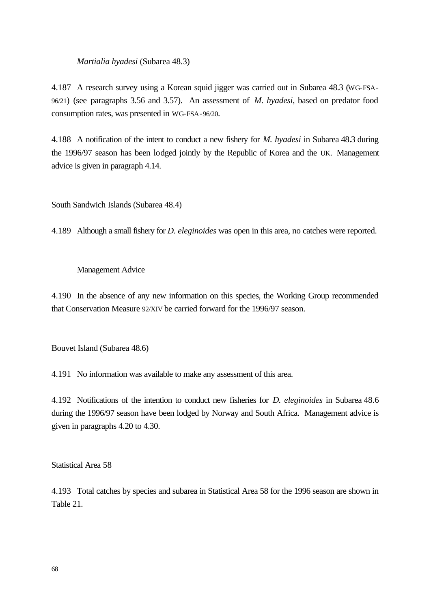*Martialia hyadesi* (Subarea 48.3)

4.187 A research survey using a Korean squid jigger was carried out in Subarea 48.3 (WG-FSA-96/21) (see paragraphs 3.56 and 3.57). An assessment of *M. hyadesi*, based on predator food consumption rates, was presented in WG-FSA-96/20.

4.188 A notification of the intent to conduct a new fishery for *M. hyadesi* in Subarea 48.3 during the 1996/97 season has been lodged jointly by the Republic of Korea and the UK. Management advice is given in paragraph 4.14.

South Sandwich Islands (Subarea 48.4)

4.189 Although a small fishery for *D. eleginoides* was open in this area, no catches were reported.

#### Management Advice

4.190 In the absence of any new information on this species, the Working Group recommended that Conservation Measure 92/XIV be carried forward for the 1996/97 season.

Bouvet Island (Subarea 48.6)

4.191 No information was available to make any assessment of this area.

4.192 Notifications of the intention to conduct new fisheries for *D. eleginoides* in Subarea 48.6 during the 1996/97 season have been lodged by Norway and South Africa. Management advice is given in paragraphs 4.20 to 4.30.

Statistical Area 58

4.193 Total catches by species and subarea in Statistical Area 58 for the 1996 season are shown in Table 21.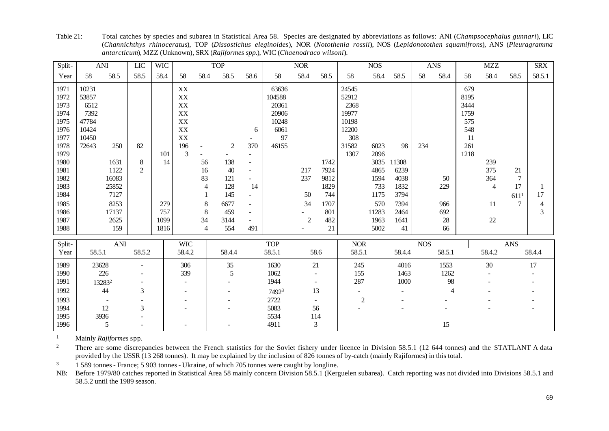Split- ANI LIC WIC TOP 1 NOR 1 NOS ANS MZZ SRX Year | 58 58.5 | 58.5 | 58.4 | 58 58.4 58.5 | 58.6 | 58 58.4 58.5 | 58 58.4 | 58 58.5 | 58.5.1 58.5.1 58.5.1 5 1971 | 10231 | | XX | 63636 | 24545 | | | 679 1972 | 53857 | | | XX | 104588 | 52912 | | | 8195 1973 6512 | XX | 20361 | 2368 | 3444 1974 7392 | | XX | 20906 | 19977 | | 1759 1975 47784 | | XX | 10248 | 10198 | | 575 1976 10424 | | XX 6 6061 | 12200 | 548 1977 10450 XX - 97 308 11 1978 72643 250 82 196 - 2 370 46155 31582 6023 98 234 261 1979 101 3 - - - 1307 2096 1218 1980 1631 8 14 56 138 - 1742 3035 11308 1 239 1981 1122 2 16 40 - 217 7924 4865 6239 1375 21 1982 16083 1 83 121 - 237 9812 1594 4038 50 364 7 1983 25852 1 4 128 14 128 1829 733 1832 229 4 17 1 1984 7127 1 1 145 - 50 744 1175 3794 1175 1794 611<sup>1</sup> 17 1985 8253 279 8 6677 - 34 1707 570 7394 966 11 7 4 1986 17137 1757 8 459 - 801 11283 2464 692 3 1987 2625 1099 34 3144 - 2 482 1963 1641 28 22 1988 159 1816 4 554 491 - 21 5002 41 66 Split- ANI WIC TOP NOR NOS ANS Year 58.5.1 58.5.2 58.4.2 58.4.4 58.5.1 58.6 58.5.1 58.4.4 58.5.1 58.4.2 58.4.4 1989 23628 - 306 35 1630 21 245 4016 1553 30 17 1990 226 - 339 5 1062 - 155 1463 1262 - -1991 13283<sup>2</sup> - - 1944 - 287 1000 98 - -1992 44 3 - 7492<sup>3</sup> 13 - - 4 - -1993 - - - | - | - 2722 - | 2 | - - - | - - -1994 12 3 - - 5083 56 - - - - - - -1995 3936 - 1 1996 5 - - - - 4911 3 | 15

Table 21: Total catches by species and subarea in Statistical Area 58. Species are designated by abbreviations as follows: ANI (*Champsocephalus gunnari*), LIC (*Channichthys rhinoceratus*), TOP (*Dissostichus eleginoides*), NOR (*Notothenia rossii*), NOS (*Lepidonotothen squamifrons*), ANS (*Pleuragramma antarcticum*), MZZ (Unknown), SRX (*Rajiformes spp.*), WIC (*Chaenodraco wilsoni*).

<sup>1</sup> Mainly *Rajiformes* spp*.*

<sup>2</sup> There are some discrepancies between the French statistics for the Soviet fishery under licence in Division 58.5.1 (12 644 tonnes) and the STATLANT A data provided by the USSR (13 268 tonnes). It may be explained by the inclusion of 826 tonnes of by-catch (mainly Rajiformes) in this total.

<sup>3</sup> 1 589 tonnes - France; 5 903 tonnes - Ukraine, of which 705 tonnes were caught by longline.

NB: Before 1979/80 catches reported in Statistical Area 58 mainly concern Division 58.5.1 (Kerguelen subarea). Catch reporting was not divided into Divisions 58.5.1 and 58.5.2 until the 1989 season.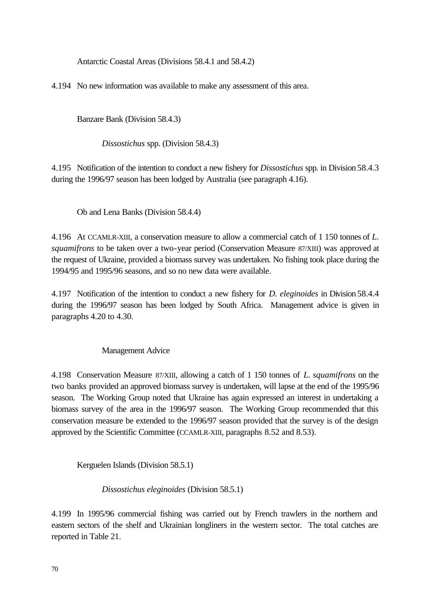Antarctic Coastal Areas (Divisions 58.4.1 and 58.4.2)

4.194 No new information was available to make any assessment of this area.

Banzare Bank (Division 58.4.3)

*Dissostichus* spp. (Division 58.4.3)

4.195 Notification of the intention to conduct a new fishery for *Dissostichus* spp. in Division 58.4.3 during the 1996/97 season has been lodged by Australia (see paragraph 4.16).

Ob and Lena Banks (Division 58.4.4)

4.196 At CCAMLR-XIII, a conservation measure to allow a commercial catch of 1 150 tonnes of *L. squamifrons* to be taken over a two-year period (Conservation Measure 87/XIII) was approved at the request of Ukraine, provided a biomass survey was undertaken. No fishing took place during the 1994/95 and 1995/96 seasons, and so no new data were available.

4.197 Notification of the intention to conduct a new fishery for *D. eleginoides* in Division 58.4.4 during the 1996/97 season has been lodged by South Africa. Management advice is given in paragraphs 4.20 to 4.30.

# Management Advice

4.198 Conservation Measure 87/XIII, allowing a catch of 1 150 tonnes of *L. squamifrons* on the two banks provided an approved biomass survey is undertaken, will lapse at the end of the 1995/96 season. The Working Group noted that Ukraine has again expressed an interest in undertaking a biomass survey of the area in the 1996/97 season. The Working Group recommended that this conservation measure be extended to the 1996/97 season provided that the survey is of the design approved by the Scientific Committee (CCAMLR-XIII, paragraphs 8.52 and 8.53).

Kerguelen Islands (Division 58.5.1)

*Dissostichus eleginoides* (Division 58.5.1)

4.199 In 1995/96 commercial fishing was carried out by French trawlers in the northern and eastern sectors of the shelf and Ukrainian longliners in the western sector. The total catches are reported in Table 21.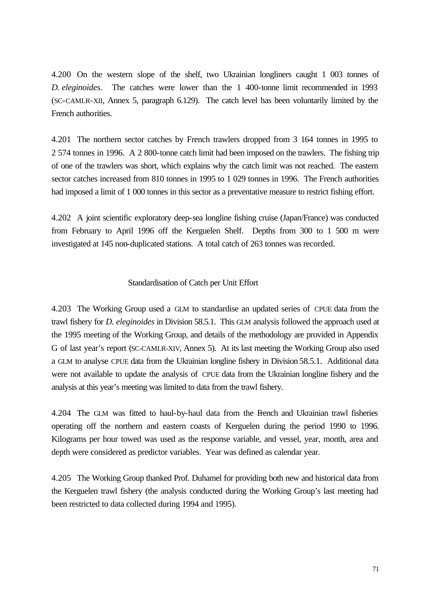4.200 On the western slope of the shelf, two Ukrainian longliners caught 1 003 tonnes of *D. eleginoides*. The catches were lower than the 1 400-tonne limit recommended in 1993 (SC-CAMLR-XII, Annex 5, paragraph 6.129). The catch level has been voluntarily limited by the French authorities.

4.201 The northern sector catches by French trawlers dropped from 3 164 tonnes in 1995 to 2 574 tonnes in 1996. A 2 800-tonne catch limit had been imposed on the trawlers. The fishing trip of one of the trawlers was short, which explains why the catch limit was not reached. The eastern sector catches increased from 810 tonnes in 1995 to 1 029 tonnes in 1996. The French authorities had imposed a limit of 1 000 tonnes in this sector as a preventative measure to restrict fishing effort.

4.202 A joint scientific exploratory deep-sea longline fishing cruise (Japan/France) was conducted from February to April 1996 off the Kerguelen Shelf. Depths from 300 to 1 500 m were investigated at 145 non-duplicated stations. A total catch of 263 tonnes was recorded.

### Standardisation of Catch per Unit Effort

4.203 The Working Group used a GLM to standardise an updated series of CPUE data from the trawl fishery for *D. eleginoides* in Division 58.5.1. This GLM analysis followed the approach used at the 1995 meeting of the Working Group, and details of the methodology are provided in Appendix G of last year's report (SC-CAMLR-XIV, Annex 5). At its last meeting the Working Group also used a GLM to analyse CPUE data from the Ukrainian longline fishery in Division 58.5.1. Additional data were not available to update the analysis of CPUE data from the Ukrainian longline fishery and the analysis at this year's meeting was limited to data from the trawl fishery.

4.204 The GLM was fitted to haul-by-haul data from the French and Ukrainian trawl fisheries operating off the northern and eastern coasts of Kerguelen during the period 1990 to 1996. Kilograms per hour towed was used as the response variable, and vessel, year, month, area and depth were considered as predictor variables. Year was defined as calendar year.

4.205 The Working Group thanked Prof. Duhamel for providing both new and historical data from the Kerguelen trawl fishery (the analysis conducted during the Working Group's last meeting had been restricted to data collected during 1994 and 1995).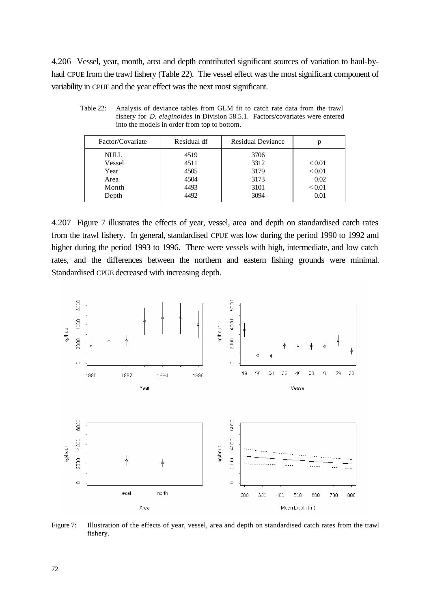4.206 Vessel, year, month, area and depth contributed significant sources of variation to haul-byhaul CPUE from the trawl fishery (Table 22). The vessel effect was the most significant component of variability in CPUE and the year effect was the next most significant.

| Factor/Covariate                                        | Residual df                                  | <b>Residual Deviance</b>                     |                                                   |
|---------------------------------------------------------|----------------------------------------------|----------------------------------------------|---------------------------------------------------|
| <b>NULL</b><br>Vessel<br>Year<br>Area<br>Month<br>Depth | 4519<br>4511<br>4505<br>4504<br>4493<br>4492 | 3706<br>3312<br>3179<br>3173<br>3101<br>3094 | ${}_{< 0.01}$<br>< 0.01<br>0.02<br>< 0.01<br>0.01 |

Table 22: Analysis of deviance tables from GLM fit to catch rate data from the trawl fishery for *D. eleginoides* in Division 58.5.1. Factors/covariates were entered into the models in order from top to bottom.

4.207 Figure 7 illustrates the effects of year, vessel, area and depth on standardised catch rates from the trawl fishery. In general, standardised CPUE was low during the period 1990 to 1992 and higher during the period 1993 to 1996. There were vessels with high, intermediate, and low catch rates, and the differences between the northern and eastern fishing grounds were minimal. Standardised CPUE decreased with increasing depth.



Figure 7: Illustration of the effects of year, vessel, area and depth on standardised catch rates from the trawl fishery.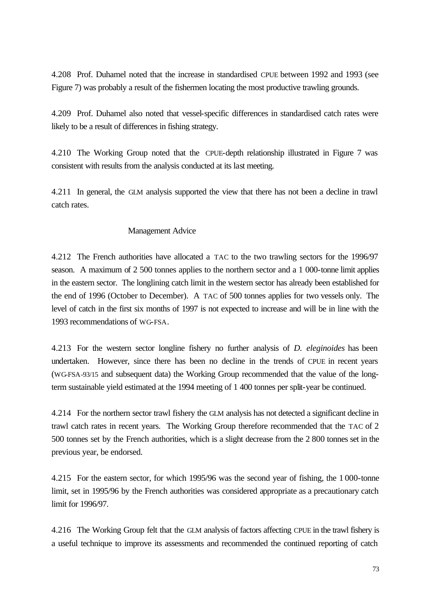4.208 Prof. Duhamel noted that the increase in standardised CPUE between 1992 and 1993 (see Figure 7) was probably a result of the fishermen locating the most productive trawling grounds.

4.209 Prof. Duhamel also noted that vessel-specific differences in standardised catch rates were likely to be a result of differences in fishing strategy.

4.210 The Working Group noted that the CPUE-depth relationship illustrated in Figure 7 was consistent with results from the analysis conducted at its last meeting.

4.211 In general, the GLM analysis supported the view that there has not been a decline in trawl catch rates.

## Management Advice

4.212 The French authorities have allocated a TAC to the two trawling sectors for the 1996/97 season. A maximum of 2 500 tonnes applies to the northern sector and a 1 000-tonne limit applies in the eastern sector. The longlining catch limit in the western sector has already been established for the end of 1996 (October to December). A TAC of 500 tonnes applies for two vessels only. The level of catch in the first six months of 1997 is not expected to increase and will be in line with the 1993 recommendations of WG-FSA.

4.213 For the western sector longline fishery no further analysis of *D. eleginoides* has been undertaken. However, since there has been no decline in the trends of CPUE in recent years (WG-FSA-93/15 and subsequent data) the Working Group recommended that the value of the longterm sustainable yield estimated at the 1994 meeting of 1 400 tonnes per split-year be continued.

4.214 For the northern sector trawl fishery the GLM analysis has not detected a significant decline in trawl catch rates in recent years. The Working Group therefore recommended that the TAC of 2 500 tonnes set by the French authorities, which is a slight decrease from the 2 800 tonnes set in the previous year, be endorsed.

4.215 For the eastern sector, for which 1995/96 was the second year of fishing, the 1 000-tonne limit, set in 1995/96 by the French authorities was considered appropriate as a precautionary catch limit for 1996/97.

4.216 The Working Group felt that the GLM analysis of factors affecting CPUE in the trawl fishery is a useful technique to improve its assessments and recommended the continued reporting of catch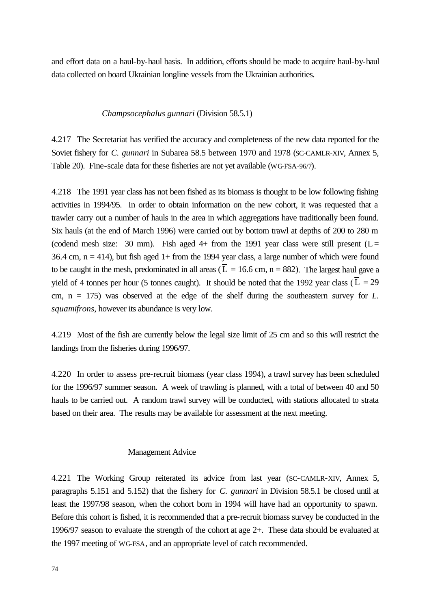and effort data on a haul-by-haul basis. In addition, efforts should be made to acquire haul-by-haul data collected on board Ukrainian longline vessels from the Ukrainian authorities.

#### *Champsocephalus gunnari* (Division 58.5.1)

4.217 The Secretariat has verified the accuracy and completeness of the new data reported for the Soviet fishery for *C. gunnari* in Subarea 58.5 between 1970 and 1978 (SC-CAMLR-XIV, Annex 5, Table 20). Fine-scale data for these fisheries are not yet available (WG-FSA-96/7).

4.218 The 1991 year class has not been fished as its biomass is thought to be low following fishing activities in 1994/95. In order to obtain information on the new cohort, it was requested that a trawler carry out a number of hauls in the area in which aggregations have traditionally been found. Six hauls (at the end of March 1996) were carried out by bottom trawl at depths of 200 to 280 m (codend mesh size: 30 mm). Fish aged 4+ from the 1991 year class were still present  $(L =$ 36.4 cm,  $n = 414$ ), but fish aged 1+ from the 1994 year class, a large number of which were found to be caught in the mesh, predominated in all areas ( $\overline{L} = 16.6$  cm, n = 882). The largest haul gave a yield of 4 tonnes per hour (5 tonnes caught). It should be noted that the 1992 year class ( $L = 29$ cm,  $n = 175$ ) was observed at the edge of the shelf during the southeastern survey for  $L$ . *squamifrons*, however its abundance is very low.

4.219 Most of the fish are currently below the legal size limit of 25 cm and so this will restrict the landings from the fisheries during 1996/97.

4.220 In order to assess pre-recruit biomass (year class 1994), a trawl survey has been scheduled for the 1996/97 summer season. A week of trawling is planned, with a total of between 40 and 50 hauls to be carried out. A random trawl survey will be conducted, with stations allocated to strata based on their area. The results may be available for assessment at the next meeting.

#### Management Advice

4.221 The Working Group reiterated its advice from last year (SC-CAMLR-XIV, Annex 5, paragraphs 5.151 and 5.152) that the fishery for *C. gunnari* in Division 58.5.1 be closed until at least the 1997/98 season, when the cohort born in 1994 will have had an opportunity to spawn. Before this cohort is fished, it is recommended that a pre-recruit biomass survey be conducted in the 1996/97 season to evaluate the strength of the cohort at age 2+. These data should be evaluated at the 1997 meeting of WG-FSA, and an appropriate level of catch recommended.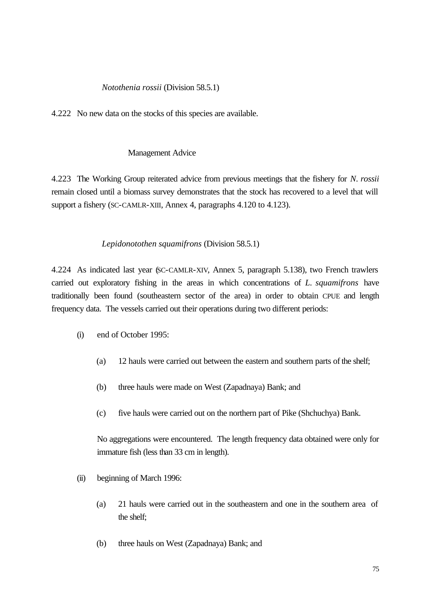# *Notothenia rossii* (Division 58.5.1)

4.222 No new data on the stocks of this species are available.

## Management Advice

4.223 The Working Group reiterated advice from previous meetings that the fishery for *N. rossii* remain closed until a biomass survey demonstrates that the stock has recovered to a level that will support a fishery (SC-CAMLR-XIII, Annex 4, paragraphs 4.120 to 4.123).

## *Lepidonotothen squamifrons* (Division 58.5.1)

4.224 As indicated last year (SC-CAMLR-XIV, Annex 5, paragraph 5.138), two French trawlers carried out exploratory fishing in the areas in which concentrations of *L. squamifrons* have traditionally been found (southeastern sector of the area) in order to obtain CPUE and length frequency data. The vessels carried out their operations during two different periods:

- (i) end of October 1995:
	- (a) 12 hauls were carried out between the eastern and southern parts of the shelf;
	- (b) three hauls were made on West (Zapadnaya) Bank; and
	- (c) five hauls were carried out on the northern part of Pike (Shchuchya) Bank.

No aggregations were encountered. The length frequency data obtained were only for immature fish (less than 33 cm in length).

- (ii) beginning of March 1996:
	- (a) 21 hauls were carried out in the southeastern and one in the southern area of the shelf;
	- (b) three hauls on West (Zapadnaya) Bank; and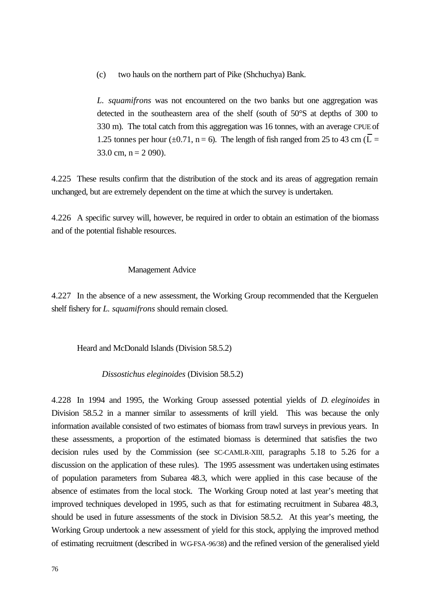(c) two hauls on the northern part of Pike (Shchuchya) Bank.

*L. squamifrons* was not encountered on the two banks but one aggregation was detected in the southeastern area of the shelf (south of 50°S at depths of 300 to 330 m). The total catch from this aggregation was 16 tonnes, with an average CPUE of 1.25 tonnes per hour ( $\pm$ 0.71, n = 6). The length of fish ranged from 25 to 43 cm ( $\overline{L}$  = 33.0 cm,  $n = 2$  090).

4.225 These results confirm that the distribution of the stock and its areas of aggregation remain unchanged, but are extremely dependent on the time at which the survey is undertaken.

4.226 A specific survey will, however, be required in order to obtain an estimation of the biomass and of the potential fishable resources.

#### Management Advice

4.227 In the absence of a new assessment, the Working Group recommended that the Kerguelen shelf fishery for *L. squamifrons* should remain closed.

Heard and McDonald Islands (Division 58.5.2)

*Dissostichus eleginoides* (Division 58.5.2)

4.228 In 1994 and 1995, the Working Group assessed potential yields of *D. eleginoides* in Division 58.5.2 in a manner similar to assessments of krill yield. This was because the only information available consisted of two estimates of biomass from trawl surveys in previous years. In these assessments, a proportion of the estimated biomass is determined that satisfies the two decision rules used by the Commission (see SC-CAMLR-XIII, paragraphs 5.18 to 5.26 for a discussion on the application of these rules). The 1995 assessment was undertaken using estimates of population parameters from Subarea 48.3, which were applied in this case because of the absence of estimates from the local stock. The Working Group noted at last year's meeting that improved techniques developed in 1995, such as that for estimating recruitment in Subarea 48.3, should be used in future assessments of the stock in Division 58.5.2. At this year's meeting, the Working Group undertook a new assessment of yield for this stock, applying the improved method of estimating recruitment (described in WG-FSA-96/38) and the refined version of the generalised yield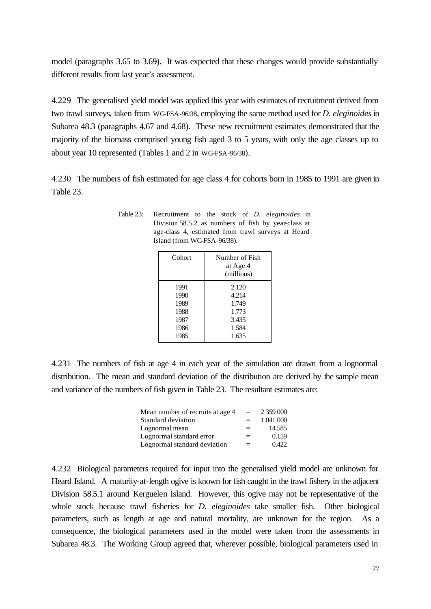model (paragraphs 3.65 to 3.69). It was expected that these changes would provide substantially different results from last year's assessment.

4.229 The generalised yield model was applied this year with estimates of recruitment derived from two trawl surveys, taken from WG-FSA-96/38, employing the same method used for *D. eleginoides* in Subarea 48.3 (paragraphs 4.67 and 4.68). These new recruitment estimates demonstrated that the majority of the biomass comprised young fish aged 3 to 5 years, with only the age classes up to about year 10 represented (Tables 1 and 2 in WG-FSA-96/38).

4.230 The numbers of fish estimated for age class 4 for cohorts born in 1985 to 1991 are given in Table 23.

| Table 23: | Recruitment to the stock of <i>D. eleginoides</i> in |
|-----------|------------------------------------------------------|
|           | Division 58.5.2 as numbers of fish by year-class at  |
|           | age-class 4, estimated from trawl surveys at Heard   |
|           | Island (from WGFSA-96/38).                           |

| Cohort | Number of Fish<br>at Age 4<br>(millions) |
|--------|------------------------------------------|
| 1991   | 2.120                                    |
| 1990   | 4.214                                    |
| 1989   | 1.749                                    |
| 1988   | 1.773                                    |
| 1987   | 3.435                                    |
| 1986   | 1.584                                    |
| 1985   | 1.635                                    |

4.231 The numbers of fish at age 4 in each year of the simulation are drawn from a lognormal distribution. The mean and standard deviation of the distribution are derived by the sample mean and variance of the numbers of fish given in Table 23. The resultant estimates are:

| Mean number of recruits at age 4 | $=$ | 2 359 000 |
|----------------------------------|-----|-----------|
| Standard deviation               | $=$ | 1 041 000 |
| Lognormal mean                   | $=$ | 14.585    |
| Lognormal standard error         | $=$ | 0.159     |
| Lognormal standard deviation     | $=$ | 0.422     |

4.232 Biological parameters required for input into the generalised yield model are unknown for Heard Island. A maturity-at-length ogive is known for fish caught in the trawl fishery in the adjacent Division 58.5.1 around Kerguelen Island. However, this ogive may not be representative of the whole stock because trawl fisheries for *D. eleginoides* take smaller fish. Other biological parameters, such as length at age and natural mortality, are unknown for the region. As a consequence, the biological parameters used in the model were taken from the assessments in Subarea 48.3. The Working Group agreed that, wherever possible, biological parameters used in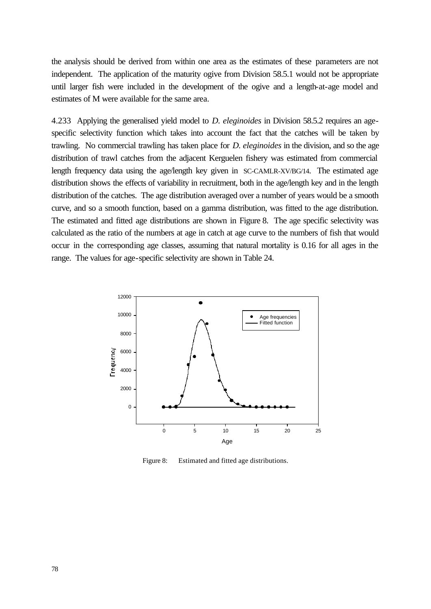the analysis should be derived from within one area as the estimates of these parameters are not independent. The application of the maturity ogive from Division 58.5.1 would not be appropriate until larger fish were included in the development of the ogive and a length-at-age model and estimates of M were available for the same area.

4.233 Applying the generalised yield model to *D. eleginoides* in Division 58.5.2 requires an agespecific selectivity function which takes into account the fact that the catches will be taken by trawling. No commercial trawling has taken place for *D. eleginoides* in the division, and so the age distribution of trawl catches from the adjacent Kerguelen fishery was estimated from commercial length frequency data using the age/length key given in SC-CAMLR-XV/BG/14. The estimated age distribution shows the effects of variability in recruitment, both in the age/length key and in the length distribution of the catches. The age distribution averaged over a number of years would be a smooth curve, and so a smooth function, based on a gamma distribution, was fitted to the age distribution. The estimated and fitted age distributions are shown in Figure 8. The age specific selectivity was calculated as the ratio of the numbers at age in catch at age curve to the numbers of fish that would occur in the corresponding age classes, assuming that natural mortality is 0.16 for all ages in the range. The values for age-specific selectivity are shown in Table 24.



Figure 8: Estimated and fitted age distributions.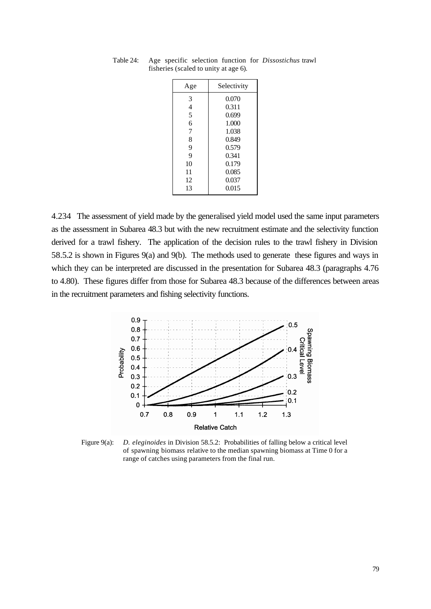| Age | Selectivity |
|-----|-------------|
| 3   | 0.070       |
| 4   | 0.311       |
| 5   | 0.699       |
| 6   | 1.000       |
| 7   | 1.038       |
| 8   | 0.849       |
| 9   | 0.579       |
| 9   | 0.341       |
| 10  | 0.179       |
| 11  | 0.085       |
| 12  | 0.037       |
| 13  | 0.015       |

Table 24: Age specific selection function for *Dissostichus* trawl fisheries (scaled to unity at age 6).

4.234 The assessment of yield made by the generalised yield model used the same input parameters as the assessment in Subarea 48.3 but with the new recruitment estimate and the selectivity function derived for a trawl fishery. The application of the decision rules to the trawl fishery in Division 58.5.2 is shown in Figures 9(a) and 9(b). The methods used to generate these figures and ways in which they can be interpreted are discussed in the presentation for Subarea 48.3 (paragraphs 4.76 to 4.80). These figures differ from those for Subarea 48.3 because of the differences between areas in the recruitment parameters and fishing selectivity functions.



Figure 9(a): *D. eleginoides* in Division 58.5.2: Probabilities of falling below a critical level of spawning biomass relative to the median spawning biomass at Time 0 for a range of catches using parameters from the final run.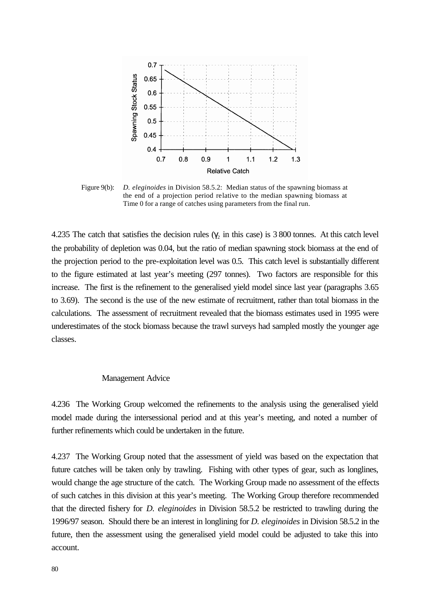

Figure 9(b): *D. eleginoides* in Division 58.5.2: Median status of the spawning biomass at the end of a projection period relative to the median spawning biomass at Time 0 for a range of catches using parameters from the final run.

4.235 The catch that satisfies the decision rules  $(\gamma_2$  in this case) is 3 800 tonnes. At this catch level the probability of depletion was 0.04, but the ratio of median spawning stock biomass at the end of the projection period to the pre-exploitation level was 0.5. This catch level is substantially different to the figure estimated at last year's meeting (297 tonnes). Two factors are responsible for this increase. The first is the refinement to the generalised yield model since last year (paragraphs 3.65 to 3.69). The second is the use of the new estimate of recruitment, rather than total biomass in the calculations. The assessment of recruitment revealed that the biomass estimates used in 1995 were underestimates of the stock biomass because the trawl surveys had sampled mostly the younger age classes.

### Management Advice

4.236 The Working Group welcomed the refinements to the analysis using the generalised yield model made during the intersessional period and at this year's meeting, and noted a number of further refinements which could be undertaken in the future.

4.237 The Working Group noted that the assessment of yield was based on the expectation that future catches will be taken only by trawling. Fishing with other types of gear, such as longlines, would change the age structure of the catch. The Working Group made no assessment of the effects of such catches in this division at this year's meeting. The Working Group therefore recommended that the directed fishery for *D. eleginoides* in Division 58.5.2 be restricted to trawling during the 1996/97 season. Should there be an interest in longlining for *D. eleginoides* in Division 58.5.2 in the future, then the assessment using the generalised yield model could be adjusted to take this into account.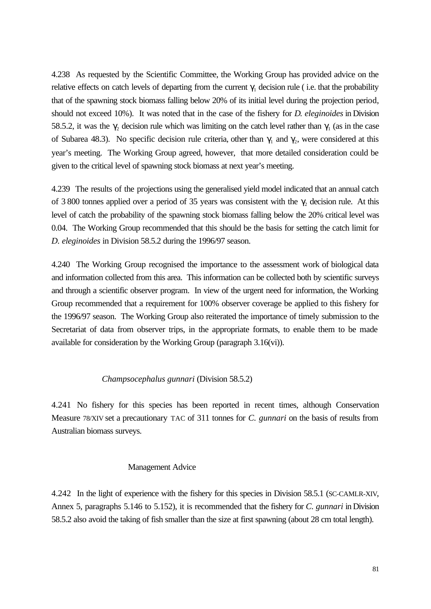4.238 As requested by the Scientific Committee, the Working Group has provided advice on the relative effects on catch levels of departing from the current  $\gamma_1$  decision rule (i.e. that the probability that of the spawning stock biomass falling below 20% of its initial level during the projection period, should not exceed 10%). It was noted that in the case of the fishery for *D. eleginoides* in Division 58.5.2, it was the  $\gamma_2$  decision rule which was limiting on the catch level rather than  $\gamma_1$  (as in the case of Subarea 48.3). No specific decision rule criteria, other than  $\gamma_1$  and  $\gamma_2$ , were considered at this year's meeting. The Working Group agreed, however, that more detailed consideration could be given to the critical level of spawning stock biomass at next year's meeting.

4.239 The results of the projections using the generalised yield model indicated that an annual catch of 3 800 tonnes applied over a period of 35 years was consistent with the  $\gamma_2$  decision rule. At this level of catch the probability of the spawning stock biomass falling below the 20% critical level was 0.04. The Working Group recommended that this should be the basis for setting the catch limit for *D. eleginoides* in Division 58.5.2 during the 1996/97 season.

4.240 The Working Group recognised the importance to the assessment work of biological data and information collected from this area. This information can be collected both by scientific surveys and through a scientific observer program. In view of the urgent need for information, the Working Group recommended that a requirement for 100% observer coverage be applied to this fishery for the 1996/97 season. The Working Group also reiterated the importance of timely submission to the Secretariat of data from observer trips, in the appropriate formats, to enable them to be made available for consideration by the Working Group (paragraph 3.16(vi)).

## *Champsocephalus gunnari* (Division 58.5.2)

4.241 No fishery for this species has been reported in recent times, although Conservation Measure 78/XIV set a precautionary TAC of 311 tonnes for *C. gunnari* on the basis of results from Australian biomass surveys.

### Management Advice

4.242 In the light of experience with the fishery for this species in Division 58.5.1 (SC-CAMLR-XIV, Annex 5, paragraphs 5.146 to 5.152), it is recommended that the fishery for *C. gunnari* in Division 58.5.2 also avoid the taking of fish smaller than the size at first spawning (about 28 cm total length).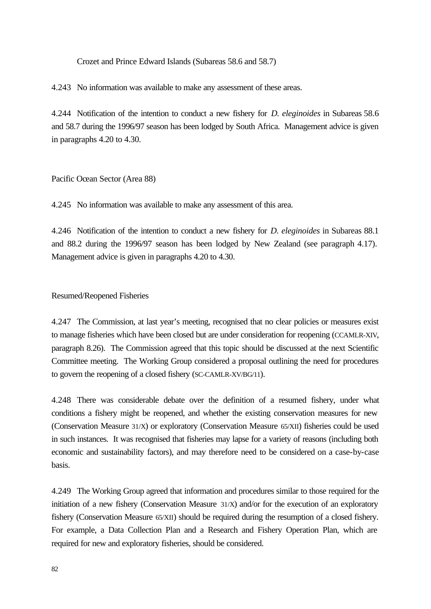Crozet and Prince Edward Islands (Subareas 58.6 and 58.7)

4.243 No information was available to make any assessment of these areas.

4.244 Notification of the intention to conduct a new fishery for *D. eleginoides* in Subareas 58.6 and 58.7 during the 1996/97 season has been lodged by South Africa. Management advice is given in paragraphs 4.20 to 4.30.

Pacific Ocean Sector (Area 88)

4.245 No information was available to make any assessment of this area.

4.246 Notification of the intention to conduct a new fishery for *D. eleginoides* in Subareas 88.1 and 88.2 during the 1996/97 season has been lodged by New Zealand (see paragraph 4.17). Management advice is given in paragraphs 4.20 to 4.30.

## Resumed/Reopened Fisheries

4.247 The Commission, at last year's meeting, recognised that no clear policies or measures exist to manage fisheries which have been closed but are under consideration for reopening (CCAMLR-XIV, paragraph 8.26). The Commission agreed that this topic should be discussed at the next Scientific Committee meeting. The Working Group considered a proposal outlining the need for procedures to govern the reopening of a closed fishery (SC-CAMLR-XV/BG/11).

4.248 There was considerable debate over the definition of a resumed fishery, under what conditions a fishery might be reopened, and whether the existing conservation measures for new (Conservation Measure 31/X) or exploratory (Conservation Measure 65/XII) fisheries could be used in such instances. It was recognised that fisheries may lapse for a variety of reasons (including both economic and sustainability factors), and may therefore need to be considered on a case-by-case basis.

4.249 The Working Group agreed that information and procedures similar to those required for the initiation of a new fishery (Conservation Measure 31/X) and/or for the execution of an exploratory fishery (Conservation Measure 65/XII) should be required during the resumption of a closed fishery. For example, a Data Collection Plan and a Research and Fishery Operation Plan, which are required for new and exploratory fisheries, should be considered.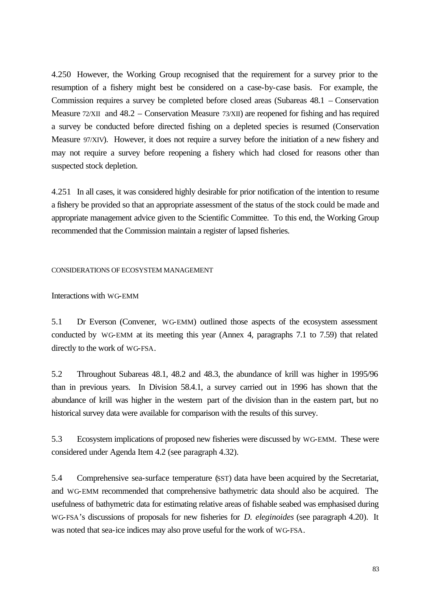4.250 However, the Working Group recognised that the requirement for a survey prior to the resumption of a fishery might best be considered on a case-by-case basis. For example, the Commission requires a survey be completed before closed areas (Subareas 48.1 – Conservation Measure 72/XII and 48.2 – Conservation Measure 73/XII) are reopened for fishing and has required a survey be conducted before directed fishing on a depleted species is resumed (Conservation Measure 97/XIV). However, it does not require a survey before the initiation of a new fishery and may not require a survey before reopening a fishery which had closed for reasons other than suspected stock depletion.

4.251 In all cases, it was considered highly desirable for prior notification of the intention to resume a fishery be provided so that an appropriate assessment of the status of the stock could be made and appropriate management advice given to the Scientific Committee. To this end, the Working Group recommended that the Commission maintain a register of lapsed fisheries.

#### CONSIDERATIONS OF ECOSYSTEM MANAGEMENT

#### Interactions with WG-EMM

5.1 Dr Everson (Convener, WG-EMM) outlined those aspects of the ecosystem assessment conducted by WG-EMM at its meeting this year (Annex 4, paragraphs 7.1 to 7.59) that related directly to the work of WG-FSA.

5.2 Throughout Subareas 48.1, 48.2 and 48.3, the abundance of krill was higher in 1995/96 than in previous years. In Division 58.4.1, a survey carried out in 1996 has shown that the abundance of krill was higher in the western part of the division than in the eastern part, but no historical survey data were available for comparison with the results of this survey.

5.3 Ecosystem implications of proposed new fisheries were discussed by WG-EMM. These were considered under Agenda Item 4.2 (see paragraph 4.32).

5.4 Comprehensive sea-surface temperature (SST) data have been acquired by the Secretariat, and WG-EMM recommended that comprehensive bathymetric data should also be acquired. The usefulness of bathymetric data for estimating relative areas of fishable seabed was emphasised during WG-FSA's discussions of proposals for new fisheries for *D. eleginoides* (see paragraph 4.20). It was noted that sea-ice indices may also prove useful for the work of WG-FSA.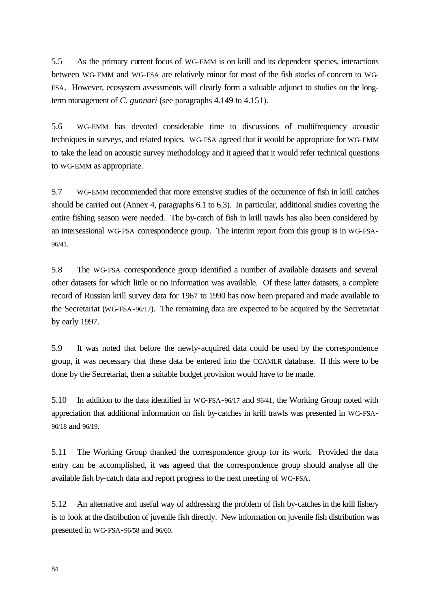5.5 As the primary current focus of WG-EMM is on krill and its dependent species, interactions between WG-EMM and WG-FSA are relatively minor for most of the fish stocks of concern to WG-FSA. However, ecosystem assessments will clearly form a valuable adjunct to studies on the longterm management of *C. gunnari* (see paragraphs 4.149 to 4.151).

5.6 WG-EMM has devoted considerable time to discussions of multifrequency acoustic techniques in surveys, and related topics. WG-FSA agreed that it would be appropriate for WG-EMM to take the lead on acoustic survey methodology and it agreed that it would refer technical questions to WG-EMM as appropriate.

5.7 WG-EMM recommended that more extensive studies of the occurrence of fish in krill catches should be carried out (Annex 4, paragraphs 6.1 to 6.3). In particular, additional studies covering the entire fishing season were needed. The by-catch of fish in krill trawls has also been considered by an intersessional WG-FSA correspondence group. The interim report from this group is in WG-FSA-96/41.

5.8 The WG-FSA correspondence group identified a number of available datasets and several other datasets for which little or no information was available. Of these latter datasets, a complete record of Russian krill survey data for 1967 to 1990 has now been prepared and made available to the Secretariat (WG-FSA-96/17). The remaining data are expected to be acquired by the Secretariat by early 1997.

5.9 It was noted that before the newly-acquired data could be used by the correspondence group, it was necessary that these data be entered into the CCAMLR database. If this were to be done by the Secretariat, then a suitable budget provision would have to be made.

5.10 In addition to the data identified in WG-FSA-96/17 and 96/41, the Working Group noted with appreciation that additional information on fish by-catches in krill trawls was presented in WG-FSA-96/18 and 96/19.

5.11 The Working Group thanked the correspondence group for its work. Provided the data entry can be accomplished, it was agreed that the correspondence group should analyse all the available fish by-catch data and report progress to the next meeting of WG-FSA.

5.12 An alternative and useful way of addressing the problem of fish by-catches in the krill fishery is to look at the distribution of juvenile fish directly. New information on juvenile fish distribution was presented in WG-FSA-96/58 and 96/60.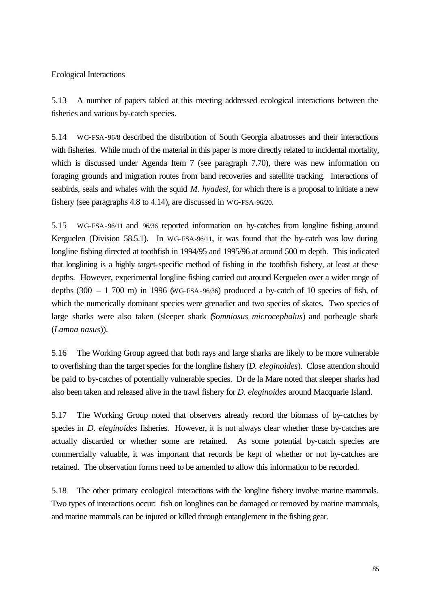# Ecological Interactions

5.13 A number of papers tabled at this meeting addressed ecological interactions between the fisheries and various by-catch species.

5.14 WG-FSA-96/8 described the distribution of South Georgia albatrosses and their interactions with fisheries. While much of the material in this paper is more directly related to incidental mortality, which is discussed under Agenda Item 7 (see paragraph 7.70), there was new information on foraging grounds and migration routes from band recoveries and satellite tracking. Interactions of seabirds, seals and whales with the squid *M. hyadesi*, for which there is a proposal to initiate a new fishery (see paragraphs 4.8 to 4.14), are discussed in WG-FSA-96/20.

5.15 WG-FSA-96/11 and 96/36 reported information on by-catches from longline fishing around Kerguelen (Division 58.5.1). In WG-FSA-96/11, it was found that the by-catch was low during longline fishing directed at toothfish in 1994/95 and 1995/96 at around 500 m depth. This indicated that longlining is a highly target-specific method of fishing in the toothfish fishery, at least at these depths. However, experimental longline fishing carried out around Kerguelen over a wider range of depths  $(300 - 1700 \text{ m})$  in 1996 (WG-FSA-96/36) produced a by-catch of 10 species of fish, of which the numerically dominant species were grenadier and two species of skates. Two species of large sharks were also taken (sleeper shark (*Somniosus microcephalus*) and porbeagle shark (*Lamna nasus*)).

5.16 The Working Group agreed that both rays and large sharks are likely to be more vulnerable to overfishing than the target species for the longline fishery (*D. eleginoides*). Close attention should be paid to by-catches of potentially vulnerable species. Dr de la Mare noted that sleeper sharks had also been taken and released alive in the trawl fishery for *D. eleginoides* around Macquarie Island.

5.17 The Working Group noted that observers already record the biomass of by-catches by species in *D. eleginoides* fisheries. However, it is not always clear whether these by-catches are actually discarded or whether some are retained. As some potential by-catch species are commercially valuable, it was important that records be kept of whether or not by-catches are retained. The observation forms need to be amended to allow this information to be recorded.

5.18 The other primary ecological interactions with the longline fishery involve marine mammals. Two types of interactions occur: fish on longlines can be damaged or removed by marine mammals, and marine mammals can be injured or killed through entanglement in the fishing gear.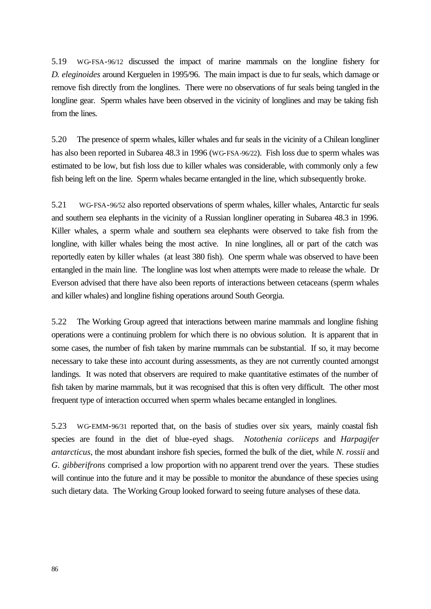5.19 WG-FSA-96/12 discussed the impact of marine mammals on the longline fishery for *D. eleginoides* around Kerguelen in 1995/96. The main impact is due to fur seals, which damage or remove fish directly from the longlines. There were no observations of fur seals being tangled in the longline gear. Sperm whales have been observed in the vicinity of longlines and may be taking fish from the lines.

5.20 The presence of sperm whales, killer whales and fur seals in the vicinity of a Chilean longliner has also been reported in Subarea 48.3 in 1996 (WG-FSA-96/22). Fish loss due to sperm whales was estimated to be low, but fish loss due to killer whales was considerable, with commonly only a few fish being left on the line. Sperm whales became entangled in the line, which subsequently broke.

5.21 WG-FSA-96/52 also reported observations of sperm whales, killer whales, Antarctic fur seals and southern sea elephants in the vicinity of a Russian longliner operating in Subarea 48.3 in 1996. Killer whales, a sperm whale and southern sea elephants were observed to take fish from the longline, with killer whales being the most active. In nine longlines, all or part of the catch was reportedly eaten by killer whales (at least 380 fish). One sperm whale was observed to have been entangled in the main line. The longline was lost when attempts were made to release the whale. Dr Everson advised that there have also been reports of interactions between cetaceans (sperm whales and killer whales) and longline fishing operations around South Georgia.

5.22 The Working Group agreed that interactions between marine mammals and longline fishing operations were a continuing problem for which there is no obvious solution. It is apparent that in some cases, the number of fish taken by marine mammals can be substantial. If so, it may become necessary to take these into account during assessments, as they are not currently counted amongst landings. It was noted that observers are required to make quantitative estimates of the number of fish taken by marine mammals, but it was recognised that this is often very difficult. The other most frequent type of interaction occurred when sperm whales became entangled in longlines.

5.23 WG-EMM-96/31 reported that, on the basis of studies over six years, mainly coastal fish species are found in the diet of blue-eyed shags. *Notothenia coriiceps* and *Harpagifer antarcticus*, the most abundant inshore fish species, formed the bulk of the diet, while *N. rossii* and *G. gibberifrons* comprised a low proportion with no apparent trend over the years. These studies will continue into the future and it may be possible to monitor the abundance of these species using such dietary data. The Working Group looked forward to seeing future analyses of these data.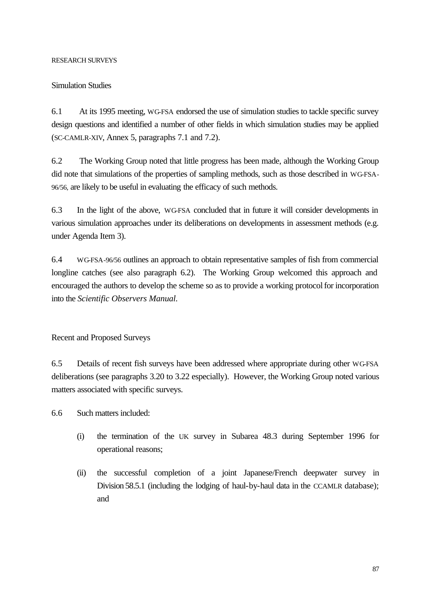# RESEARCH SURVEYS

## Simulation Studies

6.1 At its 1995 meeting, WG-FSA endorsed the use of simulation studies to tackle specific survey design questions and identified a number of other fields in which simulation studies may be applied (SC-CAMLR-XIV, Annex 5, paragraphs 7.1 and 7.2).

6.2 The Working Group noted that little progress has been made, although the Working Group did note that simulations of the properties of sampling methods, such as those described in WG-FSA-96/56, are likely to be useful in evaluating the efficacy of such methods.

6.3 In the light of the above, WG-FSA concluded that in future it will consider developments in various simulation approaches under its deliberations on developments in assessment methods (e.g. under Agenda Item 3).

6.4 WG-FSA-96/56 outlines an approach to obtain representative samples of fish from commercial longline catches (see also paragraph 6.2). The Working Group welcomed this approach and encouraged the authors to develop the scheme so as to provide a working protocol for incorporation into the *Scientific Observers Manual.*

# Recent and Proposed Surveys

6.5 Details of recent fish surveys have been addressed where appropriate during other WG-FSA deliberations (see paragraphs 3.20 to 3.22 especially). However, the Working Group noted various matters associated with specific surveys.

6.6 Such matters included:

- (i) the termination of the UK survey in Subarea 48.3 during September 1996 for operational reasons;
- (ii) the successful completion of a joint Japanese/French deepwater survey in Division 58.5.1 (including the lodging of haul-by-haul data in the CCAMLR database); and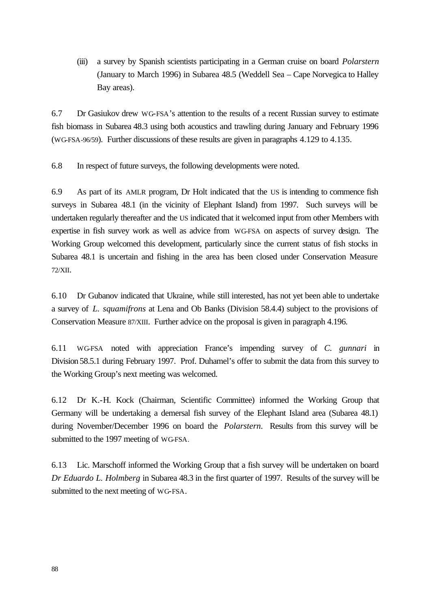(iii) a survey by Spanish scientists participating in a German cruise on board *Polarstern* (January to March 1996) in Subarea 48.5 (Weddell Sea – Cape Norvegica to Halley Bay areas).

6.7 Dr Gasiukov drew WG-FSA's attention to the results of a recent Russian survey to estimate fish biomass in Subarea 48.3 using both acoustics and trawling during January and February 1996 (WG-FSA-96/59). Further discussions of these results are given in paragraphs 4.129 to 4.135.

6.8 In respect of future surveys, the following developments were noted.

6.9 As part of its AMLR program, Dr Holt indicated that the US is intending to commence fish surveys in Subarea 48.1 (in the vicinity of Elephant Island) from 1997. Such surveys will be undertaken regularly thereafter and the US indicated that it welcomed input from other Members with expertise in fish survey work as well as advice from WG-FSA on aspects of survey design. The Working Group welcomed this development, particularly since the current status of fish stocks in Subarea 48.1 is uncertain and fishing in the area has been closed under Conservation Measure 72/XII.

6.10 Dr Gubanov indicated that Ukraine, while still interested, has not yet been able to undertake a survey of *L. squamifrons* at Lena and Ob Banks (Division 58.4.4) subject to the provisions of Conservation Measure 87/XIII. Further advice on the proposal is given in paragraph 4.196.

6.11 WG-FSA noted with appreciation France's impending survey of *C. gunnari* in Division 58.5.1 during February 1997. Prof. Duhamel's offer to submit the data from this survey to the Working Group's next meeting was welcomed.

6.12 Dr K.-H. Kock (Chairman, Scientific Committee) informed the Working Group that Germany will be undertaking a demersal fish survey of the Elephant Island area (Subarea 48.1) during November/December 1996 on board the *Polarstern*. Results from this survey will be submitted to the 1997 meeting of WG-FSA.

6.13 Lic. Marschoff informed the Working Group that a fish survey will be undertaken on board *Dr Eduardo L. Holmberg* in Subarea 48.3 in the first quarter of 1997. Results of the survey will be submitted to the next meeting of WG-FSA.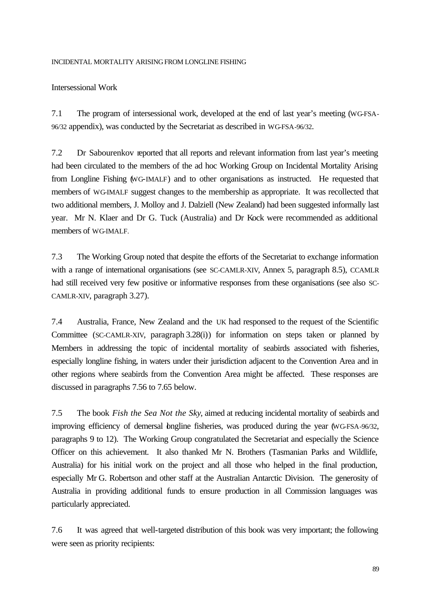#### INCIDENTAL MORTALITY ARISING FROM LONGLINE FISHING

# Intersessional Work

7.1 The program of intersessional work, developed at the end of last year's meeting (WG-FSA-96/32 appendix), was conducted by the Secretariat as described in WG-FSA-96/32.

7.2 Dr Sabourenkov reported that all reports and relevant information from last year's meeting had been circulated to the members of the ad hoc Working Group on Incidental Mortality Arising from Longline Fishing (WG-IMALF) and to other organisations as instructed. He requested that members of WG-IMALF suggest changes to the membership as appropriate. It was recollected that two additional members, J. Molloy and J. Dalziell (New Zealand) had been suggested informally last year. Mr N. Klaer and Dr G. Tuck (Australia) and Dr Kock were recommended as additional members of WG-IMALF.

7.3 The Working Group noted that despite the efforts of the Secretariat to exchange information with a range of international organisations (see SC-CAMLR-XIV, Annex 5, paragraph 8.5), CCAMLR had still received very few positive or informative responses from these organisations (see also SC-CAMLR-XIV, paragraph 3.27).

7.4 Australia, France, New Zealand and the UK had responsed to the request of the Scientific Committee (SC-CAMLR-XIV, paragraph 3.28(i)) for information on steps taken or planned by Members in addressing the topic of incidental mortality of seabirds associated with fisheries, especially longline fishing, in waters under their jurisdiction adjacent to the Convention Area and in other regions where seabirds from the Convention Area might be affected. These responses are discussed in paragraphs 7.56 to 7.65 below.

7.5 The book *Fish the Sea Not the Sky*, aimed at reducing incidental mortality of seabirds and improving efficiency of demersal bngline fisheries, was produced during the year (WG-FSA-96/32, paragraphs 9 to 12). The Working Group congratulated the Secretariat and especially the Science Officer on this achievement. It also thanked Mr N. Brothers (Tasmanian Parks and Wildlife, Australia) for his initial work on the project and all those who helped in the final production, especially Mr G. Robertson and other staff at the Australian Antarctic Division. The generosity of Australia in providing additional funds to ensure production in all Commission languages was particularly appreciated.

7.6 It was agreed that well-targeted distribution of this book was very important; the following were seen as priority recipients: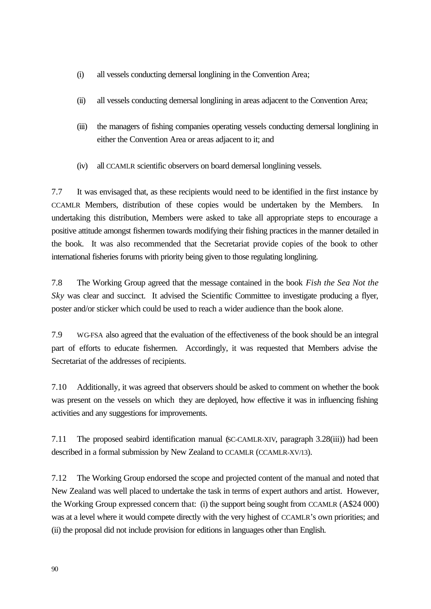- (i) all vessels conducting demersal longlining in the Convention Area;
- (ii) all vessels conducting demersal longlining in areas adjacent to the Convention Area;
- (iii) the managers of fishing companies operating vessels conducting demersal longlining in either the Convention Area or areas adjacent to it; and
- (iv) all CCAMLR scientific observers on board demersal longlining vessels.

7.7 It was envisaged that, as these recipients would need to be identified in the first instance by CCAMLR Members, distribution of these copies would be undertaken by the Members. undertaking this distribution, Members were asked to take all appropriate steps to encourage a positive attitude amongst fishermen towards modifying their fishing practices in the manner detailed in the book. It was also recommended that the Secretariat provide copies of the book to other international fisheries forums with priority being given to those regulating longlining.

7.8 The Working Group agreed that the message contained in the book *Fish the Sea Not the Sky* was clear and succinct. It advised the Scientific Committee to investigate producing a flyer, poster and/or sticker which could be used to reach a wider audience than the book alone.

7.9 WG-FSA also agreed that the evaluation of the effectiveness of the book should be an integral part of efforts to educate fishermen. Accordingly, it was requested that Members advise the Secretariat of the addresses of recipients.

7.10 Additionally, it was agreed that observers should be asked to comment on whether the book was present on the vessels on which they are deployed, how effective it was in influencing fishing activities and any suggestions for improvements.

7.11 The proposed seabird identification manual (SC-CAMLR-XIV, paragraph 3.28(iii)) had been described in a formal submission by New Zealand to CCAMLR (CCAMLR-XV/13).

7.12 The Working Group endorsed the scope and projected content of the manual and noted that New Zealand was well placed to undertake the task in terms of expert authors and artist. However, the Working Group expressed concern that: (i) the support being sought from CCAMLR (A\$24 000) was at a level where it would compete directly with the very highest of CCAMLR's own priorities; and (ii) the proposal did not include provision for editions in languages other than English.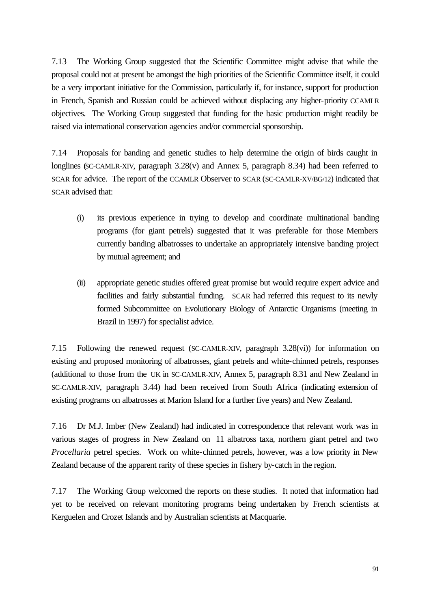7.13 The Working Group suggested that the Scientific Committee might advise that while the proposal could not at present be amongst the high priorities of the Scientific Committee itself, it could be a very important initiative for the Commission, particularly if, for instance, support for production in French, Spanish and Russian could be achieved without displacing any higher-priority CCAMLR objectives. The Working Group suggested that funding for the basic production might readily be raised via international conservation agencies and/or commercial sponsorship.

7.14 Proposals for banding and genetic studies to help determine the origin of birds caught in longlines (SC-CAMLR-XIV, paragraph 3.28(v) and Annex 5, paragraph 8.34) had been referred to SCAR for advice. The report of the CCAMLR Observer to SCAR (SC-CAMLR-XV/BG/12) indicated that SCAR advised that:

- (i) its previous experience in trying to develop and coordinate multinational banding programs (for giant petrels) suggested that it was preferable for those Members currently banding albatrosses to undertake an appropriately intensive banding project by mutual agreement; and
- (ii) appropriate genetic studies offered great promise but would require expert advice and facilities and fairly substantial funding. SCAR had referred this request to its newly formed Subcommittee on Evolutionary Biology of Antarctic Organisms (meeting in Brazil in 1997) for specialist advice.

7.15 Following the renewed request (SC-CAMLR-XIV, paragraph 3.28(vi)) for information on existing and proposed monitoring of albatrosses, giant petrels and white-chinned petrels, responses (additional to those from the UK in SC-CAMLR-XIV, Annex 5, paragraph 8.31 and New Zealand in SC-CAMLR-XIV, paragraph 3.44) had been received from South Africa (indicating extension of existing programs on albatrosses at Marion Island for a further five years) and New Zealand.

7.16 Dr M.J. Imber (New Zealand) had indicated in correspondence that relevant work was in various stages of progress in New Zealand on 11 albatross taxa, northern giant petrel and two *Procellaria* petrel species. Work on white-chinned petrels, however, was a low priority in New Zealand because of the apparent rarity of these species in fishery by-catch in the region.

7.17 The Working Group welcomed the reports on these studies. It noted that information had yet to be received on relevant monitoring programs being undertaken by French scientists at Kerguelen and Crozet Islands and by Australian scientists at Macquarie.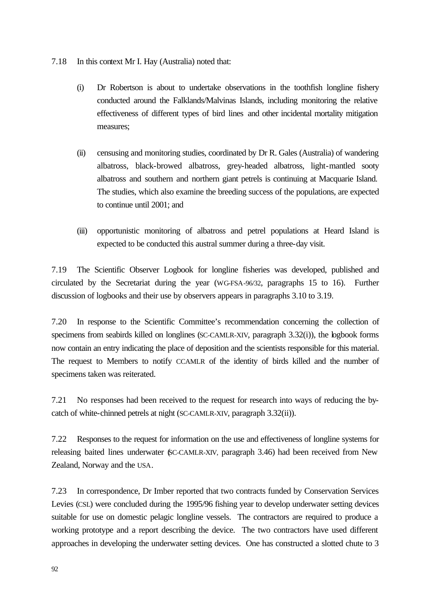- 7.18 In this context Mr I. Hay (Australia) noted that:
	- (i) Dr Robertson is about to undertake observations in the toothfish longline fishery conducted around the Falklands/Malvinas Islands, including monitoring the relative effectiveness of different types of bird lines and other incidental mortality mitigation measures;
	- (ii) censusing and monitoring studies, coordinated by Dr R. Gales (Australia) of wandering albatross, black-browed albatross, grey-headed albatross, light-mantled sooty albatross and southern and northern giant petrels is continuing at Macquarie Island. The studies, which also examine the breeding success of the populations, are expected to continue until 2001; and
	- (iii) opportunistic monitoring of albatross and petrel populations at Heard Island is expected to be conducted this austral summer during a three-day visit.

7.19 The Scientific Observer Logbook for longline fisheries was developed, published and circulated by the Secretariat during the year (WG-FSA-96/32, paragraphs 15 to 16). Further discussion of logbooks and their use by observers appears in paragraphs 3.10 to 3.19.

7.20 In response to the Scientific Committee's recommendation concerning the collection of specimens from seabirds killed on longlines (SC-CAMLR-XIV, paragraph 3.32(i)), the logbook forms now contain an entry indicating the place of deposition and the scientists responsible for this material. The request to Members to notify CCAMLR of the identity of birds killed and the number of specimens taken was reiterated.

7.21 No responses had been received to the request for research into ways of reducing the bycatch of white-chinned petrels at night (SC-CAMLR-XIV, paragraph 3.32(ii)).

7.22 Responses to the request for information on the use and effectiveness of longline systems for releasing baited lines underwater (SC-CAMLR-XIV, paragraph 3.46) had been received from New Zealand, Norway and the USA.

7.23 In correspondence, Dr Imber reported that two contracts funded by Conservation Services Levies (CSL) were concluded during the 1995/96 fishing year to develop underwater setting devices suitable for use on domestic pelagic longline vessels. The contractors are required to produce a working prototype and a report describing the device. The two contractors have used different approaches in developing the underwater setting devices. One has constructed a slotted chute to 3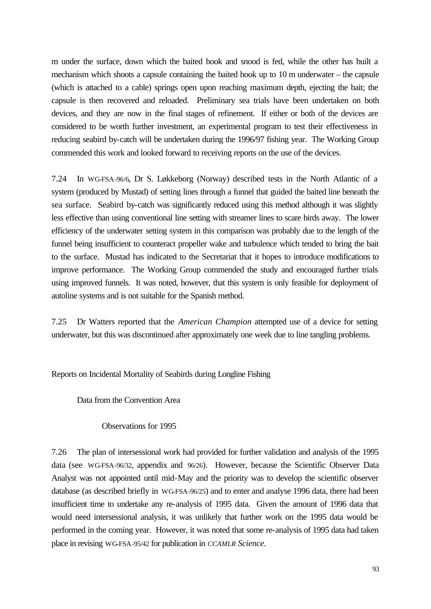m under the surface, down which the baited hook and snood is fed, while the other has built a mechanism which shoots a capsule containing the baited hook up to 10 m underwater – the capsule (which is attached to a cable) springs open upon reaching maximum depth, ejecting the bait; the capsule is then recovered and reloaded. Preliminary sea trials have been undertaken on both devices, and they are now in the final stages of refinement. If either or both of the devices are considered to be worth further investment, an experimental program to test their effectiveness in reducing seabird by-catch will be undertaken during the 1996/97 fishing year. The Working Group commended this work and looked forward to receiving reports on the use of the devices.

7.24 In WG-FSA-96/6, Dr S. Løkkeborg (Norway) described tests in the North Atlantic of a system (produced by Mustad) of setting lines through a funnel that guided the baited line beneath the sea surface. Seabird by-catch was significantly reduced using this method although it was slightly less effective than using conventional line setting with streamer lines to scare birds away. The lower efficiency of the underwater setting system in this comparison was probably due to the length of the funnel being insufficient to counteract propeller wake and turbulence which tended to bring the bait to the surface. Mustad has indicated to the Secretariat that it hopes to introduce modifications to improve performance. The Working Group commended the study and encouraged further trials using improved funnels. It was noted, however, that this system is only feasible for deployment of autoline systems and is not suitable for the Spanish method.

7.25 Dr Watters reported that the *American Champion* attempted use of a device for setting underwater, but this was discontinued after approximately one week due to line tangling problems.

Reports on Incidental Mortality of Seabirds during Longline Fishing

Data from the Convention Area

Observations for 1995

7.26 The plan of intersessional work had provided for further validation and analysis of the 1995 data (see WG-FSA-96/32, appendix and 96/26). However, because the Scientific Observer Data Analyst was not appointed until mid-May and the priority was to develop the scientific observer database (as described briefly in WG-FSA-96/25) and to enter and analyse 1996 data, there had been insufficient time to undertake any re-analysis of 1995 data. Given the amount of 1996 data that would need intersessional analysis, it was unlikely that further work on the 1995 data would be performed in the coming year. However, it was noted that some re-analysis of 1995 data had taken place in revising WG-FSA-95/42 for publication in *CCAMLR Science.*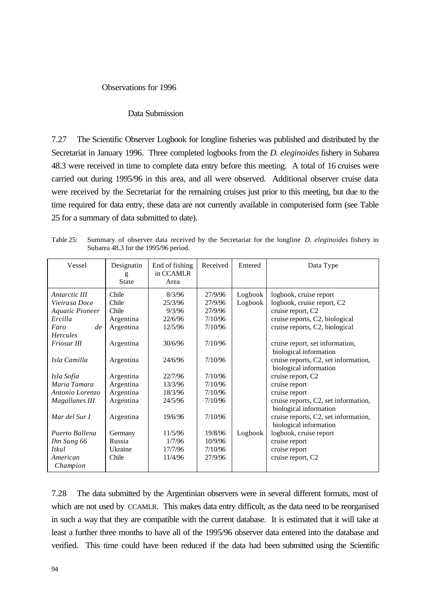#### Observations for 1996

#### Data Submission

7.27 The Scientific Observer Logbook for longline fisheries was published and distributed by the Secretariat in January 1996. Three completed logbooks from the *D. eleginoides* fishery in Subarea 48.3 were received in time to complete data entry before this meeting. A total of 16 cruises were carried out during 1995/96 in this area, and all were observed. Additional observer cruise data were received by the Secretariat for the remaining cruises just prior to this meeting, but due to the time required for data entry, these data are not currently available in computerised form (see Table 25 for a summary of data submitted to date).

Table 25: Summary of observer data received by the Secretariat for the longline *D. eleginoides* fishery in Subarea 48.3 for the 1995/96 period.

| Vessel                                                                                                              | Designatin<br>g<br>State                                       | End of fishing<br>in CCAMLR<br>Area                          | Received                                                       | Entered            | Data Type                                                                                                                                                                        |
|---------------------------------------------------------------------------------------------------------------------|----------------------------------------------------------------|--------------------------------------------------------------|----------------------------------------------------------------|--------------------|----------------------------------------------------------------------------------------------------------------------------------------------------------------------------------|
| Antarctic III<br>Vieirasa Doce<br><b>Aquatic Pioneer</b><br>Ercilla<br>de<br>Faro<br><b>Hercules</b><br>Friosur III | Chile<br>Chile<br>Chile<br>Argentina<br>Argentina<br>Argentina | 8/3/96<br>25/3/96<br>9/3/96<br>22/6/96<br>12/5/96<br>30/6/96 | 27/9/96<br>27/9/96<br>27/9/96<br>7/10/96<br>7/10/96<br>7/10/96 | Logbook<br>Logbook | logbook, cruise report<br>logbook, cruise report, C2<br>cruise report, C2<br>cruise reports, C2, biological<br>cruise reports, C2, biological<br>cruise report, set information, |
| Isla Camilla                                                                                                        | Argentina                                                      | 24/6/96                                                      | 7/10/96                                                        |                    | biological information<br>cruise reports, C2, set information,<br>biological information                                                                                         |
| Isla Sofia                                                                                                          | Argentina                                                      | 22/7/96                                                      | 7/10/96                                                        |                    | cruise report, C2                                                                                                                                                                |
| Maria Tamara                                                                                                        | Argentina                                                      | 13/3/96                                                      | 7/10/96                                                        |                    | cruise report                                                                                                                                                                    |
| Antonio Lorenzo                                                                                                     | Argentina                                                      | 18/3/96                                                      | 7/10/96                                                        |                    | cruise report                                                                                                                                                                    |
| Magallanes III                                                                                                      | Argentina                                                      | 24/5/96                                                      | 7/10/96                                                        |                    | cruise reports, C2, set information,<br>biological information                                                                                                                   |
| Mar del Sur I                                                                                                       | Argentina                                                      | 19/6/96                                                      | 7/10/96                                                        |                    | cruise reports, C2, set information,<br>biological information                                                                                                                   |
| Puerto Ballena                                                                                                      | Germany                                                        | 11/5/96                                                      | 19/8/96                                                        | Logbook            | logbook, cruise report                                                                                                                                                           |
| Ihn Sung 66                                                                                                         | Russia                                                         | 1/7/96                                                       | 10/9/96                                                        |                    | cruise report                                                                                                                                                                    |
| Itkul                                                                                                               | Ukraine                                                        | 17/7/96                                                      | 7/10/96                                                        |                    | cruise report                                                                                                                                                                    |
| American<br>Champion                                                                                                | Chile                                                          | 11/4/96                                                      | 27/9/96                                                        |                    | cruise report, C2                                                                                                                                                                |

7.28 The data submitted by the Argentinian observers were in several different formats, most of which are not used by CCAMLR. This makes data entry difficult, as the data need to be reorganised in such a way that they are compatible with the current database. It is estimated that it will take at least a further three months to have all of the 1995/96 observer data entered into the database and verified. This time could have been reduced if the data had been submitted using the Scientific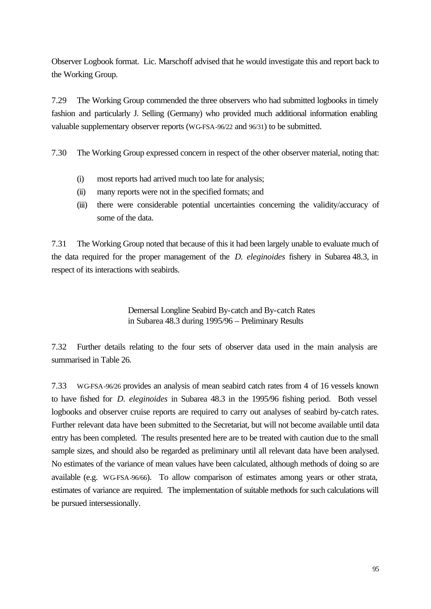Observer Logbook format. Lic. Marschoff advised that he would investigate this and report back to the Working Group.

7.29 The Working Group commended the three observers who had submitted logbooks in timely fashion and particularly J. Selling (Germany) who provided much additional information enabling valuable supplementary observer reports (WG-FSA-96/22 and 96/31) to be submitted.

7.30 The Working Group expressed concern in respect of the other observer material, noting that:

- (i) most reports had arrived much too late for analysis;
- (ii) many reports were not in the specified formats; and
- (iii) there were considerable potential uncertainties concerning the validity/accuracy of some of the data.

7.31 The Working Group noted that because of this it had been largely unable to evaluate much of the data required for the proper management of the *D. eleginoides* fishery in Subarea 48.3, in respect of its interactions with seabirds.

> Demersal Longline Seabird By-catch and By-catch Rates in Subarea 48.3 during 1995/96 – Preliminary Results

7.32 Further details relating to the four sets of observer data used in the main analysis are summarised in Table 26.

7.33 WG-FSA-96/26 provides an analysis of mean seabird catch rates from 4 of 16 vessels known to have fished for *D. eleginoides* in Subarea 48.3 in the 1995/96 fishing period. Both vessel logbooks and observer cruise reports are required to carry out analyses of seabird by-catch rates. Further relevant data have been submitted to the Secretariat, but will not become available until data entry has been completed. The results presented here are to be treated with caution due to the small sample sizes, and should also be regarded as preliminary until all relevant data have been analysed. No estimates of the variance of mean values have been calculated, although methods of doing so are available (e.g. WG-FSA-96/66). To allow comparison of estimates among years or other strata, estimates of variance are required. The implementation of suitable methods for such calculations will be pursued intersessionally.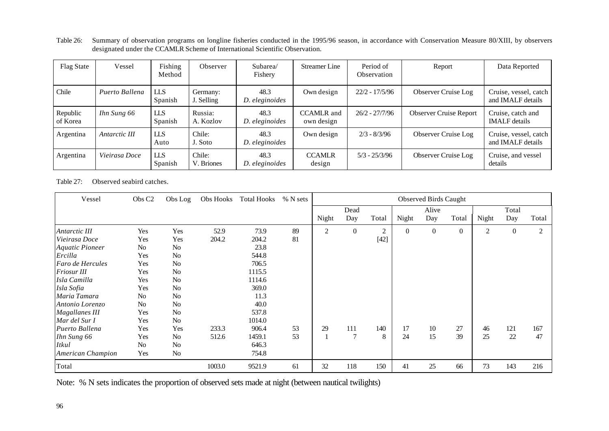Table 26: Summary of observation programs on longline fisheries conducted in the 1995/96 season, in accordance with Conservation Measure 80/XIII, by observers designated under the CCAMLR Scheme of International Scientific Observation.

| <b>Flag State</b>    | Vessel         | Fishing<br>Method     | Observer               | Subarea/<br>Fishery    | Streamer Line                   | Period of<br>Observation | Report                        | Data Reported                              |
|----------------------|----------------|-----------------------|------------------------|------------------------|---------------------------------|--------------------------|-------------------------------|--------------------------------------------|
| Chile                | Puerto Ballena | <b>LLS</b><br>Spanish | Germany:<br>J. Selling | 48.3<br>D. eleginoides | Own design                      | $22/2 - 17/5/96$         | Observer Cruise Log           | Cruise, vessel, catch<br>and IMALF details |
| Republic<br>of Korea | Ihn Sung 66    | <b>LLS</b><br>Spanish | Russia:<br>A. Kozlov   | 48.3<br>D. eleginoides | <b>CCAMLR</b> and<br>own design | $26/2 - 27/7/96$         | <b>Observer Cruise Report</b> | Cruise, catch and<br><b>IMALF</b> details  |
| Argentina            | Antarctic III  | <b>LLS</b><br>Auto    | Chile:<br>J. Soto      | 48.3<br>D. eleginoides | Own design                      | $2/3 - 8/3/96$           | Observer Cruise Log           | Cruise, vessel, catch<br>and IMALF details |
| Argentina            | Vieirasa Doce  | <b>LLS</b><br>Spanish | Chile:<br>V. Briones   | 48.3<br>D. eleginoides | <b>CCAMLR</b><br>design         | $5/3 - 25/3/96$          | Observer Cruise Log           | Cruise, and vessel<br>details              |

Table 27: Observed seabird catches.

| Vessel                 | Obs C <sub>2</sub> | Obs Log        | Obs Hooks | <b>Total Hooks</b> | % N sets | <b>Observed Birds Caught</b> |                |                |          |          |          |                |          |       |
|------------------------|--------------------|----------------|-----------|--------------------|----------|------------------------------|----------------|----------------|----------|----------|----------|----------------|----------|-------|
|                        |                    |                |           |                    |          |                              | Dead           |                |          | Alive    |          |                | Total    |       |
|                        |                    |                |           |                    |          | Night                        | Day            | Total          | Night    | Day      | Total    | Night          | Day      | Total |
| Antarctic III          | Yes                | Yes            | 52.9      | 73.9               | 89       | 2                            | $\mathbf{0}$   | $\overline{c}$ | $\Omega$ | $\Omega$ | $\theta$ | $\overline{c}$ | $\theta$ | 2     |
| Vieirasa Doce          | Yes                | Yes            | 204.2     | 204.2              | 81       |                              |                | $[42]$         |          |          |          |                |          |       |
| <b>Aquatic Pioneer</b> | No                 | N <sub>o</sub> |           | 23.8               |          |                              |                |                |          |          |          |                |          |       |
| Ercilla                | Yes                | N <sub>o</sub> |           | 544.8              |          |                              |                |                |          |          |          |                |          |       |
| Faro de Hercules       | Yes                | N <sub>o</sub> |           | 706.5              |          |                              |                |                |          |          |          |                |          |       |
| Friosur III            | Yes                | N <sub>o</sub> |           | 1115.5             |          |                              |                |                |          |          |          |                |          |       |
| Isla Camilla           | Yes                | N <sub>o</sub> |           | 1114.6             |          |                              |                |                |          |          |          |                |          |       |
| Isla Sofia             | Yes                | N <sub>o</sub> |           | 369.0              |          |                              |                |                |          |          |          |                |          |       |
| Maria Tamara           | N <sub>0</sub>     | N <sub>o</sub> |           | 11.3               |          |                              |                |                |          |          |          |                |          |       |
| Antonio Lorenzo        | No                 | N <sub>o</sub> |           | 40.0               |          |                              |                |                |          |          |          |                |          |       |
| <b>Magallanes III</b>  | Yes                | N <sub>o</sub> |           | 537.8              |          |                              |                |                |          |          |          |                |          |       |
| Mar del Sur I          | Yes                | N <sub>o</sub> |           | 1014.0             |          |                              |                |                |          |          |          |                |          |       |
| Puerto Ballena         | Yes                | Yes            | 233.3     | 906.4              | 53       | 29                           | 111            | 140            | 17       | 10       | 27       | 46             | 121      | 167   |
| Ihn Sung 66            | Yes                | N <sub>o</sub> | 512.6     | 1459.1             | 53       |                              | $\overline{7}$ | 8              | 24       | 15       | 39       | 25             | 22       | 47    |
| <b>Itkul</b>           | N <sub>o</sub>     | N <sub>o</sub> |           | 646.3              |          |                              |                |                |          |          |          |                |          |       |
| American Champion      | Yes                | N <sub>o</sub> |           | 754.8              |          |                              |                |                |          |          |          |                |          |       |
| Total                  |                    |                | 1003.0    | 9521.9             | 61       | 32                           | 118            | 150            | 41       | 25       | 66       | 73             | 143      | 216   |

Note: % N sets indicates the proportion of observed sets made at night (between nautical twilights)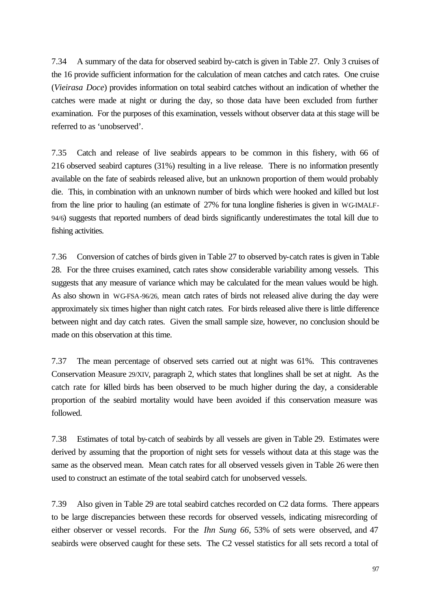7.34 A summary of the data for observed seabird by-catch is given in Table 27. Only 3 cruises of the 16 provide sufficient information for the calculation of mean catches and catch rates. One cruise (*Vieirasa Doce*) provides information on total seabird catches without an indication of whether the catches were made at night or during the day, so those data have been excluded from further examination. For the purposes of this examination, vessels without observer data at this stage will be referred to as 'unobserved'.

7.35 Catch and release of live seabirds appears to be common in this fishery, with 66 of 216 observed seabird captures (31%) resulting in a live release. There is no information presently available on the fate of seabirds released alive, but an unknown proportion of them would probably die. This, in combination with an unknown number of birds which were hooked and killed but lost from the line prior to hauling (an estimate of 27% for tuna longline fisheries is given in WG-IMALF-94/6) suggests that reported numbers of dead birds significantly underestimates the total kill due to fishing activities.

7.36 Conversion of catches of birds given in Table 27 to observed by-catch rates is given in Table 28. For the three cruises examined, catch rates show considerable variability among vessels. This suggests that any measure of variance which may be calculated for the mean values would be high. As also shown in WG-FSA-96/26, mean catch rates of birds not released alive during the day were approximately six times higher than night catch rates. For birds released alive there is little difference between night and day catch rates. Given the small sample size, however, no conclusion should be made on this observation at this time.

7.37 The mean percentage of observed sets carried out at night was 61%. This contravenes Conservation Measure 29/XIV, paragraph 2, which states that longlines shall be set at night. As the catch rate for killed birds has been observed to be much higher during the day, a considerable proportion of the seabird mortality would have been avoided if this conservation measure was followed.

7.38 Estimates of total by-catch of seabirds by all vessels are given in Table 29. Estimates were derived by assuming that the proportion of night sets for vessels without data at this stage was the same as the observed mean. Mean catch rates for all observed vessels given in Table 26 were then used to construct an estimate of the total seabird catch for unobserved vessels.

7.39 Also given in Table 29 are total seabird catches recorded on C2 data forms. There appears to be large discrepancies between these records for observed vessels, indicating misrecording of either observer or vessel records. For the *Ihn Sung 66*, 53% of sets were observed, and 47 seabirds were observed caught for these sets. The C2 vessel statistics for all sets record a total of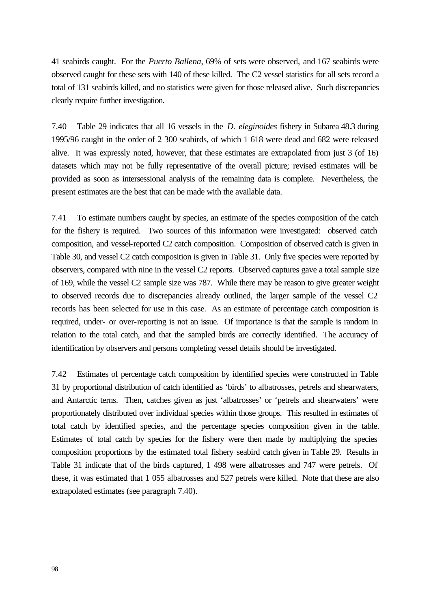41 seabirds caught. For the *Puerto Ballena*, 69% of sets were observed, and 167 seabirds were observed caught for these sets with 140 of these killed. The C2 vessel statistics for all sets record a total of 131 seabirds killed, and no statistics were given for those released alive. Such discrepancies clearly require further investigation.

7.40 Table 29 indicates that all 16 vessels in the *D. eleginoides* fishery in Subarea 48.3 during 1995/96 caught in the order of 2 300 seabirds, of which 1 618 were dead and 682 were released alive. It was expressly noted, however, that these estimates are extrapolated from just 3 (of 16) datasets which may not be fully representative of the overall picture; revised estimates will be provided as soon as intersessional analysis of the remaining data is complete. Nevertheless, the present estimates are the best that can be made with the available data.

7.41 To estimate numbers caught by species, an estimate of the species composition of the catch for the fishery is required. Two sources of this information were investigated: observed catch composition, and vessel-reported C2 catch composition. Composition of observed catch is given in Table 30, and vessel C2 catch composition is given in Table 31. Only five species were reported by observers, compared with nine in the vessel C2 reports. Observed captures gave a total sample size of 169, while the vessel C2 sample size was 787. While there may be reason to give greater weight to observed records due to discrepancies already outlined, the larger sample of the vessel C2 records has been selected for use in this case. As an estimate of percentage catch composition is required, under- or over-reporting is not an issue. Of importance is that the sample is random in relation to the total catch, and that the sampled birds are correctly identified. The accuracy of identification by observers and persons completing vessel details should be investigated.

7.42 Estimates of percentage catch composition by identified species were constructed in Table 31 by proportional distribution of catch identified as 'birds' to albatrosses, petrels and shearwaters, and Antarctic terns. Then, catches given as just 'albatrosses' or 'petrels and shearwaters' were proportionately distributed over individual species within those groups. This resulted in estimates of total catch by identified species, and the percentage species composition given in the table. Estimates of total catch by species for the fishery were then made by multiplying the species composition proportions by the estimated total fishery seabird catch given in Table 29. Results in Table 31 indicate that of the birds captured, 1 498 were albatrosses and 747 were petrels. Of these, it was estimated that 1 055 albatrosses and 527 petrels were killed. Note that these are also extrapolated estimates (see paragraph 7.40).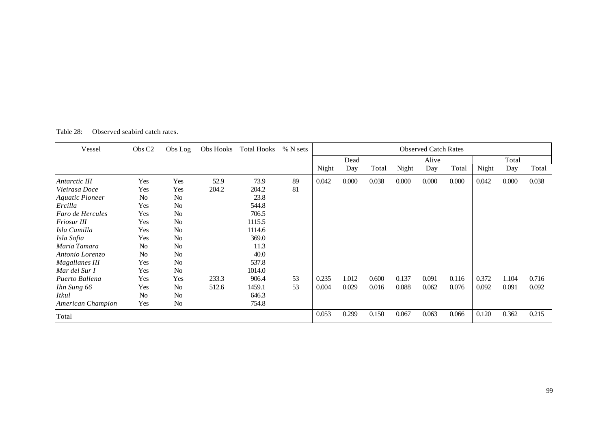| Vessel                 | Obs C <sub>2</sub> | Obs Log        | Obs Hooks | Total Hooks | % N sets | <b>Observed Catch Rates</b> |       |       |       |       |       |       |       |       |
|------------------------|--------------------|----------------|-----------|-------------|----------|-----------------------------|-------|-------|-------|-------|-------|-------|-------|-------|
|                        |                    |                |           |             |          |                             | Dead  |       |       | Alive |       |       | Total |       |
|                        |                    |                |           |             |          | Night                       | Day   | Total | Night | Day   | Total | Night | Day   | Total |
| Antarctic III          | Yes                | Yes            | 52.9      | 73.9        | 89       | 0.042                       | 0.000 | 0.038 | 0.000 | 0.000 | 0.000 | 0.042 | 0.000 | 0.038 |
| Vieirasa Doce          | Yes                | Yes            | 204.2     | 204.2       | 81       |                             |       |       |       |       |       |       |       |       |
| <b>Aquatic Pioneer</b> | No                 | No             |           | 23.8        |          |                             |       |       |       |       |       |       |       |       |
| Ercilla                | Yes                | No             |           | 544.8       |          |                             |       |       |       |       |       |       |       |       |
| Faro de Hercules       | Yes                | No             |           | 706.5       |          |                             |       |       |       |       |       |       |       |       |
| <b>Friosur III</b>     | Yes                | No             |           | 1115.5      |          |                             |       |       |       |       |       |       |       |       |
| Isla Camilla           | Yes                | N <sub>o</sub> |           | 1114.6      |          |                             |       |       |       |       |       |       |       |       |
| Isla Sofia             | Yes                | No             |           | 369.0       |          |                             |       |       |       |       |       |       |       |       |
| Maria Tamara           | No                 | No             |           | 11.3        |          |                             |       |       |       |       |       |       |       |       |
| Antonio Lorenzo        | N <sub>0</sub>     | No             |           | 40.0        |          |                             |       |       |       |       |       |       |       |       |
| <b>Magallanes III</b>  | Yes                | No             |           | 537.8       |          |                             |       |       |       |       |       |       |       |       |
| Mar del Sur I          | Yes                | No             |           | 1014.0      |          |                             |       |       |       |       |       |       |       |       |
| Puerto Ballena         | Yes                | Yes            | 233.3     | 906.4       | 53       | 0.235                       | 1.012 | 0.600 | 0.137 | 0.091 | 0.116 | 0.372 | 1.104 | 0.716 |
| Ihn Sung 66            | Yes                | No             | 512.6     | 1459.1      | 53       | 0.004                       | 0.029 | 0.016 | 0.088 | 0.062 | 0.076 | 0.092 | 0.091 | 0.092 |
| <i>Itkul</i>           | N <sub>o</sub>     | No             |           | 646.3       |          |                             |       |       |       |       |       |       |       |       |
| American Champion      | Yes                | No             |           | 754.8       |          |                             |       |       |       |       |       |       |       |       |
| Total                  |                    |                |           |             |          | 0.053                       | 0.299 | 0.150 | 0.067 | 0.063 | 0.066 | 0.120 | 0.362 | 0.215 |

Table 28: Observed seabird catch rates.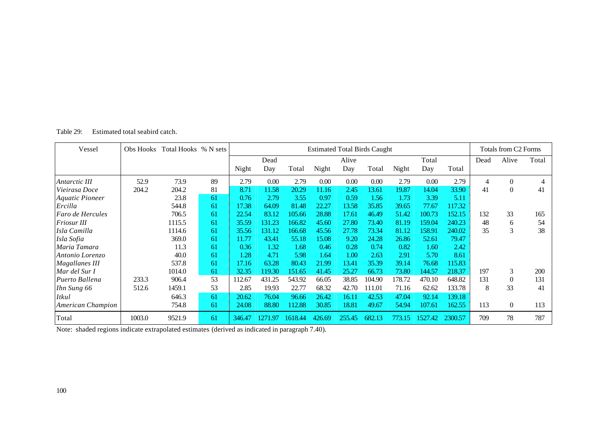| Estimated total seabird catch.<br>Table 29: |  |
|---------------------------------------------|--|
|---------------------------------------------|--|

| Vessel                 | Obs Hooks | Total Hooks % N sets |    |        | <b>Estimated Total Birds Caught</b> |         |        |        |        |        |         |         | Totals from C2 Forms |                  |       |
|------------------------|-----------|----------------------|----|--------|-------------------------------------|---------|--------|--------|--------|--------|---------|---------|----------------------|------------------|-------|
|                        |           |                      |    |        | Dead                                |         |        | Alive  |        |        | Total   |         | Dead                 | Alive            | Total |
|                        |           |                      |    | Night  | Day                                 | Total   | Night  | Day    | Total  | Night  | Day     | Total   |                      |                  |       |
| Antarctic III          | 52.9      | 73.9                 | 89 | 2.79   | 0.00                                | 2.79    | 0.00   | 0.00   | 0.00   | 2.79   | 0.00    | 2.79    | 4                    | $\theta$         |       |
| Vieirasa Doce          | 204.2     | 204.2                | 81 | 8.71   | 11.58                               | 20.29   | 11.16  | 2.45   | 13.61  | 19.87  | 14.04   | 33.90   | 41                   | $\theta$         | 41    |
| <b>Aquatic Pioneer</b> |           | 23.8                 | 61 | 0.76   | 2.79                                | 3.55    | 0.97   | 0.59   | 1.56   | 1.73   | 3.39    | 5.11    |                      |                  |       |
| Ercilla                |           | 544.8                | 61 | 17.38  | 64.09                               | 81.48   | 22.27  | 13.58  | 35.85  | 39.65  | 77.67   | 117.32  |                      |                  |       |
| Faro de Hercules       |           | 706.5                | 61 | 22.54  | 83.12                               | 105.66  | 28.88  | 17.61  | 46.49  | 51.42  | 100.73  | 152.15  | 132                  | 33               | 165   |
| Friosur III            |           | 1115.5               | 61 | 35.59  | 131.23                              | 166.82  | 45.60  | 27.80  | 73.40  | 81.19  | 159.04  | 240.23  | 48                   | 6                | 54    |
| Isla Camilla           |           | 1114.6               | 61 | 35.56  | 131.12                              | 166.68  | 45.56  | 27.78  | 73.34  | 81.12  | 158.91  | 240.02  | 35                   | 3                | 38    |
| Isla Sofia             |           | 369.0                | 61 | 1.77   | 43.41                               | 55.18   | 15.08  | 9.20   | 24.28  | 26.86  | 52.61   | 79.47   |                      |                  |       |
| Maria Tamara           |           | 11.3                 | 61 | 0.36   | 1.32                                | 1.68    | 0.46   | 0.28   | 0.74   | 0.82   | 1.60    | 2.42    |                      |                  |       |
| Antonio Lorenzo        |           | 40.0                 | 61 | 1.28   | 4.71                                | 5.98    | 1.64   | 1.00   | 2.63   | 2.91   | 5.70    | 8.61    |                      |                  |       |
| <b>Magallanes III</b>  |           | 537.8                | 61 | 17.16  | 63.28                               | 80.43   | 21.99  | 13.41  | 35.39  | 39.14  | 76.68   | 115.83  |                      |                  |       |
| Mar del Sur I          |           | 1014.0               | 61 | 32.35  | 119.30                              | 151.65  | 41.45  | 25.27  | 66.73  | 73.80  | 144.57  | 218.37  | 197                  | 3                | 200   |
| Puerto Ballena         | 233.3     | 906.4                | 53 | 112.67 | 431.25                              | 543.92  | 66.05  | 38.85  | 104.90 | 178.72 | 470.10  | 648.82  | 131                  | $\theta$         | 131   |
| Ihn Sung 66            | 512.6     | 1459.1               | 53 | 2.85   | 19.93                               | 22.77   | 68.32  | 42.70  | 111.01 | 71.16  | 62.62   | 133.78  | 8                    | 33               | 41    |
| <i>Itkul</i>           |           | 646.3                | 61 | 20.62  | 76.04                               | 96.66   | 26.42  | 16.11  | 42.53  | 47.04  | 92.14   | 139.18  |                      |                  |       |
| American Champion      |           | 754.8                | 61 | 24.08  | 88.80                               | 12.88   | 30.85  | 18.81  | 49.67  | 54.94  | 107.61  | 162.55  | 113                  | $\boldsymbol{0}$ | 113   |
| Total                  | 1003.0    | 9521.9               | 61 | 346.47 | 1271.97                             | 1618.44 | 426.69 | 255.45 | 682.13 | 773.15 | 1527.42 | 2300.57 | 709                  | 78               | 787   |

Note: shaded regions indicate extrapolated estimates (derived as indicated in paragraph 7.40).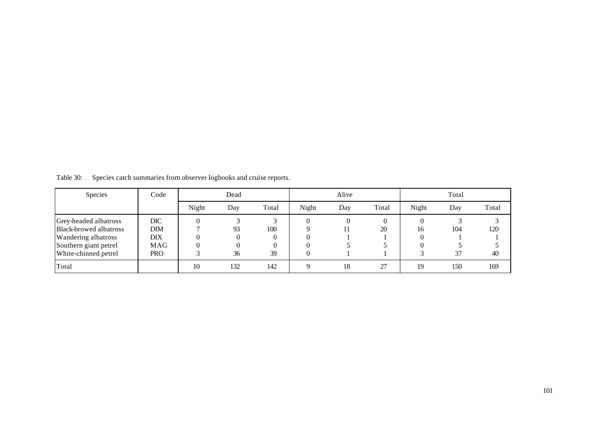| Species                                                                                                                 | Code                                                 |       | Dead          |                                   |       | Alive |       | Total |           |           |  |
|-------------------------------------------------------------------------------------------------------------------------|------------------------------------------------------|-------|---------------|-----------------------------------|-------|-------|-------|-------|-----------|-----------|--|
|                                                                                                                         |                                                      | Night | Day           | Total                             | Night | Day   | Total | Night | Day       | Total     |  |
| Grey-headed albatross<br>Black-browed albatross<br>Wandering albatross<br>Southern giant petrel<br>White-chinned petrel | <b>DIC</b><br>DIM<br>DIX<br><b>MAG</b><br><b>PRO</b> |       | 93<br>0<br>36 | 100<br>$\theta$<br>$\Omega$<br>39 |       | 0     | 20    | 16    | 104<br>37 | 120<br>40 |  |
| Total                                                                                                                   |                                                      | 10    | 132           | 142                               | Q     | 18    | 27    | 19    | 150       | 169       |  |

Table 30: Species catch summaries from observer logbooks and cruise reports.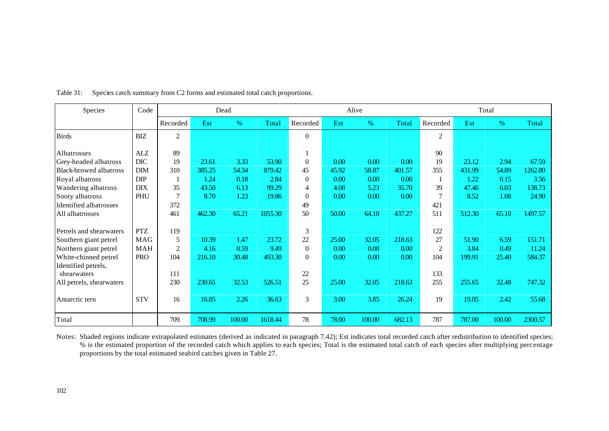| Species                       | Code       | Dead           |        |        |         | Alive          |       |        |        | Total          |        |        |         |
|-------------------------------|------------|----------------|--------|--------|---------|----------------|-------|--------|--------|----------------|--------|--------|---------|
|                               |            | Recorded       | Est    | $\%$   | Total   | Recorded       | Est   | $\%$   | Total  | Recorded       | Est    | %      | Total   |
| <b>Birds</b>                  | <b>BIZ</b> | $\mathfrak{2}$ |        |        |         | $\theta$       |       |        |        | $\overline{2}$ |        |        |         |
| Albatrosses                   | ALZ        | 89             |        |        |         |                |       |        |        | 90             |        |        |         |
| Grey-headed albatross         | DIC        | 19             | 23.61  | 3.33   | 53.90   | $\Omega$       | 0.00  | 0.00   | 0.00   | 19             | 23.12  | 2.94   | 67.59   |
| <b>Black-browed albatross</b> | <b>DIM</b> | 310            | 385.25 | 54.34  | 879.42  | 45             | 45.92 | 58.87  | 401.57 | 355            | 431.99 | 54.89  | 1262.80 |
| Royal albatross               | <b>DIP</b> |                | 1.24   | 0.18   | 2.84    | $\theta$       | 0.00  | 0.00   | 0.00   |                | 1.22   | 0.15   | 3.56    |
| Wandering albatross           | <b>DIX</b> | 35             | 43.50  | 6.13   | 99.29   | 4              | 4.08  | 5.23   | 35.70  | 39             | 47.46  | 6.03   | 138.73  |
| Sooty albatross               | PHU        | $\overline{7}$ | 8.70   | 1.23   | 19.86   | $\Omega$       | 0.00  | 0.00   | 0.00   |                | 8.52   | 1.08   | 24.90   |
| <b>Identified albatrosses</b> |            | 372            |        |        |         | 49             |       |        |        | 421            |        |        |         |
| All albatrosses               |            | 461            | 462.30 | 65.21  | 1055.30 | 50             | 50.00 | 64.10  | 437.27 | 511            | 512.30 | 65.10  | 1497.57 |
| Petrels and shearwaters       | <b>PTZ</b> | 119            |        |        |         | 3              |       |        |        | 122            |        |        |         |
| Southern giant petrel         | <b>MAG</b> | 5              | 10.39  | 1.47   | 23.72   | 22             | 25.00 | 32.05  | 218.63 | 27             | 51.90  | 6.59   | 151.71  |
| Northern giant petrel         | <b>MAH</b> | $\overline{2}$ | 4.16   | 0.59   | 9.49    | $\theta$       | 0.00  | 0.00   | 0.00   | $\overline{2}$ | 3.84   | 0.49   | 11.24   |
| White-chinned petrel          | <b>PRO</b> | 104            | 216.10 | 30.48  | 493.30  | $\overline{0}$ | 0.00  | 0.00   | 0.00   | 104            | 199.91 | 25.40  | 584.37  |
| Identified petrels,           |            |                |        |        |         |                |       |        |        |                |        |        |         |
| shearwaters                   |            | 111            |        |        |         | 22             |       |        |        | 133            |        |        |         |
| All petrels, shearwaters      |            | 230            | 230.65 | 32.53  | 526.51  | 25             | 25.00 | 32.05  | 218.63 | 255            | 255.65 | 32.48  | 747.32  |
| Antarctic tern                | <b>STV</b> | 16             | 16.05  | 2.26   | 36.63   | 3              | 3.00  | 3.85   | 26.24  | 19             | 19.05  | 2.42   | 55.68   |
| Total                         |            | 709            | 708.99 | 100.00 | 1618.44 | 78             | 78.00 | 100.00 | 682.13 | 787            | 787.00 | 100.00 | 2300.57 |

Table 31: Species catch summary from C2 forms and estimated total catch proportions.

Notes: Shaded regions indicate extrapolated estimates (derived as indicated in paragraph 7.42); Est indicates total recorded catch after redistribution to identified species; % is the estimated proportion of the recorded catch which applies to each species; Total is the estimated total catch of each species after multiplying percentage proportions by the total estimated seabird catches given in Table 27.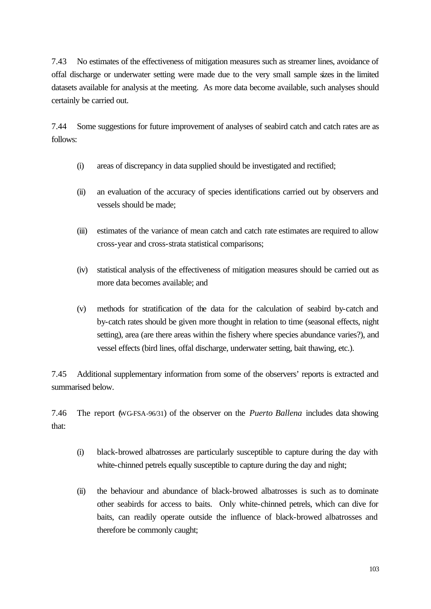7.43 No estimates of the effectiveness of mitigation measures such as streamer lines, avoidance of offal discharge or underwater setting were made due to the very small sample sizes in the limited datasets available for analysis at the meeting. As more data become available, such analyses should certainly be carried out.

7.44 Some suggestions for future improvement of analyses of seabird catch and catch rates are as follows:

- (i) areas of discrepancy in data supplied should be investigated and rectified;
- (ii) an evaluation of the accuracy of species identifications carried out by observers and vessels should be made;
- (iii) estimates of the variance of mean catch and catch rate estimates are required to allow cross-year and cross-strata statistical comparisons;
- (iv) statistical analysis of the effectiveness of mitigation measures should be carried out as more data becomes available; and
- (v) methods for stratification of the data for the calculation of seabird by-catch and by-catch rates should be given more thought in relation to time (seasonal effects, night setting), area (are there areas within the fishery where species abundance varies?), and vessel effects (bird lines, offal discharge, underwater setting, bait thawing, etc.).

7.45 Additional supplementary information from some of the observers' reports is extracted and summarised below.

7.46 The report (WG-FSA-96/31) of the observer on the *Puerto Ballena* includes data showing that:

- (i) black-browed albatrosses are particularly susceptible to capture during the day with white-chinned petrels equally susceptible to capture during the day and night;
- (ii) the behaviour and abundance of black-browed albatrosses is such as to dominate other seabirds for access to baits. Only white-chinned petrels, which can dive for baits, can readily operate outside the influence of black-browed albatrosses and therefore be commonly caught;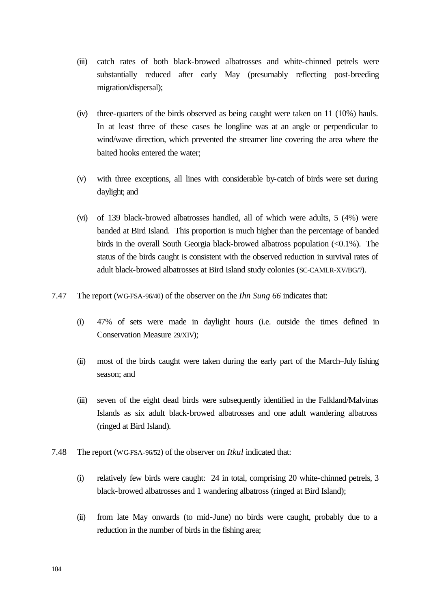- (iii) catch rates of both black-browed albatrosses and white-chinned petrels were substantially reduced after early May (presumably reflecting post-breeding migration/dispersal);
- (iv) three-quarters of the birds observed as being caught were taken on 11 (10%) hauls. In at least three of these cases the longline was at an angle or perpendicular to wind/wave direction, which prevented the streamer line covering the area where the baited hooks entered the water;
- (v) with three exceptions, all lines with considerable by-catch of birds were set during daylight; and
- (vi) of 139 black-browed albatrosses handled, all of which were adults, 5 (4%) were banded at Bird Island. This proportion is much higher than the percentage of banded birds in the overall South Georgia black-browed albatross population  $(<0.1\%)$ . The status of the birds caught is consistent with the observed reduction in survival rates of adult black-browed albatrosses at Bird Island study colonies (SC-CAMLR-XV/BG/7).
- 7.47 The report (WG-FSA-96/40) of the observer on the *Ihn Sung 66* indicates that:
	- (i) 47% of sets were made in daylight hours (i.e. outside the times defined in Conservation Measure 29/XIV);
	- (ii) most of the birds caught were taken during the early part of the March–July fishing season; and
	- (iii) seven of the eight dead birds were subsequently identified in the Falkland/Malvinas Islands as six adult black-browed albatrosses and one adult wandering albatross (ringed at Bird Island).
- 7.48 The report (WG-FSA-96/52) of the observer on *Itkul* indicated that:
	- (i) relatively few birds were caught: 24 in total, comprising 20 white-chinned petrels, 3 black-browed albatrosses and 1 wandering albatross (ringed at Bird Island);
	- (ii) from late May onwards (to mid-June) no birds were caught, probably due to a reduction in the number of birds in the fishing area;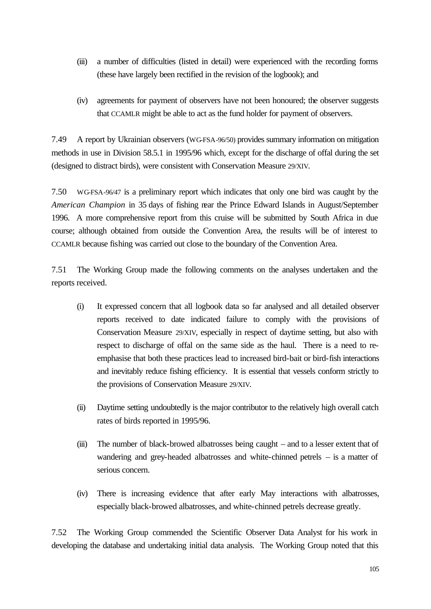- (iii) a number of difficulties (listed in detail) were experienced with the recording forms (these have largely been rectified in the revision of the logbook); and
- (iv) agreements for payment of observers have not been honoured; the observer suggests that CCAMLR might be able to act as the fund holder for payment of observers.

7.49 A report by Ukrainian observers (WG-FSA-96/50) provides summary information on mitigation methods in use in Division 58.5.1 in 1995/96 which, except for the discharge of offal during the set (designed to distract birds), were consistent with Conservation Measure 29/XIV.

7.50 WG-FSA-96/47 is a preliminary report which indicates that only one bird was caught by the *American Champion* in 35 days of fishing near the Prince Edward Islands in August/September 1996. A more comprehensive report from this cruise will be submitted by South Africa in due course; although obtained from outside the Convention Area, the results will be of interest to CCAMLR because fishing was carried out close to the boundary of the Convention Area.

7.51 The Working Group made the following comments on the analyses undertaken and the reports received.

- (i) It expressed concern that all logbook data so far analysed and all detailed observer reports received to date indicated failure to comply with the provisions of Conservation Measure 29/XIV, especially in respect of daytime setting, but also with respect to discharge of offal on the same side as the haul. There is a need to reemphasise that both these practices lead to increased bird-bait or bird-fish interactions and inevitably reduce fishing efficiency. It is essential that vessels conform strictly to the provisions of Conservation Measure 29/XIV.
- (ii) Daytime setting undoubtedly is the major contributor to the relatively high overall catch rates of birds reported in 1995/96.
- (iii) The number of black-browed albatrosses being caught and to a lesser extent that of wandering and grey-headed albatrosses and white-chinned petrels – is a matter of serious concern.
- (iv) There is increasing evidence that after early May interactions with albatrosses, especially black-browed albatrosses, and white-chinned petrels decrease greatly.

7.52 The Working Group commended the Scientific Observer Data Analyst for his work in developing the database and undertaking initial data analysis. The Working Group noted that this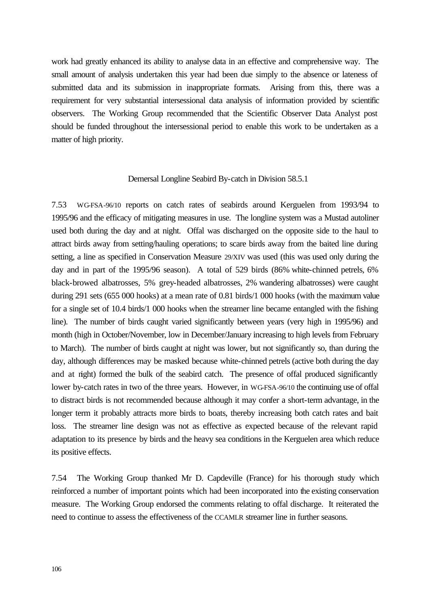work had greatly enhanced its ability to analyse data in an effective and comprehensive way. The small amount of analysis undertaken this year had been due simply to the absence or lateness of submitted data and its submission in inappropriate formats. Arising from this, there was a requirement for very substantial intersessional data analysis of information provided by scientific observers. The Working Group recommended that the Scientific Observer Data Analyst post should be funded throughout the intersessional period to enable this work to be undertaken as a matter of high priority.

# Demersal Longline Seabird By-catch in Division 58.5.1

7.53 WG-FSA-96/10 reports on catch rates of seabirds around Kerguelen from 1993/94 to 1995/96 and the efficacy of mitigating measures in use. The longline system was a Mustad autoliner used both during the day and at night. Offal was discharged on the opposite side to the haul to attract birds away from setting/hauling operations; to scare birds away from the baited line during setting, a line as specified in Conservation Measure 29/XIV was used (this was used only during the day and in part of the 1995/96 season). A total of 529 birds (86% white-chinned petrels, 6% black-browed albatrosses, 5% grey-headed albatrosses, 2% wandering albatrosses) were caught during 291 sets (655 000 hooks) at a mean rate of 0.81 birds/1 000 hooks (with the maximum value for a single set of 10.4 birds/1 000 hooks when the streamer line became entangled with the fishing line). The number of birds caught varied significantly between years (very high in 1995/96) and month (high in October/November, low in December/January increasing to high levels from February to March). The number of birds caught at night was lower, but not significantly so, than during the day, although differences may be masked because white-chinned petrels (active both during the day and at night) formed the bulk of the seabird catch. The presence of offal produced significantly lower by-catch rates in two of the three years. However, in WG-FSA-96/10 the continuing use of offal to distract birds is not recommended because although it may confer a short-term advantage, in the longer term it probably attracts more birds to boats, thereby increasing both catch rates and bait loss. The streamer line design was not as effective as expected because of the relevant rapid adaptation to its presence by birds and the heavy sea conditions in the Kerguelen area which reduce its positive effects.

7.54 The Working Group thanked Mr D. Capdeville (France) for his thorough study which reinforced a number of important points which had been incorporated into the existing conservation measure. The Working Group endorsed the comments relating to offal discharge. It reiterated the need to continue to assess the effectiveness of the CCAMLR streamer line in further seasons.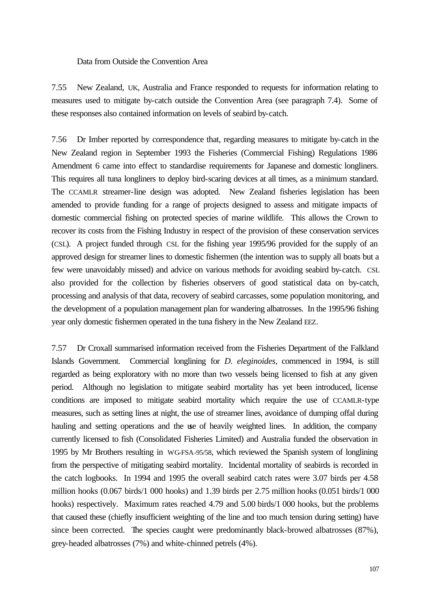Data from Outside the Convention Area

7.55 New Zealand, UK, Australia and France responded to requests for information relating to measures used to mitigate by-catch outside the Convention Area (see paragraph 7.4). Some of these responses also contained information on levels of seabird by-catch.

7.56 Dr Imber reported by correspondence that, regarding measures to mitigate by-catch in the New Zealand region in September 1993 the Fisheries (Commercial Fishing) Regulations 1986 Amendment 6 came into effect to standardise requirements for Japanese and domestic longliners. This requires all tuna longliners to deploy bird-scaring devices at all times, as a minimum standard. The CCAMLR streamer-line design was adopted. New Zealand fisheries legislation has been amended to provide funding for a range of projects designed to assess and mitigate impacts of domestic commercial fishing on protected species of marine wildlife. This allows the Crown to recover its costs from the Fishing Industry in respect of the provision of these conservation services (CSL). A project funded through CSL for the fishing year 1995/96 provided for the supply of an approved design for streamer lines to domestic fishermen (the intention was to supply all boats but a few were unavoidably missed) and advice on various methods for avoiding seabird by-catch. CSL also provided for the collection by fisheries observers of good statistical data on by-catch, processing and analysis of that data, recovery of seabird carcasses, some population monitoring, and the development of a population management plan for wandering albatrosses. In the 1995/96 fishing year only domestic fishermen operated in the tuna fishery in the New Zealand EEZ.

7.57 Dr Croxall summarised information received from the Fisheries Department of the Falkland Islands Government. Commercial longlining for *D. eleginoides*, commenced in 1994, is still regarded as being exploratory with no more than two vessels being licensed to fish at any given period. Although no legislation to mitigate seabird mortality has yet been introduced, license conditions are imposed to mitigate seabird mortality which require the use of CCAMLR-type measures, such as setting lines at night, the use of streamer lines, avoidance of dumping offal during hauling and setting operations and the use of heavily weighted lines. In addition, the company currently licensed to fish (Consolidated Fisheries Limited) and Australia funded the observation in 1995 by Mr Brothers resulting in WG-FSA-95/58, which reviewed the Spanish system of longlining from the perspective of mitigating seabird mortality. Incidental mortality of seabirds is recorded in the catch logbooks. In 1994 and 1995 the overall seabird catch rates were 3.07 birds per 4.58 million hooks (0.067 birds/1 000 hooks) and 1.39 birds per 2.75 million hooks (0.051 birds/1 000 hooks) respectively. Maximum rates reached 4.79 and 5.00 birds/1 000 hooks, but the problems that caused these (chiefly insufficient weighting of the line and too much tension during setting) have since been corrected. The species caught were predominantly black-browed albatrosses (87%), grey-headed albatrosses (7%) and white-chinned petrels (4%).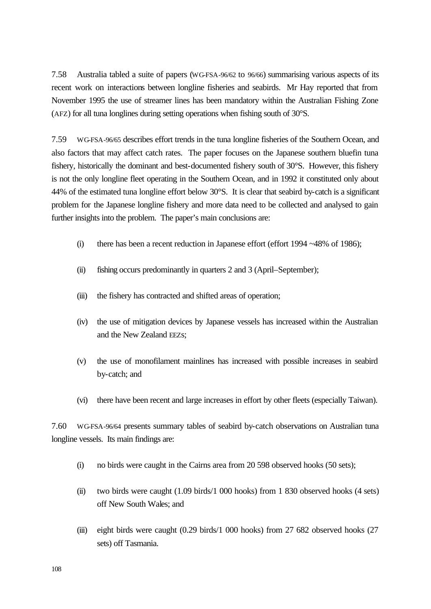7.58 Australia tabled a suite of papers (WG-FSA-96/62 to 96/66) summarising various aspects of its recent work on interactions between longline fisheries and seabirds. Mr Hay reported that from November 1995 the use of streamer lines has been mandatory within the Australian Fishing Zone (AFZ) for all tuna longlines during setting operations when fishing south of 30°S.

7.59 WG-FSA-96/65 describes effort trends in the tuna longline fisheries of the Southern Ocean, and also factors that may affect catch rates. The paper focuses on the Japanese southern bluefin tuna fishery, historically the dominant and best-documented fishery south of 30°S. However, this fishery is not the only longline fleet operating in the Southern Ocean, and in 1992 it constituted only about 44% of the estimated tuna longline effort below 30°S. It is clear that seabird by-catch is a significant problem for the Japanese longline fishery and more data need to be collected and analysed to gain further insights into the problem. The paper's main conclusions are:

- (i) there has been a recent reduction in Japanese effort (effort 1994 ~48% of 1986);
- (ii) fishing occurs predominantly in quarters 2 and 3 (April–September);
- (iii) the fishery has contracted and shifted areas of operation;
- (iv) the use of mitigation devices by Japanese vessels has increased within the Australian and the New Zealand EEZs;
- (v) the use of monofilament mainlines has increased with possible increases in seabird by-catch; and
- (vi) there have been recent and large increases in effort by other fleets (especially Taiwan).

7.60 WG-FSA-96/64 presents summary tables of seabird by-catch observations on Australian tuna longline vessels. Its main findings are:

- (i) no birds were caught in the Cairns area from 20 598 observed hooks (50 sets);
- (ii) two birds were caught (1.09 birds/1 000 hooks) from 1 830 observed hooks (4 sets) off New South Wales; and
- (iii) eight birds were caught (0.29 birds/1 000 hooks) from 27 682 observed hooks (27 sets) off Tasmania.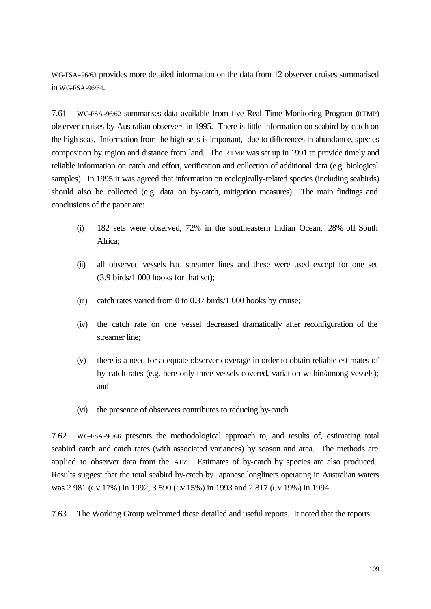WG-FSA-96/63 provides more detailed information on the data from 12 observer cruises summarised in WG-FSA-96/64.

7.61 WG-FSA-96/62 summarises data available from five Real Time Monitoring Program (RTMP) observer cruises by Australian observers in 1995. There is little information on seabird by-catch on the high seas. Information from the high seas is important, due to differences in abundance, species composition by region and distance from land. The RTMP was set up in 1991 to provide timely and reliable information on catch and effort, verification and collection of additional data (e.g. biological samples). In 1995 it was agreed that information on ecologically-related species (including seabirds) should also be collected (e.g. data on by-catch, mitigation measures). The main findings and conclusions of the paper are:

- (i) 182 sets were observed, 72% in the southeastern Indian Ocean, 28% off South Africa;
- (ii) all observed vessels had streamer lines and these were used except for one set (3.9 birds/1 000 hooks for that set);
- (iii) catch rates varied from 0 to 0.37 birds/1 000 hooks by cruise;
- (iv) the catch rate on one vessel decreased dramatically after reconfiguration of the streamer line;
- (v) there is a need for adequate observer coverage in order to obtain reliable estimates of by-catch rates (e.g. here only three vessels covered, variation within/among vessels); and
- (vi) the presence of observers contributes to reducing by-catch.

7.62 WG-FSA-96/66 presents the methodological approach to, and results of, estimating total seabird catch and catch rates (with associated variances) by season and area. The methods are applied to observer data from the AFZ. Estimates of by-catch by species are also produced. Results suggest that the total seabird by-catch by Japanese longliners operating in Australian waters was 2 981 (CV 17%) in 1992, 3 590 (CV 15%) in 1993 and 2 817 (CV 19%) in 1994.

7.63 The Working Group welcomed these detailed and useful reports. It noted that the reports: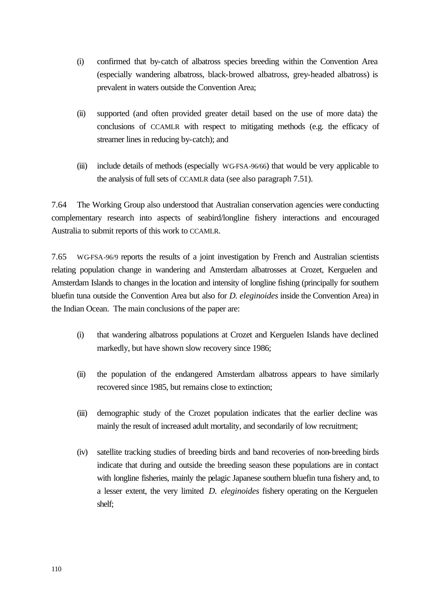- (i) confirmed that by-catch of albatross species breeding within the Convention Area (especially wandering albatross, black-browed albatross, grey-headed albatross) is prevalent in waters outside the Convention Area;
- (ii) supported (and often provided greater detail based on the use of more data) the conclusions of CCAMLR with respect to mitigating methods (e.g. the efficacy of streamer lines in reducing by-catch); and
- (iii) include details of methods (especially WG-FSA-96/66) that would be very applicable to the analysis of full sets of CCAMLR data (see also paragraph 7.51).

7.64 The Working Group also understood that Australian conservation agencies were conducting complementary research into aspects of seabird/longline fishery interactions and encouraged Australia to submit reports of this work to CCAMLR.

7.65 WG-FSA-96/9 reports the results of a joint investigation by French and Australian scientists relating population change in wandering and Amsterdam albatrosses at Crozet, Kerguelen and Amsterdam Islands to changes in the location and intensity of longline fishing (principally for southern bluefin tuna outside the Convention Area but also for *D. eleginoides* inside the Convention Area) in the Indian Ocean. The main conclusions of the paper are:

- (i) that wandering albatross populations at Crozet and Kerguelen Islands have declined markedly, but have shown slow recovery since 1986;
- (ii) the population of the endangered Amsterdam albatross appears to have similarly recovered since 1985, but remains close to extinction;
- (iii) demographic study of the Crozet population indicates that the earlier decline was mainly the result of increased adult mortality, and secondarily of low recruitment;
- (iv) satellite tracking studies of breeding birds and band recoveries of non-breeding birds indicate that during and outside the breeding season these populations are in contact with longline fisheries, mainly the pelagic Japanese southern bluefin tuna fishery and, to a lesser extent, the very limited *D. eleginoides* fishery operating on the Kerguelen shelf;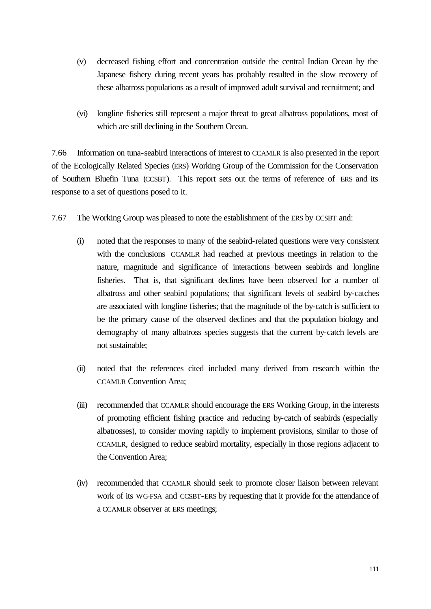- (v) decreased fishing effort and concentration outside the central Indian Ocean by the Japanese fishery during recent years has probably resulted in the slow recovery of these albatross populations as a result of improved adult survival and recruitment; and
- (vi) longline fisheries still represent a major threat to great albatross populations, most of which are still declining in the Southern Ocean.

7.66 Information on tuna-seabird interactions of interest to CCAMLR is also presented in the report of the Ecologically Related Species (ERS) Working Group of the Commission for the Conservation of Southern Bluefin Tuna (CCSBT). This report sets out the terms of reference of ERS and its response to a set of questions posed to it.

- 7.67 The Working Group was pleased to note the establishment of the ERS by CCSBT and:
	- (i) noted that the responses to many of the seabird-related questions were very consistent with the conclusions CCAMLR had reached at previous meetings in relation to the nature, magnitude and significance of interactions between seabirds and longline fisheries. That is, that significant declines have been observed for a number of albatross and other seabird populations; that significant levels of seabird by-catches are associated with longline fisheries; that the magnitude of the by-catch is sufficient to be the primary cause of the observed declines and that the population biology and demography of many albatross species suggests that the current by-catch levels are not sustainable;
	- (ii) noted that the references cited included many derived from research within the CCAMLR Convention Area;
	- (iii) recommended that CCAMLR should encourage the ERS Working Group, in the interests of promoting efficient fishing practice and reducing by-catch of seabirds (especially albatrosses), to consider moving rapidly to implement provisions, similar to those of CCAMLR, designed to reduce seabird mortality, especially in those regions adjacent to the Convention Area;
	- (iv) recommended that CCAMLR should seek to promote closer liaison between relevant work of its WG-FSA and CCSBT-ERS by requesting that it provide for the attendance of a CCAMLR observer at ERS meetings;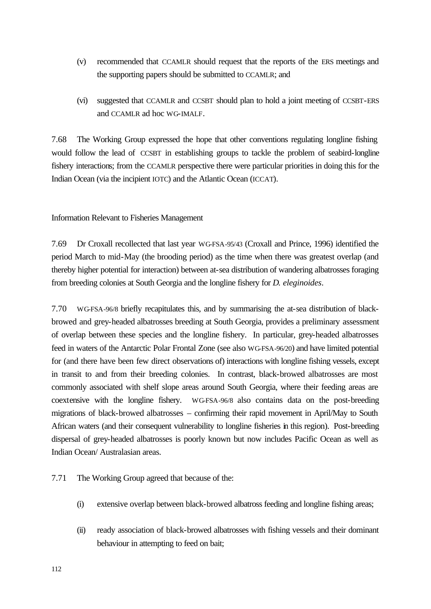- (v) recommended that CCAMLR should request that the reports of the ERS meetings and the supporting papers should be submitted to CCAMLR; and
- (vi) suggested that CCAMLR and CCSBT should plan to hold a joint meeting of CCSBT-ERS and CCAMLR ad hoc WG-IMALF.

7.68 The Working Group expressed the hope that other conventions regulating longline fishing would follow the lead of CCSBT in establishing groups to tackle the problem of seabird-longline fishery interactions; from the CCAMLR perspective there were particular priorities in doing this for the Indian Ocean (via the incipient IOTC) and the Atlantic Ocean (ICCAT).

Information Relevant to Fisheries Management

7.69 Dr Croxall recollected that last year WG-FSA-95/43 (Croxall and Prince, 1996) identified the period March to mid-May (the brooding period) as the time when there was greatest overlap (and thereby higher potential for interaction) between at-sea distribution of wandering albatrosses foraging from breeding colonies at South Georgia and the longline fishery for *D. eleginoides*.

7.70 WG-FSA-96/8 briefly recapitulates this, and by summarising the at-sea distribution of blackbrowed and grey-headed albatrosses breeding at South Georgia, provides a preliminary assessment of overlap between these species and the longline fishery. In particular, grey-headed albatrosses feed in waters of the Antarctic Polar Frontal Zone (see also WG-FSA-96/20) and have limited potential for (and there have been few direct observations of) interactions with longline fishing vessels, except in transit to and from their breeding colonies. In contrast, black-browed albatrosses are most commonly associated with shelf slope areas around South Georgia, where their feeding areas are coextensive with the longline fishery. WG-FSA-96/8 also contains data on the post-breeding migrations of black-browed albatrosses – confirming their rapid movement in April/May to South African waters (and their consequent vulnerability to longline fisheries in this region). Post-breeding dispersal of grey-headed albatrosses is poorly known but now includes Pacific Ocean as well as Indian Ocean/ Australasian areas.

7.71 The Working Group agreed that because of the:

- (i) extensive overlap between black-browed albatross feeding and longline fishing areas;
- (ii) ready association of black-browed albatrosses with fishing vessels and their dominant behaviour in attempting to feed on bait;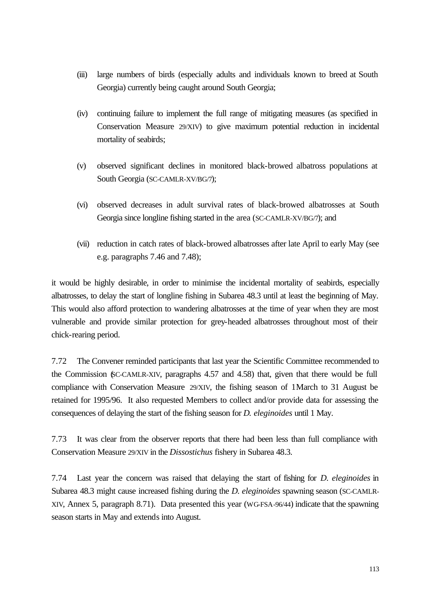- (iii) large numbers of birds (especially adults and individuals known to breed at South Georgia) currently being caught around South Georgia;
- (iv) continuing failure to implement the full range of mitigating measures (as specified in Conservation Measure 29/XIV) to give maximum potential reduction in incidental mortality of seabirds;
- (v) observed significant declines in monitored black-browed albatross populations at South Georgia (SC-CAMLR-XV/BG/7);
- (vi) observed decreases in adult survival rates of black-browed albatrosses at South Georgia since longline fishing started in the area (SC-CAMLR-XV/BG/7); and
- (vii) reduction in catch rates of black-browed albatrosses after late April to early May (see e.g. paragraphs 7.46 and 7.48);

it would be highly desirable, in order to minimise the incidental mortality of seabirds, especially albatrosses, to delay the start of longline fishing in Subarea 48.3 until at least the beginning of May. This would also afford protection to wandering albatrosses at the time of year when they are most vulnerable and provide similar protection for grey-headed albatrosses throughout most of their chick-rearing period.

7.72 The Convener reminded participants that last year the Scientific Committee recommended to the Commission (SC-CAMLR-XIV, paragraphs 4.57 and 4.58) that, given that there would be full compliance with Conservation Measure 29/XIV, the fishing season of 1March to 31 August be retained for 1995/96. It also requested Members to collect and/or provide data for assessing the consequences of delaying the start of the fishing season for *D. eleginoides* until 1 May.

7.73 It was clear from the observer reports that there had been less than full compliance with Conservation Measure 29/XIV in the *Dissostichus* fishery in Subarea 48.3.

7.74 Last year the concern was raised that delaying the start of fishing for *D. eleginoides* in Subarea 48.3 might cause increased fishing during the *D. eleginoides* spawning season (SC-CAMLR-XIV, Annex 5, paragraph 8.71). Data presented this year (WG-FSA-96/44) indicate that the spawning season starts in May and extends into August.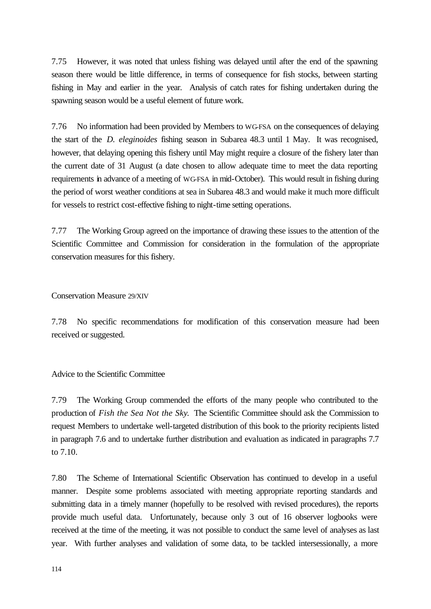7.75 However, it was noted that unless fishing was delayed until after the end of the spawning season there would be little difference, in terms of consequence for fish stocks, between starting fishing in May and earlier in the year. Analysis of catch rates for fishing undertaken during the spawning season would be a useful element of future work.

7.76 No information had been provided by Members to WG-FSA on the consequences of delaying the start of the *D. eleginoides* fishing season in Subarea 48.3 until 1 May. It was recognised, however, that delaying opening this fishery until May might require a closure of the fishery later than the current date of 31 August (a date chosen to allow adequate time to meet the data reporting requirements in advance of a meeting of WG-FSA in mid-October). This would result in fishing during the period of worst weather conditions at sea in Subarea 48.3 and would make it much more difficult for vessels to restrict cost-effective fishing to night-time setting operations.

7.77 The Working Group agreed on the importance of drawing these issues to the attention of the Scientific Committee and Commission for consideration in the formulation of the appropriate conservation measures for this fishery.

Conservation Measure 29/XIV

7.78 No specific recommendations for modification of this conservation measure had been received or suggested.

#### Advice to the Scientific Committee

7.79 The Working Group commended the efforts of the many people who contributed to the production of *Fish the Sea Not the Sky*. The Scientific Committee should ask the Commission to request Members to undertake well-targeted distribution of this book to the priority recipients listed in paragraph 7.6 and to undertake further distribution and evaluation as indicated in paragraphs 7.7 to 7.10.

7.80 The Scheme of International Scientific Observation has continued to develop in a useful manner. Despite some problems associated with meeting appropriate reporting standards and submitting data in a timely manner (hopefully to be resolved with revised procedures), the reports provide much useful data. Unfortunately, because only 3 out of 16 observer logbooks were received at the time of the meeting, it was not possible to conduct the same level of analyses as last year. With further analyses and validation of some data, to be tackled intersessionally, a more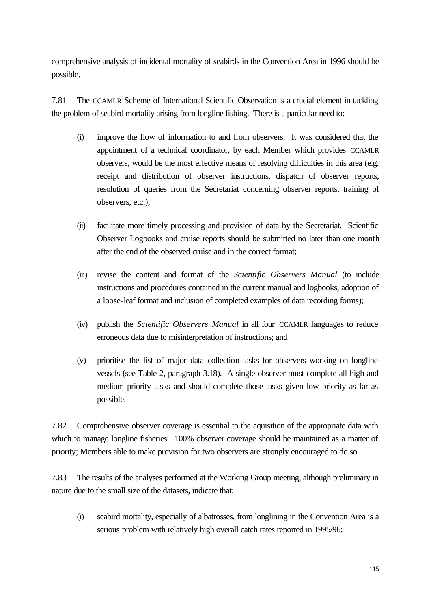comprehensive analysis of incidental mortality of seabirds in the Convention Area in 1996 should be possible.

7.81 The CCAMLR Scheme of International Scientific Observation is a crucial element in tackling the problem of seabird mortality arising from longline fishing. There is a particular need to:

- (i) improve the flow of information to and from observers. It was considered that the appointment of a technical coordinator, by each Member which provides CCAMLR observers, would be the most effective means of resolving difficulties in this area (e.g. receipt and distribution of observer instructions, dispatch of observer reports, resolution of queries from the Secretariat concerning observer reports, training of observers, etc.);
- (ii) facilitate more timely processing and provision of data by the Secretariat. Scientific Observer Logbooks and cruise reports should be submitted no later than one month after the end of the observed cruise and in the correct format;
- (iii) revise the content and format of the *Scientific Observers Manual* (to include instructions and procedures contained in the current manual and logbooks, adoption of a loose-leaf format and inclusion of completed examples of data recording forms);
- (iv) publish the *Scientific Observers Manual* in all four CCAMLR languages to reduce erroneous data due to misinterpretation of instructions; and
- (v) prioritise the list of major data collection tasks for observers working on longline vessels (see Table 2, paragraph 3.18). A single observer must complete all high and medium priority tasks and should complete those tasks given low priority as far as possible.

7.82 Comprehensive observer coverage is essential to the aquisition of the appropriate data with which to manage longline fisheries. 100% observer coverage should be maintained as a matter of priority; Members able to make provision for two observers are strongly encouraged to do so.

7.83 The results of the analyses performed at the Working Group meeting, although preliminary in nature due to the small size of the datasets, indicate that:

(i) seabird mortality, especially of albatrosses, from longlining in the Convention Area is a serious problem with relatively high overall catch rates reported in 1995/96;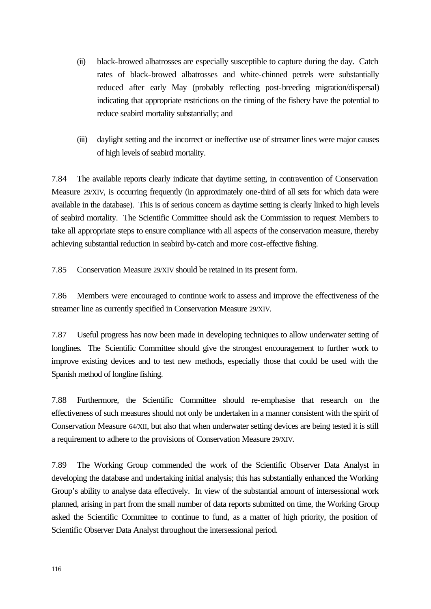- (ii) black-browed albatrosses are especially susceptible to capture during the day. Catch rates of black-browed albatrosses and white-chinned petrels were substantially reduced after early May (probably reflecting post-breeding migration/dispersal) indicating that appropriate restrictions on the timing of the fishery have the potential to reduce seabird mortality substantially; and
- (iii) daylight setting and the incorrect or ineffective use of streamer lines were major causes of high levels of seabird mortality.

7.84 The available reports clearly indicate that daytime setting, in contravention of Conservation Measure 29/XIV, is occurring frequently (in approximately one-third of all sets for which data were available in the database). This is of serious concern as daytime setting is clearly linked to high levels of seabird mortality. The Scientific Committee should ask the Commission to request Members to take all appropriate steps to ensure compliance with all aspects of the conservation measure, thereby achieving substantial reduction in seabird by-catch and more cost-effective fishing.

7.85 Conservation Measure 29/XIV should be retained in its present form.

7.86 Members were encouraged to continue work to assess and improve the effectiveness of the streamer line as currently specified in Conservation Measure 29/XIV.

7.87 Useful progress has now been made in developing techniques to allow underwater setting of longlines. The Scientific Committee should give the strongest encouragement to further work to improve existing devices and to test new methods, especially those that could be used with the Spanish method of longline fishing.

7.88 Furthermore, the Scientific Committee should re-emphasise that research on the effectiveness of such measures should not only be undertaken in a manner consistent with the spirit of Conservation Measure 64/XII, but also that when underwater setting devices are being tested it is still a requirement to adhere to the provisions of Conservation Measure 29/XIV.

7.89 The Working Group commended the work of the Scientific Observer Data Analyst in developing the database and undertaking initial analysis; this has substantially enhanced the Working Group's ability to analyse data effectively. In view of the substantial amount of intersessional work planned, arising in part from the small number of data reports submitted on time, the Working Group asked the Scientific Committee to continue to fund, as a matter of high priority, the position of Scientific Observer Data Analyst throughout the intersessional period.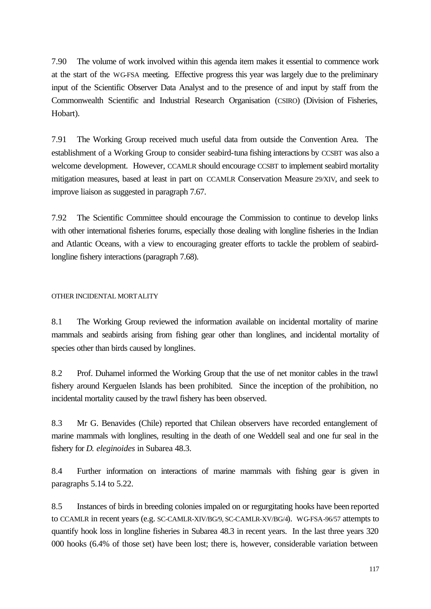7.90 The volume of work involved within this agenda item makes it essential to commence work at the start of the WG-FSA meeting. Effective progress this year was largely due to the preliminary input of the Scientific Observer Data Analyst and to the presence of and input by staff from the Commonwealth Scientific and Industrial Research Organisation (CSIRO) (Division of Fisheries, Hobart).

7.91 The Working Group received much useful data from outside the Convention Area. The establishment of a Working Group to consider seabird-tuna fishing interactions by CCSBT was also a welcome development. However, CCAMLR should encourage CCSBT to implement seabird mortality mitigation measures, based at least in part on CCAMLR Conservation Measure 29/XIV, and seek to improve liaison as suggested in paragraph 7.67.

7.92 The Scientific Committee should encourage the Commission to continue to develop links with other international fisheries forums, especially those dealing with longline fisheries in the Indian and Atlantic Oceans, with a view to encouraging greater efforts to tackle the problem of seabirdlongline fishery interactions (paragraph 7.68).

# OTHER INCIDENTAL MORTALITY

8.1 The Working Group reviewed the information available on incidental mortality of marine mammals and seabirds arising from fishing gear other than longlines, and incidental mortality of species other than birds caused by longlines.

8.2 Prof. Duhamel informed the Working Group that the use of net monitor cables in the trawl fishery around Kerguelen Islands has been prohibited. Since the inception of the prohibition, no incidental mortality caused by the trawl fishery has been observed.

8.3 Mr G. Benavides (Chile) reported that Chilean observers have recorded entanglement of marine mammals with longlines, resulting in the death of one Weddell seal and one fur seal in the fishery for *D. eleginoides* in Subarea 48.3.

8.4 Further information on interactions of marine mammals with fishing gear is given in paragraphs 5.14 to 5.22.

8.5 Instances of birds in breeding colonies impaled on or regurgitating hooks have been reported to CCAMLR in recent years (e.g. SC-CAMLR-XIV/BG/9, SC-CAMLR-XV/BG/4). WG-FSA-96/57 attempts to quantify hook loss in longline fisheries in Subarea 48.3 in recent years. In the last three years 320 000 hooks (6.4% of those set) have been lost; there is, however, considerable variation between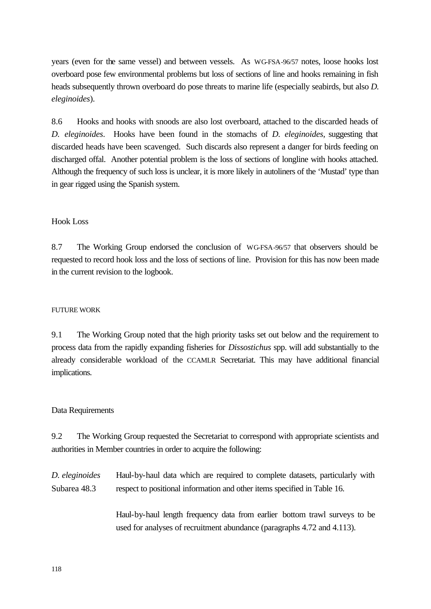years (even for the same vessel) and between vessels. As WG-FSA-96/57 notes, loose hooks lost overboard pose few environmental problems but loss of sections of line and hooks remaining in fish heads subsequently thrown overboard do pose threats to marine life (especially seabirds, but also *D. eleginoides*).

8.6 Hooks and hooks with snoods are also lost overboard, attached to the discarded heads of *D. eleginoides*. Hooks have been found in the stomachs of *D. eleginoides*, suggesting that discarded heads have been scavenged. Such discards also represent a danger for birds feeding on discharged offal. Another potential problem is the loss of sections of longline with hooks attached. Although the frequency of such loss is unclear, it is more likely in autoliners of the 'Mustad' type than in gear rigged using the Spanish system.

#### Hook Loss

8.7 The Working Group endorsed the conclusion of WG-FSA-96/57 that observers should be requested to record hook loss and the loss of sections of line. Provision for this has now been made in the current revision to the logbook.

#### FUTURE WORK

9.1 The Working Group noted that the high priority tasks set out below and the requirement to process data from the rapidly expanding fisheries for *Dissostichus* spp. will add substantially to the already considerable workload of the CCAMLR Secretariat. This may have additional financial implications.

#### Data Requirements

9.2 The Working Group requested the Secretariat to correspond with appropriate scientists and authorities in Member countries in order to acquire the following:

*D. eleginoides* Subarea 48.3 Haul-by-haul data which are required to complete datasets, particularly with respect to positional information and other items specified in Table 16.

> Haul-by-haul length frequency data from earlier bottom trawl surveys to be used for analyses of recruitment abundance (paragraphs 4.72 and 4.113).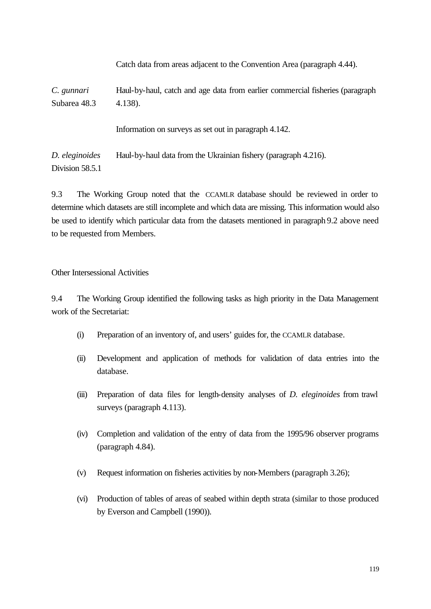|                                   | Catch data from areas adjacent to the Convention Area (paragraph 4.44).                      |
|-----------------------------------|----------------------------------------------------------------------------------------------|
| C. gunnari<br>Subarea 48.3        | Haul-by-haul, catch and age data from earlier commercial fisheries (paragraph)<br>$4.138$ ). |
|                                   | Information on surveys as set out in paragraph 4.142.                                        |
| D. eleginoides<br>Division 58.5.1 | Haul-by-haul data from the Ukrainian fishery (paragraph 4.216).                              |

9.3 The Working Group noted that the CCAMLR database should be reviewed in order to determine which datasets are still incomplete and which data are missing. This information would also be used to identify which particular data from the datasets mentioned in paragraph 9.2 above need to be requested from Members.

Other Intersessional Activities

9.4 The Working Group identified the following tasks as high priority in the Data Management work of the Secretariat:

- (i) Preparation of an inventory of, and users' guides for, the CCAMLR database.
- (ii) Development and application of methods for validation of data entries into the database.
- (iii) Preparation of data files for length-density analyses of *D. eleginoides* from trawl surveys (paragraph 4.113).
- (iv) Completion and validation of the entry of data from the 1995/96 observer programs (paragraph 4.84).
- (v) Request information on fisheries activities by non-Members (paragraph 3.26);
- (vi) Production of tables of areas of seabed within depth strata (similar to those produced by Everson and Campbell (1990)).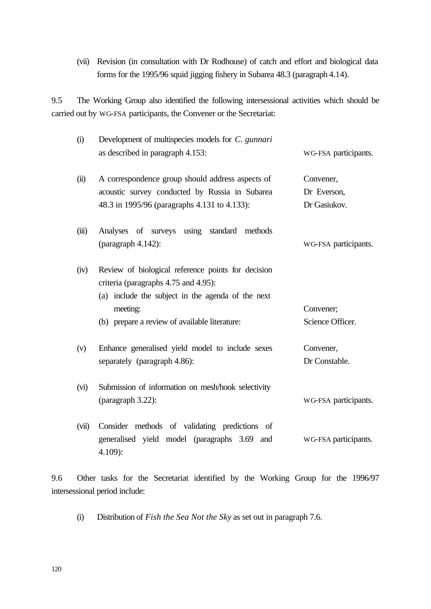(vii) Revision (in consultation with Dr Rodhouse) of catch and effort and biological data forms for the 1995/96 squid jigging fishery in Subarea 48.3 (paragraph 4.14).

9.5 The Working Group also identified the following intersessional activities which should be carried out by WG-FSA participants, the Convener or the Secretariat:

| (i)   | Development of multispecies models for C. gunnari                                                                                               |                      |
|-------|-------------------------------------------------------------------------------------------------------------------------------------------------|----------------------|
|       | as described in paragraph 4.153:                                                                                                                | WG-FSA participants. |
| (ii)  | A correspondence group should address aspects of                                                                                                | Convener,            |
|       | acoustic survey conducted by Russia in Subarea                                                                                                  | Dr Everson,          |
|       | 48.3 in 1995/96 (paragraphs 4.131 to 4.133):                                                                                                    | Dr Gasiukov.         |
| (iii) | Analyses of surveys using standard methods                                                                                                      |                      |
|       | (paragraph $4.142$ ):                                                                                                                           | WG-FSA participants. |
| (iv)  | Review of biological reference points for decision<br>criteria (paragraphs 4.75 and 4.95):<br>(a) include the subject in the agenda of the next |                      |
|       | meeting:                                                                                                                                        | Convener;            |
|       | (b) prepare a review of available literature:                                                                                                   | Science Officer.     |
| (v)   | Enhance generalised yield model to include sexes                                                                                                | Convener,            |
|       | separately (paragraph 4.86):                                                                                                                    | Dr Constable.        |
| (vi)  | Submission of information on mesh/hook selectivity                                                                                              |                      |
|       |                                                                                                                                                 | WG-FSA participants. |
| (vii) | Consider methods of validating predictions of<br>generalised yield model (paragraphs 3.69 and<br>$4.109$ :                                      | WG-FSA participants. |

9.6 Other tasks for the Secretariat identified by the Working Group for the 1996/97 intersessional period include:

(i) Distribution of *Fish the Sea Not the Sky* as set out in paragraph 7.6.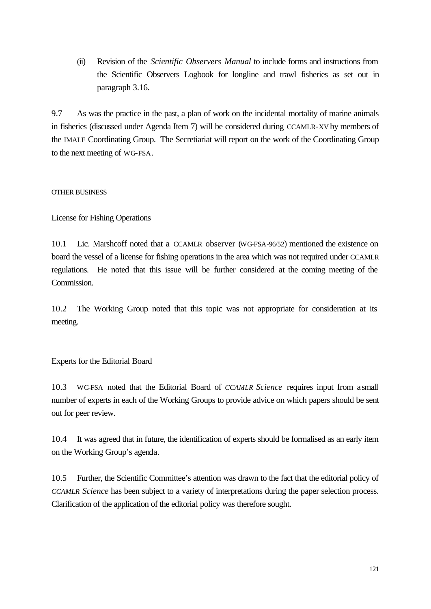(ii) Revision of the *Scientific Observers Manual* to include forms and instructions from the Scientific Observers Logbook for longline and trawl fisheries as set out in paragraph 3.16.

9.7 As was the practice in the past, a plan of work on the incidental mortality of marine animals in fisheries (discussed under Agenda Item 7) will be considered during CCAMLR-XV by members of the IMALF Coordinating Group. The Secretiariat will report on the work of the Coordinating Group to the next meeting of WG-FSA.

# OTHER BUSINESS

License for Fishing Operations

10.1 Lic. Marshcoff noted that a CCAMLR observer (WG-FSA-96/52) mentioned the existence on board the vessel of a license for fishing operations in the area which was not required under CCAMLR regulations. He noted that this issue will be further considered at the coming meeting of the Commission.

10.2 The Working Group noted that this topic was not appropriate for consideration at its meeting.

Experts for the Editorial Board

10.3 WG-FSA noted that the Editorial Board of *CCAMLR Science* requires input from a small number of experts in each of the Working Groups to provide advice on which papers should be sent out for peer review.

10.4 It was agreed that in future, the identification of experts should be formalised as an early item on the Working Group's agenda.

10.5 Further, the Scientific Committee's attention was drawn to the fact that the editorial policy of *CCAMLR Science* has been subject to a variety of interpretations during the paper selection process. Clarification of the application of the editorial policy was therefore sought.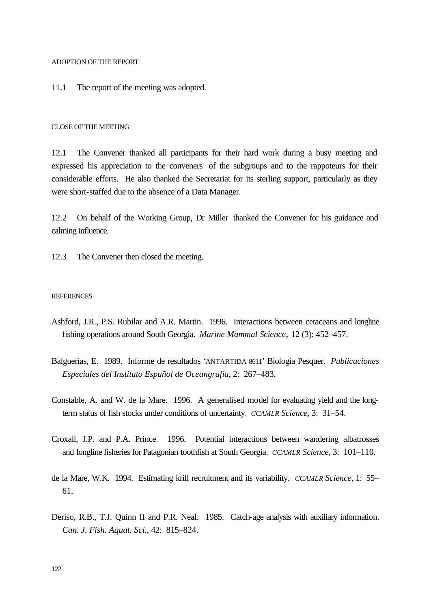ADOPTION OF THE REPORT

11.1 The report of the meeting was adopted.

#### CLOSE OF THE MEETING

12.1 The Convener thanked all participants for their hard work during a busy meeting and expressed his appreciation to the conveners of the subgroups and to the rappoteurs for their considerable efforts. He also thanked the Secretariat for its sterling support, particularly as they were short-staffed due to the absence of a Data Manager.

12.2 On behalf of the Working Group, Dr Miller thanked the Convener for his guidance and calming influence.

12.3 The Convener then closed the meeting.

#### **REFERENCES**

- Ashford, J.R., P.S. Rubilar and A.R. Martin. 1996. Interactions between cetaceans and longline fishing operations around South Georgia. *Marine Mammal Science*, 12 (3): 452–457.
- Balguerías, E. 1989. Informe de resultados 'ANTARTIDA 8611' Biología Pesquer. *Publicaciones Especiales del Instituto Español de Oceangrafia*, 2: 267–483.
- Constable, A. and W. de la Mare. 1996. A generalised model for evaluating yield and the longterm status of fish stocks under conditions of uncertainty. *CCAMLR Science*, 3: 31–54.
- Croxall, J.P. and P.A. Prince. 1996. Potential interactions between wandering albatrosses and longline fisheries for Patagonian toothfish at South Georgia. *CCAMLR Science*, 3: 101–110.
- de la Mare, W.K. 1994. Estimating krill recruitment and its variability. *CCAMLR Science*, 1: 55– 61.
- Deriso, R.B., T.J. Quinn II and P.R. Neal. 1985. Catch-age analysis with auxiliary information. *Can. J. Fish. Aquat. Sci*., 42: 815–824.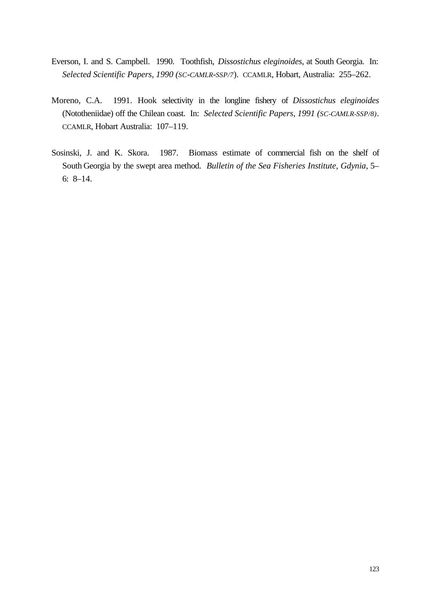- Everson, I. and S. Campbell. 1990. Toothfish, *Dissostichus eleginoides*, at South Georgia. In: *Selected Scientific Papers, 1990 (SC-CAMLR-SSP/7*). CCAMLR, Hobart, Australia: 255–262.
- Moreno, C.A. 1991. Hook selectivity in the longline fishery of *Dissostichus eleginoides* (Nototheniidae) off the Chilean coast. In: *Selected Scientific Papers, 1991 (SC-CAMLR-SSP/8)*. CCAMLR, Hobart Australia: 107–119.
- Sosinski, J. and K. Skora. 1987. Biomass estimate of commercial fish on the shelf of South Georgia by the swept area method. *Bulletin of the Sea Fisheries Institute, Gdynia*, 5– 6: 8–14.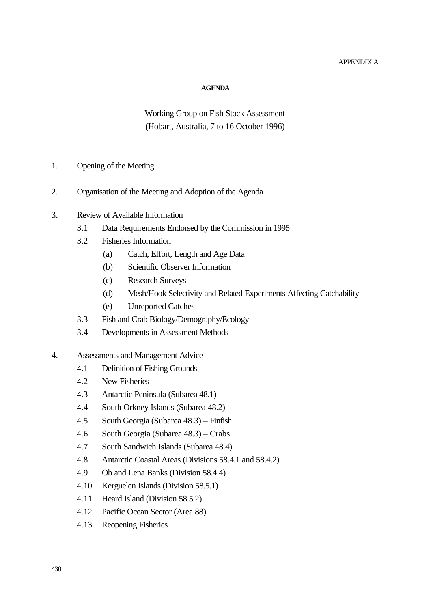# APPENDIX A

#### **AGENDA**

Working Group on Fish Stock Assessment (Hobart, Australia, 7 to 16 October 1996)

- 1. Opening of the Meeting
- 2. Organisation of the Meeting and Adoption of the Agenda
- 3. Review of Available Information
	- 3.1 Data Requirements Endorsed by the Commission in 1995
	- 3.2 Fisheries Information
		- (a) Catch, Effort, Length and Age Data
		- (b) Scientific Observer Information
		- (c) Research Surveys
		- (d) Mesh/Hook Selectivity and Related Experiments Affecting Catchability
		- (e) Unreported Catches
	- 3.3 Fish and Crab Biology/Demography/Ecology
	- 3.4 Developments in Assessment Methods
- 4. Assessments and Management Advice
	- 4.1 Definition of Fishing Grounds
	- 4.2 New Fisheries
	- 4.3 Antarctic Peninsula (Subarea 48.1)
	- 4.4 South Orkney Islands (Subarea 48.2)
	- 4.5 South Georgia (Subarea 48.3) Finfish
	- 4.6 South Georgia (Subarea 48.3) Crabs
	- 4.7 South Sandwich Islands (Subarea 48.4)
	- 4.8 Antarctic Coastal Areas (Divisions 58.4.1 and 58.4.2)
	- 4.9 Ob and Lena Banks (Division 58.4.4)
	- 4.10 Kerguelen Islands (Division 58.5.1)
	- 4.11 Heard Island (Division 58.5.2)
	- 4.12 Pacific Ocean Sector (Area 88)
	- 4.13 Reopening Fisheries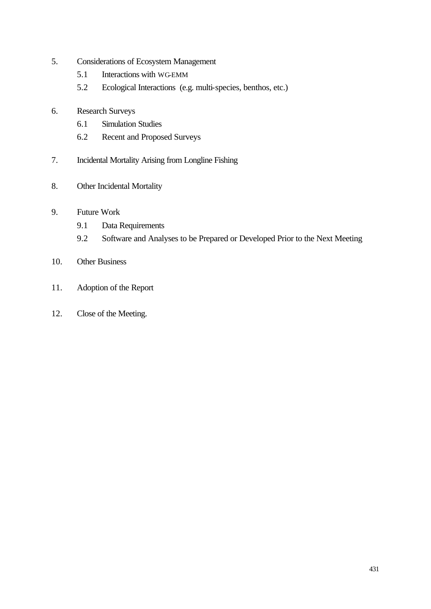- 5. Considerations of Ecosystem Management
	- 5.1 Interactions with WG-EMM
	- 5.2 Ecological Interactions (e.g. multi-species, benthos, etc.)
- 6. Research Surveys
	- 6.1 Simulation Studies
	- 6.2 Recent and Proposed Surveys
- 7. Incidental Mortality Arising from Longline Fishing
- 8. Other Incidental Mortality
- 9. Future Work
	- 9.1 Data Requirements
	- 9.2 Software and Analyses to be Prepared or Developed Prior to the Next Meeting
- 10. Other Business
- 11. Adoption of the Report
- 12. Close of the Meeting.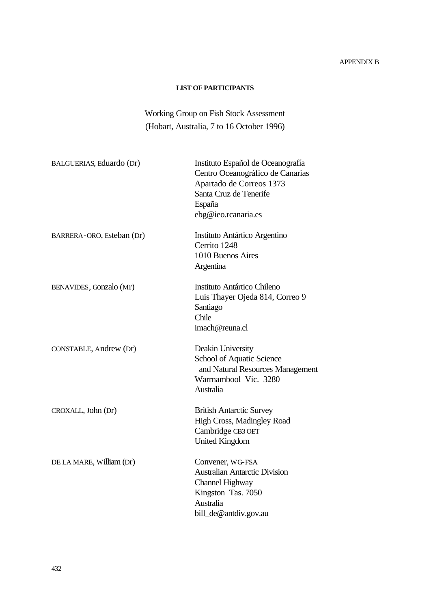# APPENDIX B

# **LIST OF PARTICIPANTS**

# Working Group on Fish Stock Assessment (Hobart, Australia, 7 to 16 October 1996)

| BALGUERIAS, Eduardo (Dr)  | Instituto Español de Oceanografía<br>Centro Oceanográfico de Canarias<br>Apartado de Correos 1373<br>Santa Cruz de Tenerife<br>España<br>ebg@ieo.rcanaria.es |
|---------------------------|--------------------------------------------------------------------------------------------------------------------------------------------------------------|
| BARRERA-ORO, Esteban (Dr) | Instituto Antártico Argentino<br>Cerrito 1248<br>1010 Buenos Aires<br>Argentina                                                                              |
| BENAVIDES, Gonzalo (Mr)   | Instituto Antártico Chileno<br>Luis Thayer Ojeda 814, Correo 9<br>Santiago<br>Chile<br>imach@reuna.cl                                                        |
| CONSTABLE, Andrew (Dr)    | Deakin University<br>School of Aquatic Science<br>and Natural Resources Management<br>Warrnambool Vic. 3280<br>Australia                                     |
| CROXALL, John (Dr)        | <b>British Antarctic Survey</b><br>High Cross, Madingley Road<br>Cambridge CB3 OET<br><b>United Kingdom</b>                                                  |
| DE LA MARE, William (Dr)  | Convener, WG-FSA<br><b>Australian Antarctic Division</b><br>Channel Highway<br>Kingston Tas. 7050<br>Australia<br>bill_de@antdiv.gov.au                      |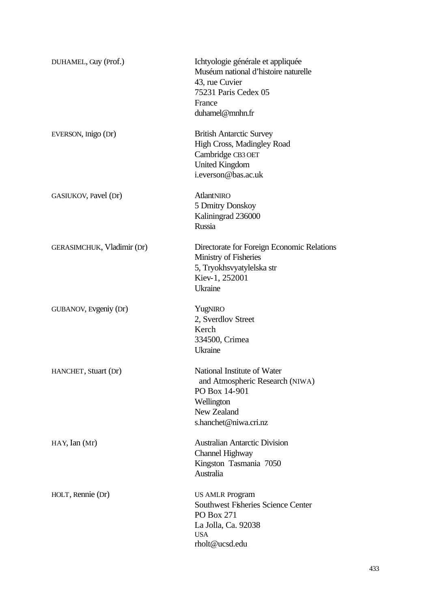| DUHAMEL, Guy (Prof.)              | Ichtyologie générale et appliquée<br>Muséum national d'histoire naturelle<br>43, rue Cuvier<br>75231 Paris Cedex 05<br>France<br>duhamel@mnhn.fr |
|-----------------------------------|--------------------------------------------------------------------------------------------------------------------------------------------------|
| EVERSON, Inigo (Dr)               | <b>British Antarctic Survey</b><br>High Cross, Madingley Road<br>Cambridge CB3 OET<br><b>United Kingdom</b><br>i.everson@bas.ac.uk               |
| GASIUKOV, Pavel (Dr)              | AtlantNIRO<br>5 Dmitry Donskoy<br>Kaliningrad 236000<br>Russia                                                                                   |
| <b>GERASIMCHUK, Vladimir (Dr)</b> | Directorate for Foreign Economic Relations<br>Ministry of Fisheries<br>5, Tryokhsvyatylelska str<br>Kiev-1, 252001<br><b>Ukraine</b>             |
| GUBANOV, Evgeniy (Dr)             | YugNIRO<br>2, Sverdlov Street<br>Kerch<br>334500, Crimea<br>Ukraine                                                                              |
| HANCHET, Stuart (Dr)              | National Institute of Water<br>and Atmospheric Research (NIWA)<br>PO Box 14-901<br>Wellington<br>New Zealand<br>s.hanchet@niwa.cri.nz            |
| $HAY$ , Ian $(Mr)$                | <b>Australian Antarctic Division</b><br>Channel Highway<br>Kingston Tasmania 7050<br>Australia                                                   |
| HOLT, Rennie (Dr)                 | <b>US AMLR Program</b><br><b>Southwest Fisheries Science Center</b><br>PO Box 271<br>La Jolla, Ca. 92038<br><b>USA</b><br>rholt@ucsd.edu         |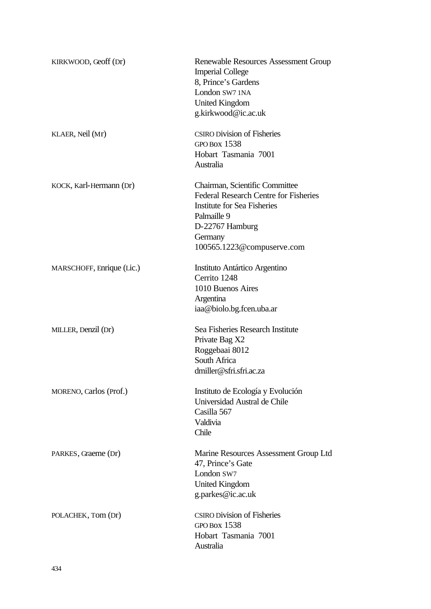| KIRKWOOD, Geoff (Dr)      | Renewable Resources Assessment Group<br><b>Imperial College</b><br>8, Prince's Gardens<br>London SW7 1NA<br><b>United Kingdom</b><br>g.kirkwood@ic.ac.uk                                        |
|---------------------------|-------------------------------------------------------------------------------------------------------------------------------------------------------------------------------------------------|
| KLAER, Neil (Mr)          | <b>CSIRO Division of Fisheries</b><br><b>GPO BOX 1538</b><br>Hobart Tasmania 7001<br>Australia                                                                                                  |
| KOCK, Karl-Hermann (Dr)   | Chairman, Scientific Committee<br><b>Federal Research Centre for Fisheries</b><br><b>Institute for Sea Fisheries</b><br>Palmaille 9<br>D-22767 Hamburg<br>Germany<br>100565.1223@compuserve.com |
| MARSCHOFF, Enrique (Lic.) | Instituto Antártico Argentino<br>Cerrito 1248<br>1010 Buenos Aires<br>Argentina<br>iaa@biolo.bg.fcen.uba.ar                                                                                     |
| MILLER, Denzil (Dr)       | Sea Fisheries Research Institute<br>Private Bag X2<br>Roggebaai 8012<br>South Africa<br>dmiller@sfri.sfri.ac.za                                                                                 |
| MORENO, Carlos (Prof.)    | Instituto de Ecología y Evolución<br>Universidad Austral de Chile<br>Casilla 567<br>Valdivia<br>Chile                                                                                           |
| PARKES, Graeme (Dr)       | Marine Resources Assessment Group Ltd<br>47, Prince's Gate<br>London SW7<br><b>United Kingdom</b><br>g.parkes@ic.ac.uk                                                                          |
| POLACHEK, Tom (Dr)        | <b>CSIRO Division of Fisheries</b><br><b>GPO BOX 1538</b><br>Hobart Tasmania 7001<br>Australia                                                                                                  |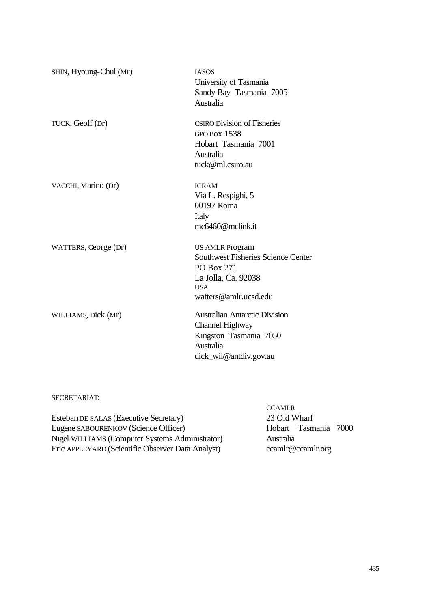| SHIN, Hyoung-Chul (Mr) | <b>IASOS</b><br>University of Tasmania<br>Sandy Bay Tasmania 7005<br>Australia                                                                  |
|------------------------|-------------------------------------------------------------------------------------------------------------------------------------------------|
| TUCK, Geoff (Dr)       | <b>CSIRO Division of Fisheries</b><br>GPO Box $1538$<br>Hobart Tasmania 7001<br>Australia<br>tuck@ml.csiro.au                                   |
| VACCHI, Marino (Dr)    | <b>ICRAM</b><br>Via L. Respighi, 5<br>00197 Roma<br>Italy<br>mc6460@mclink.it                                                                   |
| WATTERS, George (Dr)   | <b>US AMLR Program</b><br><b>Southwest Fisheries Science Center</b><br>PO Box 271<br>La Jolla, Ca. 92038<br><b>USA</b><br>watters@amlr.ucsd.edu |
| WILLIAMS, Dick (Mr)    | <b>Australian Antarctic Division</b><br><b>Channel Highway</b><br>Kingston Tasmania 7050<br>Australia<br>dick_wil@antdiv.gov.au                 |

# SECRETARIAT:

**CCAMLR** Esteban DE SALAS (Executive Secretary) 23 Old Wharf Eugene SABOURENKOV (Science Officer) Hobart Tasmania 7000 Nigel WILLIAMS (Computer Systems Administrator) Australia Eric APPLEYARD (Scientific Observer Data Analyst) ccamlr@ccamlr.org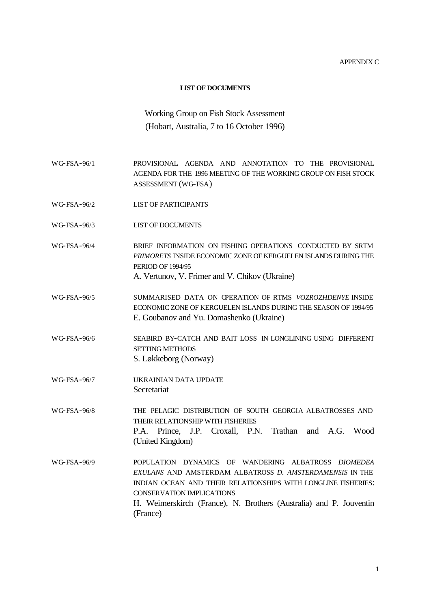APPENDIX C

#### **LIST OF DOCUMENTS**

# Working Group on Fish Stock Assessment (Hobart, Australia, 7 to 16 October 1996)

- WG-FSA-96/1 PROVISIONAL AGENDA AND ANNOTATION TO THE PROVISIONAL AGENDA FOR THE 1996 MEETING OF THE WORKING GROUP ON FISH STOCK ASSESSMENT (WG-FSA)
- WG-FSA-96/2 LIST OF PARTICIPANTS
- WG-FSA-96/3 LIST OF DOCUMENTS
- WG-FSA-96/4 BRIEF INFORMATION ON FISHING OPERATIONS CONDUCTED BY SRTM *PRIMORETS* INSIDE ECONOMIC ZONE OF KERGUELEN ISLANDS DURING THE PERIOD OF 1994/95 A. Vertunov, V. Frimer and V. Chikov (Ukraine)
- WG-FSA-96/5 SUMMARISED DATA ON OPERATION OF RTMS *VOZROZHDENYE* INSIDE ECONOMIC ZONE OF KERGUELEN ISLANDS DURING THE SEASON OF 1994/95 E. Goubanov and Yu. Domashenko (Ukraine)
- WG-FSA-96/6 SEABIRD BY-CATCH AND BAIT LOSS IN LONGLINING USING DIFFERENT SETTING METHODS S. Løkkeborg (Norway)
- WG-FSA-96/7 UKRAINIAN DATA UPDATE **Secretariat**
- WG-FSA-96/8 THE PELAGIC DISTRIBUTION OF SOUTH GEORGIA ALBATROSSES AND THEIR RELATIONSHIP WITH FISHERIES P.A. Prince, J.P. Croxall, P.N. Trathan and A.G. Wood (United Kingdom)
- WG-FSA-96/9 POPULATION DYNAMICS OF WANDERING ALBATROSS *DIOMEDEA EXULANS* AND AMSTERDAM ALBATROSS *D. AMSTERDAMENSIS* IN THE INDIAN OCEAN AND THEIR RELATIONSHIPS WITH LONGLINE FISHERIES: CONSERVATION IMPLICATIONS H. Weimerskirch (France), N. Brothers (Australia) and P. Jouventin (France)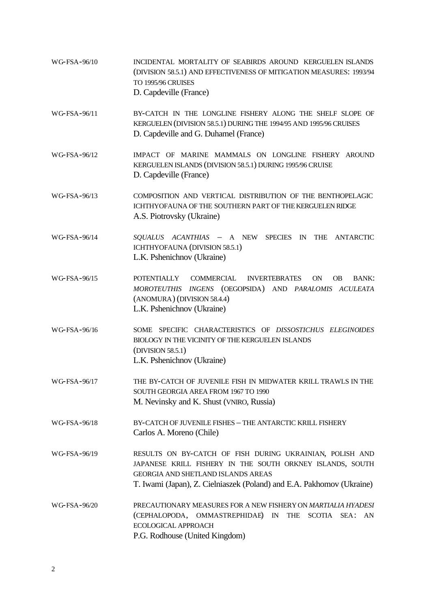WG-FSA-96/10 INCIDENTAL MORTALITY OF SEABIRDS AROUND KERGUELEN ISLANDS (DIVISION 58.5.1) AND EFFECTIVENESS OF MITIGATION MEASURES: 1993/94 TO 1995/96 CRUISES D. Capdeville (France) WG-FSA-96/11 BY-CATCH IN THE LONGLINE FISHERY ALONG THE SHELF SLOPE OF KERGUELEN (DIVISION 58.5.1) DURING THE 1994/95 AND 1995/96 CRUISES D. Capdeville and G. Duhamel (France) WG-FSA-96/12 IMPACT OF MARINE MAMMALS ON LONGLINE FISHERY AROUND KERGUELEN ISLANDS (DIVISION 58.5.1) DURING 1995/96 CRUISE D. Capdeville (France) WG-FSA-96/13 COMPOSITION AND VERTICAL DISTRIBUTION OF THE BENTHOPELAGIC ICHTHYOFAUNA OF THE SOUTHERN PART OF THE KERGUELEN RIDGE A.S. Piotrovsky (Ukraine) WG-FSA-96/14 *SQUALUS ACANTHIAS* – A NEW SPECIES IN THE ANTARCTIC ICHTHYOFAUNA (DIVISION 58.5.1) L.K. Pshenichnov (Ukraine) WG-FSA-96/15 POTENTIALLY COMMERCIAL INVERTEBRATES ON OB BANK: *MOROTEUTHIS INGENS* (OEGOPSIDA) AND *PARALOMIS ACULEATA* (ANOMURA) (DIVISION 58.4.4) L.K. Pshenichnov (Ukraine) WG-FSA-96/16 SOME SPECIFIC CHARACTERISTICS OF *DISSOSTICHUS ELEGINOIDES* BIOLOGY IN THE VICINITY OF THE KERGUELEN ISLANDS (DIVISION 58.5.1) L.K. Pshenichnov (Ukraine) WG-FSA-96/17 THE BY-CATCH OF JUVENILE FISH IN MIDWATER KRILL TRAWLS IN THE SOUTH GEORGIA AREA FROM 1967 TO 1990 M. Nevinsky and K. Shust (VNIRO, Russia) WG-FSA-96/18 BY-CATCH OF JUVENILE FISHES – THE ANTARCTIC KRILL FISHERY Carlos A. Moreno (Chile) WG-FSA-96/19 RESULTS ON BY-CATCH OF FISH DURING UKRAINIAN, POLISH AND JAPANESE KRILL FISHERY IN THE SOUTH ORKNEY ISLANDS, SOUTH GEORGIA AND SHETLAND ISLANDS AREAS T. Iwami (Japan), Z. Cielniaszek (Poland) and E.A. Pakhomov (Ukraine) WG-FSA-96/20 PRECAUTIONARY MEASURES FOR A NEW FISHERY ON *MARTIALIA HYADESI*  (CEPHALOPODA, OMMASTREPHIDAE) IN THE SCOTIA SEA: AN ECOLOGICAL APPROACH P.G. Rodhouse (United Kingdom)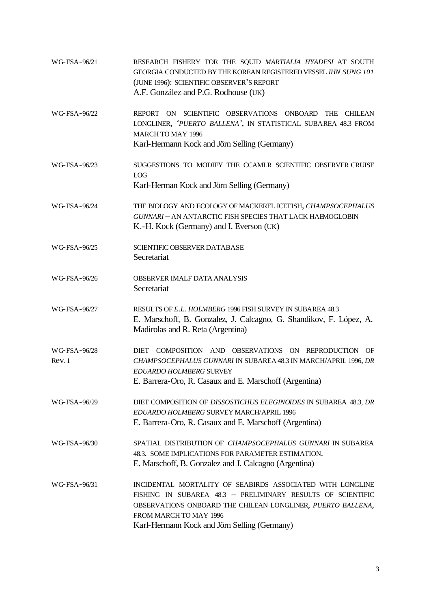| WG-FSA-96/21          | RESEARCH FISHERY FOR THE SQUID MARTIALIA HYADESI AT SOUTH<br>GEORGIA CONDUCTED BY THE KOREAN REGISTERED VESSEL IHN SUNG 101<br>(JUNE 1996): SCIENTIFIC OBSERVER'S REPORT<br>A.F. González and P.G. Rodhouse (UK)                                                  |
|-----------------------|-------------------------------------------------------------------------------------------------------------------------------------------------------------------------------------------------------------------------------------------------------------------|
| WG-FSA-96/22          | REPORT ON SCIENTIFIC OBSERVATIONS ONBOARD THE CHILEAN<br>LONGLINER, 'PUERTO BALLENA', IN STATISTICAL SUBAREA 48.3 FROM<br><b>MARCH TO MAY 1996</b><br>Karl-Hermann Kock and Jörn Selling (Germany)                                                                |
| WG-FSA-96/23          | SUGGESTIONS TO MODIFY THE CCAMLR SCIENTIFIC OBSERVER CRUISE<br><b>LOG</b><br>Karl-Herman Kock and Jörn Selling (Germany)                                                                                                                                          |
| WG-FSA-96/24          | THE BIOLOGY AND ECOLOGY OF MACKEREL ICEFISH, CHAMPSOCEPHALUS<br>GUNNARI - AN ANTARCTIC FISH SPECIES THAT LACK HAEMOGLOBIN<br>K.-H. Kock (Germany) and I. Everson (UK)                                                                                             |
| WG-FSA-96/25          | SCIENTIFIC OBSERVER DATABASE<br>Secretariat                                                                                                                                                                                                                       |
| WG-FSA-96/26          | <b>OBSERVER IMALF DATA ANALYSIS</b><br>Secretariat                                                                                                                                                                                                                |
| WG-FSA-96/27          | RESULTS OF E.L. HOLMBERG 1996 FISH SURVEY IN SUBAREA 48.3<br>E. Marschoff, B. Gonzalez, J. Calcagno, G. Shandikov, F. López, A.<br>Madirolas and R. Reta (Argentina)                                                                                              |
| WG-FSA-96/28<br>Rev.1 | DIET COMPOSITION AND OBSERVATIONS ON REPRODUCTION OF<br>CHAMPSOCEPHALUS GUNNARI IN SUBAREA 48.3 IN MARCH/APRIL 1996, DR<br>EDUARDO HOLMBERG SURVEY<br>E. Barrera-Oro, R. Casaux and E. Marschoff (Argentina)                                                      |
| WG-FSA-96/29          | DIET COMPOSITION OF DISSOSTICHUS ELEGINOIDES IN SUBAREA 48.3, DR<br>EDUARDO HOLMBERG SURVEY MARCH/APRIL 1996<br>E. Barrera-Oro, R. Casaux and E. Marschoff (Argentina)                                                                                            |
| WG-FSA-96/30          | SPATIAL DISTRIBUTION OF CHAMPSOCEPHALUS GUNNARI IN SUBAREA<br>48.3. SOME IMPLICATIONS FOR PARAMETER ESTIMATION.<br>E. Marschoff, B. Gonzalez and J. Calcagno (Argentina)                                                                                          |
| WG-FSA-96/31          | INCIDENTAL MORTALITY OF SEABIRDS ASSOCIATED WITH LONGLINE<br>FISHING IN SUBAREA 48.3 - PRELIMINARY RESULTS OF SCIENTIFIC<br>OBSERVATIONS ONBOARD THE CHILEAN LONGLINER, PUERTO BALLENA,<br>FROM MARCH TO MAY 1996<br>Karl-Hermann Kock and Jörn Selling (Germany) |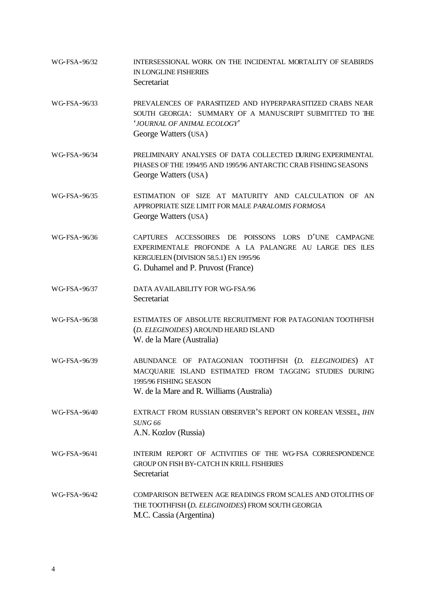WG-FSA-96/32 INTERSESSIONAL WORK ON THE INCIDENTAL MORTALITY OF SEABIRDS IN LONGLINE FISHERIES Secretariat WG-FSA-96/33 PREVALENCES OF PARASITIZED AND HYPERPARASITIZED CRABS NEAR SOUTH GEORGIA: SUMMARY OF A MANUSCRIPT SUBMITTED TO THE '*JOURNAL OF ANIMAL ECOLOGY*' George Watters (USA) WG-FSA-96/34 PRELIMINARY ANALYSES OF DATA COLLECTED DURING EXPERIMENTAL PHASES OF THE 1994/95 AND 1995/96 ANTARCTIC CRAB FISHING SEASONS George Watters (USA) WG-FSA-96/35 ESTIMATION OF SIZE AT MATURITY AND CALCULATION OF AN APPROPRIATE SIZE LIMIT FOR MALE *PARALOMIS FORMOSA* George Watters (USA) WG-FSA-96/36 CAPTURES ACCESSOIRES DE POISSONS LORS D'UNE CAMPAGNE EXPERIMENTALE PROFONDE A LA PALANGRE AU LARGE DES ILES KERGUELEN (DIVISION 58.5.1) EN 1995/96 G. Duhamel and P. Pruvost (France) WG-FSA-96/37 DATA AVAILABILITY FOR WG-FSA/96 **Secretariat** WG-FSA-96/38 ESTIMATES OF ABSOLUTE RECRUITMENT FOR PATAGONIAN TOOTHFISH (*D. ELEGINOIDES*) AROUND HEARD ISLAND W. de la Mare (Australia) WG-FSA-96/39 ABUNDANCE OF PATAGONIAN TOOTHFISH (*D. ELEGINOIDES*) AT MACQUARIE ISLAND ESTIMATED FROM TAGGING STUDIES DURING 1995/96 FISHING SEASON W. de la Mare and R. Williams (Australia) WG-FSA-96/40 EXTRACT FROM RUSSIAN OBSERVER'S REPORT ON KOREAN VESSEL, *IHN SUNG 66* A.N. Kozlov (Russia) WG-FSA-96/41 **INTERIM REPORT OF ACTIVITIES OF THE WG-FSA CORRESPONDENCE** GROUP ON FISH BY-CATCH IN KRILL FISHERIES **Secretariat** WG-FSA-96/42 COMPARISON BETWEEN AGE READINGS FROM SCALES AND OTOLITHS OF THE TOOTHFISH (*D. ELEGINOIDES*) FROM SOUTH GEORGIA M.C. Cassia (Argentina)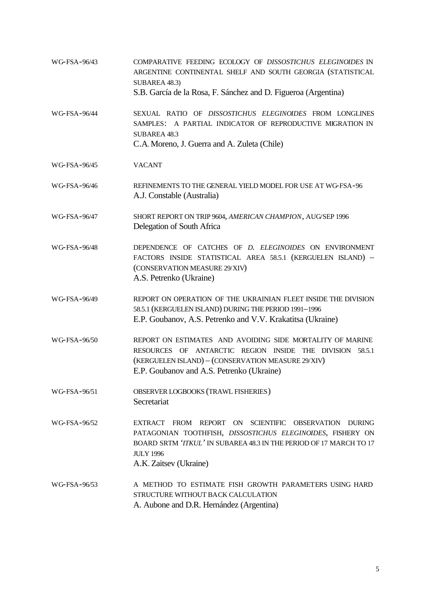WG-FSA-96/43 COMPARATIVE FEEDING ECOLOGY OF *DISSOSTICHUS ELEGINOIDES* IN ARGENTINE CONTINENTAL SHELF AND SOUTH GEORGIA (STATISTICAL SUBAREA 48.3) S.B. García de la Rosa, F. Sánchez and D. Figueroa (Argentina) WG-FSA-96/44 SEXUAL RATIO OF *DISSOSTICHUS ELEGINOIDES* FROM LONGLINES SAMPLES: A PARTIAL INDICATOR OF REPRODUCTIVE MIGRATION IN SUBAREA 48.3 C.A. Moreno, J. Guerra and A. Zuleta (Chile) WG-FSA-96/45 VACANT WG-FSA-96/46 REFINEMENTS TO THE GENERAL YIELD MODEL FOR USE AT WG-FSA-96 A.J. Constable (Australia) WG-FSA-96/47 SHORT REPORT ON TRIP 9604, *AMERICAN CHAMPION*, AUG/SEP 1996 Delegation of South Africa WG-FSA-96/48 DEPENDENCE OF CATCHES OF *D. ELEGINOIDES* ON ENVIRONMENT FACTORS INSIDE STATISTICAL AREA 58.5.1 (KERGUELEN ISLAND) – (CONSERVATION MEASURE 29/XIV) A.S. Petrenko (Ukraine) WG-FSA-96/49 REPORT ON OPERATION OF THE UKRAINIAN FLEET INSIDE THE DIVISION 58.5.1 (KERGUELEN ISLAND) DURING THE PERIOD 1991–1996 E.P. Goubanov, A.S. Petrenko and V.V. Krakatitsa (Ukraine) WG-FSA-96/50 REPORT ON ESTIMATES AND AVOIDING SIDE MORTALITY OF MARINE RESOURCES OF ANTARCTIC REGION INSIDE THE DIVISION 58.5.1 (KERGUELEN ISLAND) – (CONSERVATION MEASURE 29/XIV) E.P. Goubanov and A.S. Petrenko (Ukraine) WG-FSA-96/51 OBSERVER LOGBOOKS (TRAWL FISHERIES) **Secretariat** WG-FSA-96/52 EXTRACT FROM REPORT ON SCIENTIFIC OBSERVATION DURING PATAGONIAN TOOTHFISH, *DISSOSTICHUS ELEGINOIDES*, FISHERY ON BOARD SRTM *'ITKUL'* IN SUBAREA 48.3 IN THE PERIOD OF 17 MARCH TO 17 JULY 1996 A.K. Zaitsev (Ukraine) WG-FSA-96/53 A METHOD TO ESTIMATE FISH GROWTH PARAMETERS USING HARD STRUCTURE WITHOUT BACK CALCULATION A. Aubone and D.R. Hernández (Argentina)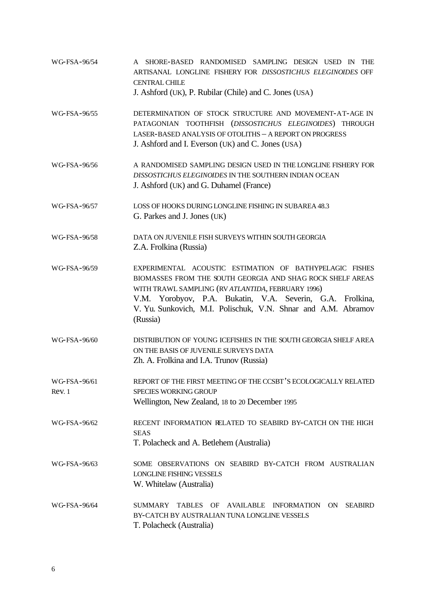| WG-FSA-96/54          | A SHORE-BASED RANDOMISED SAMPLING DESIGN USED IN<br><b>THE</b><br>ARTISANAL LONGLINE FISHERY FOR DISSOSTICHUS ELEGINOIDES OFF<br><b>CENTRAL CHILE</b><br>J. Ashford (UK), P. Rubilar (Chile) and C. Jones (USA)                                                                                                      |  |  |  |  |  |  |
|-----------------------|----------------------------------------------------------------------------------------------------------------------------------------------------------------------------------------------------------------------------------------------------------------------------------------------------------------------|--|--|--|--|--|--|
| WG-FSA-96/55          | DETERMINATION OF STOCK STRUCTURE AND MOVEMENT-AT-AGE IN<br>PATAGONIAN TOOTHFISH (DISSOSTICHUS ELEGINOIDES) THROUGH<br>LASER-BASED ANALYSIS OF OTOLITHS - A REPORT ON PROGRESS<br>J. Ashford and I. Everson (UK) and C. Jones (USA)                                                                                   |  |  |  |  |  |  |
| WG-FSA-96/56          | A RANDOMISED SAMPLING DESIGN USED IN THE LONGLINE FISHERY FOR<br>DISSOSTICHUS ELEGINOIDES IN THE SOUTHERN INDIAN OCEAN<br>J. Ashford (UK) and G. Duhamel (France)                                                                                                                                                    |  |  |  |  |  |  |
| WG-FSA-96/57          | LOSS OF HOOKS DURING LONGLINE FISHING IN SUBAREA 48.3<br>G. Parkes and J. Jones (UK)                                                                                                                                                                                                                                 |  |  |  |  |  |  |
| WG-FSA-96/58          | DATA ON JUVENILE FISH SURVEYS WITHIN SOUTH GEORGIA<br>Z.A. Frolkina (Russia)                                                                                                                                                                                                                                         |  |  |  |  |  |  |
| WG-FSA-96/59          | EXPERIMENTAL ACOUSTIC ESTIMATION OF BATHYPELAGIC FISHES<br>BIOMASSES FROM THE SOUTH GEORGIA AND SHAG ROCK SHELF AREAS<br>WITH TRAWL SAMPLING (RV ATLANTIDA, FEBRUARY 1996)<br>V.M. Yorobyov, P.A. Bukatin, V.A. Severin, G.A. Frolkina,<br>V. Yu. Sunkovich, M.I. Polischuk, V.N. Shnar and A.M. Abramov<br>(Russia) |  |  |  |  |  |  |
| WG-FSA-96/60          | DISTRIBUTION OF YOUNG ICEFISHES IN THE SOUTH GEORGIA SHELF AREA<br>ON THE BASIS OF JUVENILE SURVEYS DATA<br>Zh. A. Frolkina and I.A. Trunov (Russia)                                                                                                                                                                 |  |  |  |  |  |  |
| WG-FSA-96/61<br>Rev.1 | REPORT OF THE FIRST MEETING OF THE CCSBT'S ECOLOGICALLY RELATED<br><b>SPECIES WORKING GROUP</b><br>Wellington, New Zealand, 18 to 20 December 1995                                                                                                                                                                   |  |  |  |  |  |  |
| WG-FSA-96/62          | RECENT INFORMATION RELATED TO SEABIRD BY-CATCH ON THE HIGH<br><b>SEAS</b><br>T. Polacheck and A. Betlehem (Australia)                                                                                                                                                                                                |  |  |  |  |  |  |
| WG-FSA-96/63          | SOME OBSERVATIONS ON SEABIRD BY-CATCH FROM AUSTRALIAN<br><b>LONGLINE FISHING VESSELS</b><br>W. Whitelaw (Australia)                                                                                                                                                                                                  |  |  |  |  |  |  |
| WG-FSA-96/64          | <b>SUMMARY</b><br><b>TABLES</b><br><b>AVAILABLE</b><br><b>INFORMATION</b><br><b>SEABIRD</b><br>OF<br><b>ON</b><br>BY-CATCH BY AUSTRALIAN TUNA LONGLINE VESSELS<br>T. Polacheck (Australia)                                                                                                                           |  |  |  |  |  |  |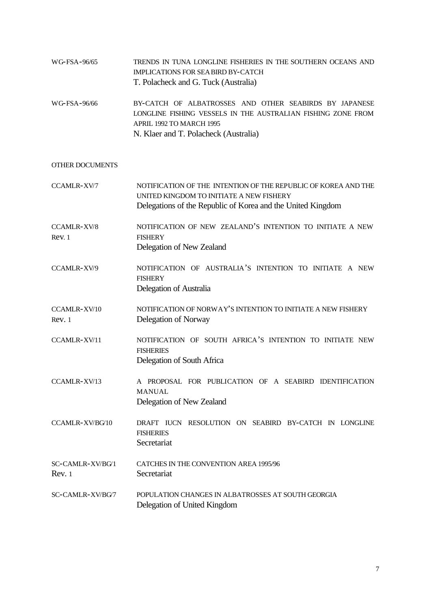|              | T. Polacheck and G. Tuck (Australia)                         |
|--------------|--------------------------------------------------------------|
|              | IMPLICATIONS FOR SEA BIRD BY-CATCH                           |
| WG-FSA-96/65 | TRENDS IN TUNA LONGLINE FISHERIES IN THE SOUTHERN OCEANS AND |

WG-FSA-96/66 BY-CATCH OF ALBATROSSES AND OTHER SEABIRDS BY JAPANESE LONGLINE FISHING VESSELS IN THE AUSTRALIAN FISHING ZONE FROM APRIL 1992 TO MARCH 1995 N. Klaer and T. Polacheck (Australia)

# OTHER DOCUMENTS

| CCAMLR-XV/7                 | NOTIFICATION OF THE INTENTION OF THE REPUBLIC OF KOREA AND THE<br>UNITED KINGDOM TO INITIATE A NEW FISHERY<br>Delegations of the Republic of Korea and the United Kingdom |  |  |  |  |  |  |
|-----------------------------|---------------------------------------------------------------------------------------------------------------------------------------------------------------------------|--|--|--|--|--|--|
| <b>CCAMLR-XV/8</b><br>Rev.1 | NOTIFICATION OF NEW ZEALAND'S INTENTION TO INITIATE A NEW<br><b>FISHERY</b><br>Delegation of New Zealand                                                                  |  |  |  |  |  |  |
| CCAMLR-XV/9                 | NOTIFICATION OF AUSTRALIA'S INTENTION TO INITIATE A NEW<br><b>FISHERY</b><br>Delegation of Australia                                                                      |  |  |  |  |  |  |
| CCAMLR-XV/10<br>Rev. 1      | NOTIFICATION OF NORWAY'S INTENTION TO INITIATE A NEW FISHERY<br>Delegation of Norway                                                                                      |  |  |  |  |  |  |
| CCAMLR-XV/11                | NOTIFICATION OF SOUTH AFRICA'S INTENTION TO INITIATE NEW<br><b>FISHERIES</b><br>Delegation of South Africa                                                                |  |  |  |  |  |  |
| CCAMLR-XV/13                | A PROPOSAL FOR PUBLICATION OF A SEABIRD IDENTIFICATION<br><b>MANUAL</b><br>Delegation of New Zealand                                                                      |  |  |  |  |  |  |
| CCAMLR-XV/BG/10             | DRAFT IUCN RESOLUTION ON SEABIRD BY-CATCH IN LONGLINE<br><b>FISHERIES</b><br>Secretariat                                                                                  |  |  |  |  |  |  |
| SC-CAMLR-XV/BG/1<br>Rev. 1  | CATCHES IN THE CONVENTION AREA 1995/96<br>Secretariat                                                                                                                     |  |  |  |  |  |  |
| SC-CAMLR-XV/BG/7            | POPULATION CHANGES IN ALBATROSSES AT SOUTH GEORGIA<br>Delegation of United Kingdom                                                                                        |  |  |  |  |  |  |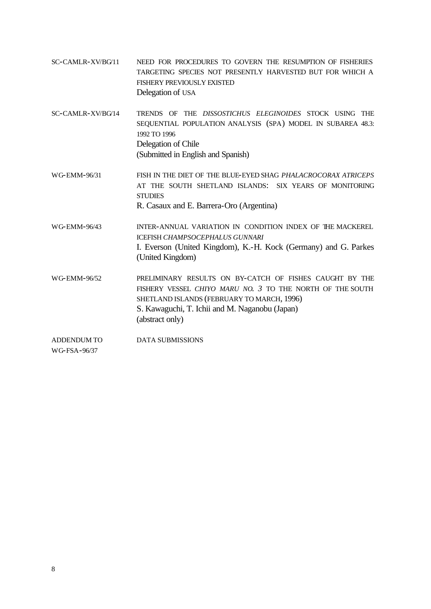- SC-CAMLR-XV/BG/11 NEED FOR PROCEDURES TO GOVERN THE RESUMPTION OF FISHERIES TARGETING SPECIES NOT PRESENTLY HARVESTED BUT FOR WHICH A FISHERY PREVIOUSLY EXISTED Delegation of USA
- SC-CAMLR-XV/BG/14 TRENDS OF THE *DISSOSTICHUS ELEGINOIDES* STOCK USING THE SEQUENTIAL POPULATION ANALYSIS (SPA) MODEL IN SUBAREA 48.3: 1992 TO 1996 Delegation of Chile (Submitted in English and Spanish)
- WG-EMM-96/31 FISH IN THE DIET OF THE BLUE-EYED SHAG *PHALACROCORAX ATRICEPS* AT THE SOUTH SHETLAND ISLANDS: SIX YEARS OF MONITORING **STUDIES** R. Casaux and E. Barrera-Oro (Argentina)
- WG-EMM-96/43 INTER-ANNUAL VARIATION IN CONDITION INDEX OF THE MACKEREL ICEFISH *CHAMPSOCEPHALUS GUNNARI* I. Everson (United Kingdom), K.-H. Kock (Germany) and G. Parkes (United Kingdom)
- WG-EMM-96/52 PRELIMINARY RESULTS ON BY-CATCH OF FISHES CAUGHT BY THE FISHERY VESSEL *CHIYO MARU NO. 3* TO THE NORTH OF THE SOUTH SHETLAND ISLANDS (FEBRUARY TO MARCH, 1996) S. Kawaguchi, T. Ichii and M. Naganobu (Japan) (abstract only)

ADDENDUM TO DATA SUBMISSIONS

WG-FSA-96/37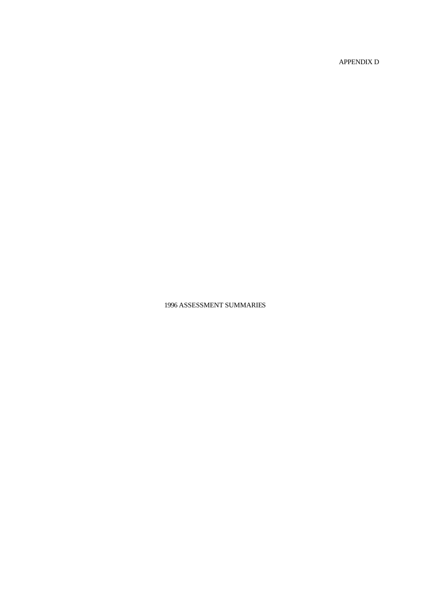APPENDIX D

1996 ASSESSMENT SUMMARIES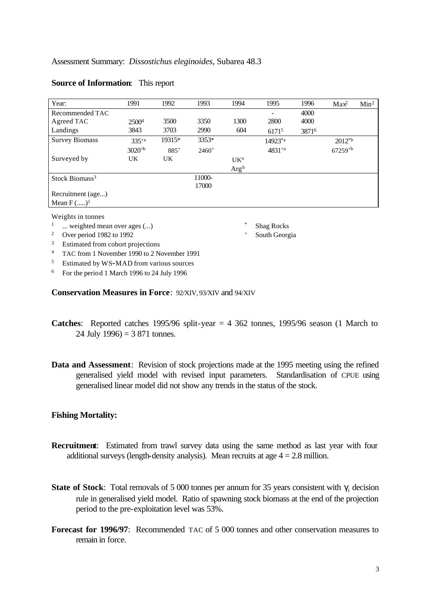| Year:                      | 1991              | 1992   | 1993    | 1994            | 1995          | 1996  | Max <sup>2</sup> | Min <sup>2</sup> |
|----------------------------|-------------------|--------|---------|-----------------|---------------|-------|------------------|------------------|
| Recommended TAC            |                   |        |         |                 |               | 4000  |                  |                  |
| Agreed TAC                 | 2500 <sup>4</sup> | 3500   | 3350    | 1300            | 2800          | 4000  |                  |                  |
| Landings                   | 3843              | 3703   | 2990    | 604             | 61715         | 38716 |                  |                  |
| <b>Survey Biomass</b>      | $335^{+a}$        | 19315* | 3353*   |                 | $14923^{*}$ a |       | $2012^{*b}$      |                  |
|                            | $3020^{+b}$       | $885+$ | $2460+$ |                 | $4831^{+a}$   |       | $67259^{+b}$     |                  |
| Surveyed by                | UK                | UK     |         | UK <sup>a</sup> |               |       |                  |                  |
|                            |                   |        |         | $Arg^b$         |               |       |                  |                  |
| Stock Biomass <sup>3</sup> |                   |        | 11000-  |                 |               |       |                  |                  |
|                            |                   |        | 17000   |                 |               |       |                  |                  |
| Recruitment (age)          |                   |        |         |                 |               |       |                  |                  |
| Mean $F$ () <sup>1</sup>   |                   |        |         |                 |               |       |                  |                  |

# **Source of Information**: This report

Weights in tonnes

- <sup>1</sup> ... weighted mean over ages (...) <sup>\*</sup> Shag Rocks
- <sup>2</sup> Over period 1982 to 1992 <sup>+</sup> South Georgia
- <sup>3</sup> Estimated from cohort projections
- <sup>4</sup> TAC from 1 November 1990 to 2 November 1991
- <sup>5</sup> Estimated by WS-MAD from various sources
- <sup>6</sup> For the period 1 March 1996 to 24 July 1996

**Conservation Measures in Force**: 92/XIV, 93/XIV and 94/XIV

- **Catches**: Reported catches 1995/96 split-year  $= 4$  362 tonnes, 1995/96 season (1 March to 24 July 1996) =  $3,871$  tonnes.
- **Data and Assessment**: Revision of stock projections made at the 1995 meeting using the refined generalised yield model with revised input parameters. Standardisation of CPUE using generalised linear model did not show any trends in the status of the stock.

# **Fishing Mortality:**

- **Recruitment**: Estimated from trawl survey data using the same method as last year with four additional surveys (length-density analysis). Mean recruits at age  $4 = 2.8$  million.
- **State of Stock**: Total removals of 5 000 tonnes per annum for 35 years consistent with  $\gamma_1$  decision rule in generalised yield model. Ratio of spawning stock biomass at the end of the projection period to the pre-exploitation level was 53%.
- **Forecast for 1996/97**: Recommended TAC of 5 000 tonnes and other conservation measures to remain in force.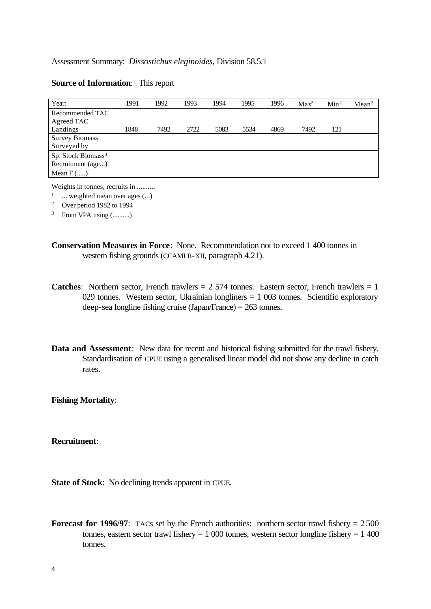## **Source of Information**: This report

| Year:                          | 1991 | 1992 | 1993 | 1994 | 1995 | 1996 | Max <sup>2</sup> | Min <sup>2</sup> | Mean <sup>2</sup> |
|--------------------------------|------|------|------|------|------|------|------------------|------------------|-------------------|
| Recommended TAC                |      |      |      |      |      |      |                  |                  |                   |
| Agreed TAC                     |      |      |      |      |      |      |                  |                  |                   |
| Landings                       | 1848 | 7492 | 2722 | 5083 | 5534 | 4869 | 7492             | 121              |                   |
| <b>Survey Biomass</b>          |      |      |      |      |      |      |                  |                  |                   |
| Surveyed by                    |      |      |      |      |      |      |                  |                  |                   |
| Sp. Stock Biomass <sup>3</sup> |      |      |      |      |      |      |                  |                  |                   |
| Recruitment (age)              |      |      |      |      |      |      |                  |                  |                   |
| Mean $F$ () <sup>1</sup>       |      |      |      |      |      |      |                  |                  |                   |

Weights in tonnes, recruits in ..........

 $1 \quad ...$  weighted mean over ages  $(...)$ 

<sup>2</sup> Over period 1982 to 1994

 $3$  From VPA using  $($ ..........

- **Conservation Measures in Force**: None. Recommendation not to exceed 1 400 tonnes in western fishing grounds (CCAMLR-XII, paragraph 4.21).
- **Catches:** Northern sector, French trawlers  $= 2574$  tonnes. Eastern sector, French trawlers  $= 1$ 029 tonnes. Western sector, Ukrainian longliners  $= 1,003$  tonnes. Scientific exploratory deep-sea longline fishing cruise (Japan/France) = 263 tonnes.
- **Data and Assessment**: New data for recent and historical fishing submitted for the trawl fishery. Standardisation of CPUE using a generalised linear model did not show any decline in catch rates.

**Fishing Mortality**:

**Recruitment**:

**State of Stock**: No declining trends apparent in CPUE.

**Forecast for 1996/97:** TACs set by the French authorities: northern sector trawl fishery  $= 2500$ tonnes, eastern sector trawl fishery  $= 1,000$  tonnes, western sector longline fishery  $= 1,400$ tonnes.